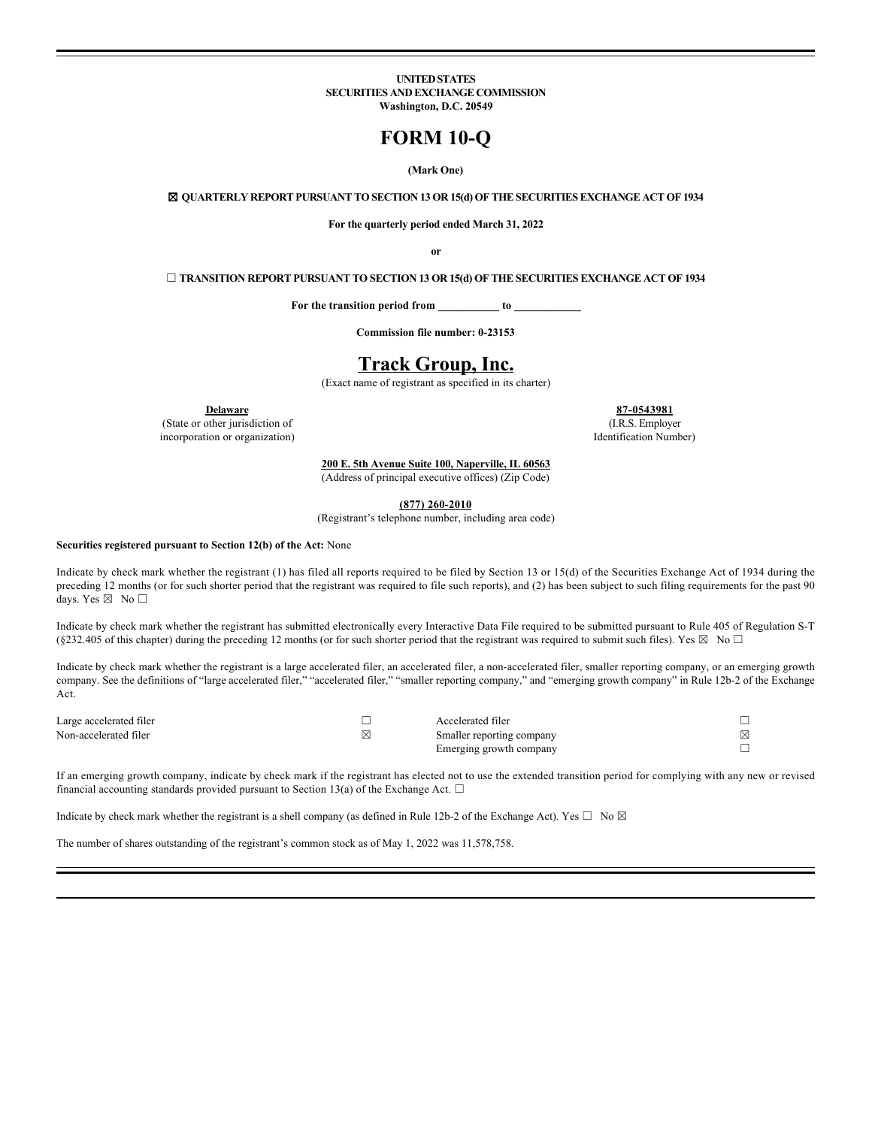#### **UNITED STATES SECURITIES AND EXCHANGE COMMISSION Washington, D.C. 20549**

# **FORM 10-Q**

## **(Mark One)**

☒ **QUARTERLY REPORT PURSUANT TO SECTION 13 OR 15(d) OF THE SECURITIES EXCHANGE ACT OF 1934**

**For the quarterly period ended March 31, 2022**

**or**

☐ **TRANSITION REPORT PURSUANT TO SECTION 13 OR 15(d) OF THE SECURITIES EXCHANGE ACT OF 1934**

**For the transition period from \_\_\_\_\_\_\_\_\_\_\_ to \_\_\_\_\_\_\_\_\_\_\_\_**

**Commission file number: 0-23153**

# **Track Group, Inc.**

(Exact name of registrant as specified in its charter)

(State or other jurisdiction of incorporation or organization)

**Delaware 87-0543981** (I.R.S. Employer Identification Number)

**200 E. 5th Avenue Suite 100, Naperville, IL 60563**

(Address of principal executive offices) (Zip Code)

**(877) 260-2010**

(Registrant's telephone number, including area code)

#### **Securities registered pursuant to Section 12(b) of the Act:** None

Indicate by check mark whether the registrant (1) has filed all reports required to be filed by Section 13 or 15(d) of the Securities Exchange Act of 1934 during the preceding 12 months (or for such shorter period that the registrant was required to file such reports), and (2) has been subject to such filing requirements for the past 90 days. Yes ⊠ No □

Indicate by check mark whether the registrant has submitted electronically every Interactive Data File required to be submitted pursuant to Rule 405 of Regulation S-T (§232.405 of this chapter) during the preceding 12 months (or for such shorter period that the registrant was required to submit such files). Yes  $\boxtimes$  No  $\Box$ 

Indicate by check mark whether the registrant is a large accelerated filer, an accelerated filer, a non-accelerated filer, smaller reporting company, or an emerging growth company. See the definitions of "large accelerated filer," "accelerated filer," "smaller reporting company," and "emerging growth company" in Rule 12b-2 of the Exchange Act.

| Large accelerated filer | Accelerated filer         |   |
|-------------------------|---------------------------|---|
| Non-accelerated filer   | Smaller reporting company | ⊠ |
|                         | Emerging growth company   |   |

If an emerging growth company, indicate by check mark if the registrant has elected not to use the extended transition period for complying with any new or revised financial accounting standards provided pursuant to Section 13(a) of the Exchange Act.  $\Box$ 

Indicate by check mark whether the registrant is a shell company (as defined in Rule 12b-2 of the Exchange Act). Yes  $\Box$  No  $\boxtimes$ 

The number of shares outstanding of the registrant's common stock as of May 1, 2022 was 11,578,758.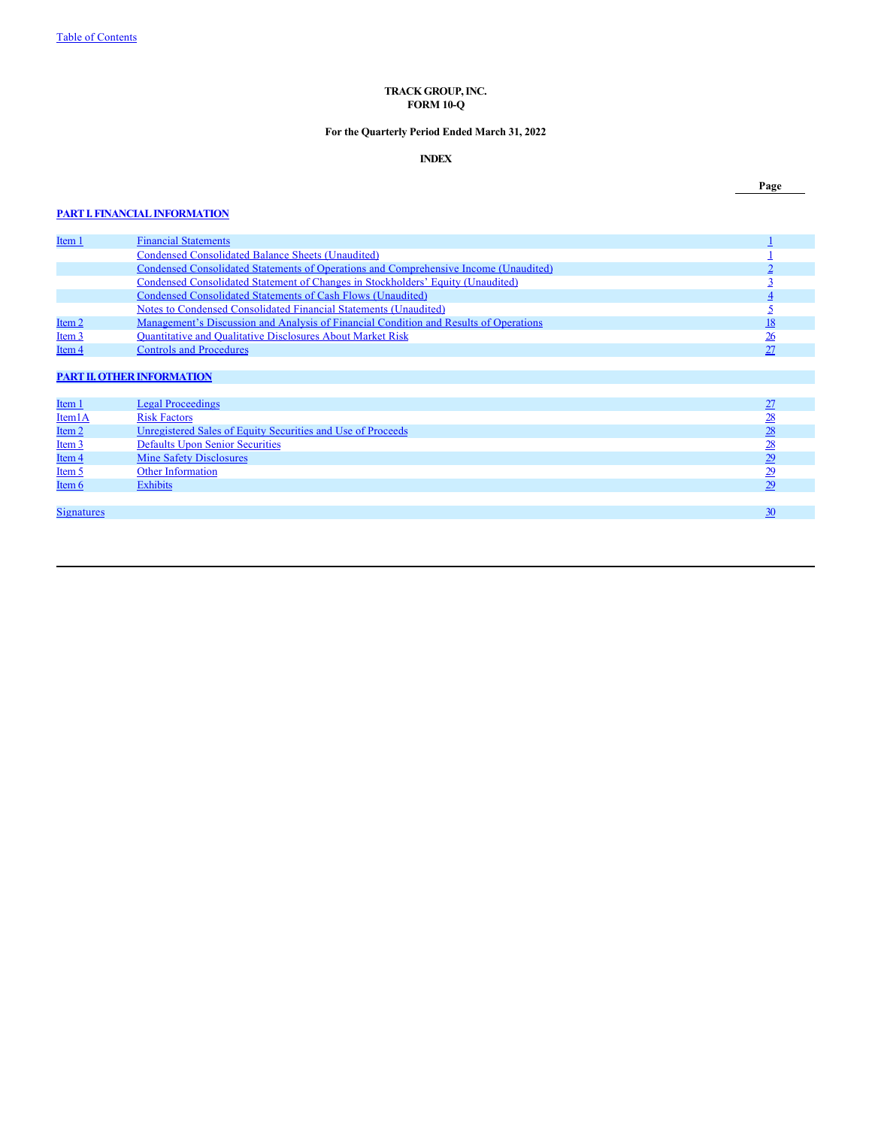# <span id="page-1-0"></span>**TRACK GROUP, INC. FORM 10-Q**

# **For the Quarterly Period Ended March 31, 2022**

# **INDEX**

#### **[PART I. FINANCIAL INFORMATION](#page-2-0)**

**[Item 1](#page-2-0) [Financial Statements](#page-2-0)** [1](#page-2-0) *I* [Condensed Consolidated Balance Sheets \(Unaudited\)](#page-2-0) [1](#page-2-0) Condensed Consolidated Balance Sheets (Unaudited)<br> [Condensed Consolidated Statements of Operations and Comprehensive Income \(Unaudited\)](#page-3-0)<br> [2](#page-3-0)<br>
Condensed Consolidated Statements of Cash Flows (Unaudited)<br>
2<br>
Condensed Consolid [Condensed Consolidated Statement of Changes in Stockholders' Equity \(Unaudited\)](#page-4-0) [3](#page-4-0) [Condensed Consolidated Statements of Cash Flows \(Unaudited\)](#page-5-0) [4](#page-5-0) [Notes to Condensed Consolidated Financial Statements \(Unaudited\)](#page-6-0) [5](#page-6-0) [Item 2](#page-19-0) [Management's Discussion and Analysis of Financial Condition and Results of Operations](#page-19-0)<br>
<u>Item 3</u> Quantitative and Qualitative Disclosures About Market Risk</u> [Quantitative and Qualitative Disclosures About Market Risk](#page-27-0) [Item 4](#page-28-0) [Controls and Procedures](#page-28-0)

# **[PART II. OTHER INFORMATION](#page-28-1)**

| Item 1              | <b>Legal Proceedings</b>                                    |                |
|---------------------|-------------------------------------------------------------|----------------|
| Item <sub>1</sub> A | <b>Risk Factors</b>                                         | $\frac{28}{2}$ |
| Item $2$            | Unregistered Sales of Equity Securities and Use of Proceeds | 28             |
| $Item 3$            | <b>Defaults Upon Senior Securities</b>                      | <u>28</u>      |
| Item 4              | <b>Mine Safety Disclosures</b>                              | 29             |
| $Item 5$            | Other Information                                           |                |
| Item 6              | <b>Exhibits</b>                                             | 29             |
|                     |                                                             |                |
| <b>Signatures</b>   |                                                             |                |

# **Page**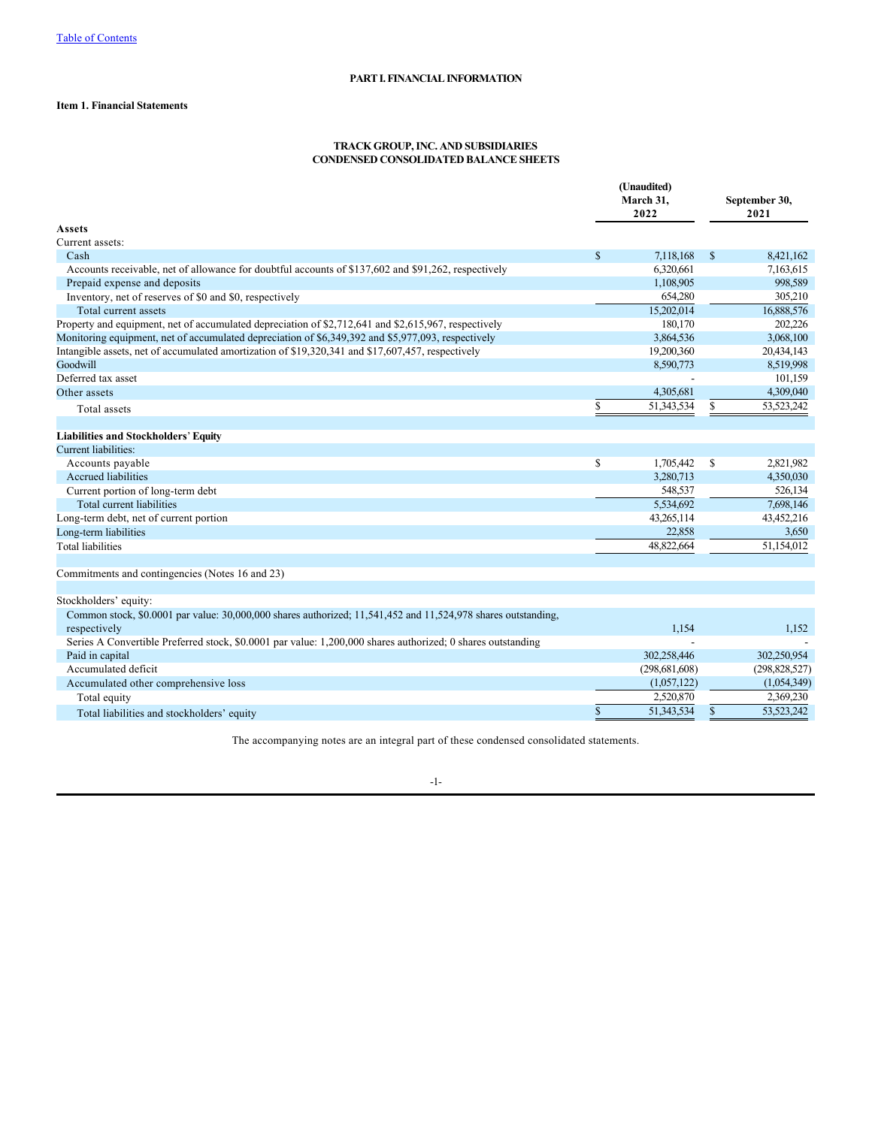# **Item 1. Financial Statements**

## <span id="page-2-0"></span>**TRACK GROUP, INC. AND SUBSIDIARIES CONDENSED CONSOLIDATED BALANCE SHEETS**

|                                                                                                                               |              | (Unaudited)<br>March 31,<br>2022 |               | September 30,<br>2021 |
|-------------------------------------------------------------------------------------------------------------------------------|--------------|----------------------------------|---------------|-----------------------|
| Assets                                                                                                                        |              |                                  |               |                       |
| Current assets:                                                                                                               |              |                                  |               |                       |
| Cash                                                                                                                          | $\mathbb{S}$ | 7,118,168                        | $\mathcal{S}$ | 8,421,162             |
| Accounts receivable, net of allowance for doubtful accounts of \$137,602 and \$91,262, respectively                           |              | 6,320,661                        |               | 7,163,615             |
| Prepaid expense and deposits                                                                                                  |              | 1,108,905                        |               | 998,589               |
| Inventory, net of reserves of \$0 and \$0, respectively                                                                       |              | 654,280                          |               | 305,210               |
| Total current assets                                                                                                          |              | 15,202,014                       |               | 16,888,576            |
| Property and equipment, net of accumulated depreciation of \$2,712,641 and \$2,615,967, respectively                          |              | 180,170                          |               | 202.226               |
| Monitoring equipment, net of accumulated depreciation of \$6,349,392 and \$5,977,093, respectively                            |              | 3,864,536                        |               | 3,068,100             |
| Intangible assets, net of accumulated amortization of \$19,320,341 and \$17,607,457, respectively                             |              | 19,200,360                       |               | 20,434,143            |
| Goodwill                                                                                                                      |              | 8,590,773                        |               | 8,519,998             |
| Deferred tax asset                                                                                                            |              |                                  |               | 101,159               |
| Other assets                                                                                                                  |              | 4,305,681                        |               | 4,309,040             |
| Total assets                                                                                                                  | \$           | 51,343,534                       |               | 53,523,242            |
|                                                                                                                               |              |                                  |               |                       |
| <b>Liabilities and Stockholders' Equity</b>                                                                                   |              |                                  |               |                       |
| <b>Current liabilities:</b>                                                                                                   |              |                                  |               |                       |
| Accounts payable                                                                                                              | \$           | 1,705,442                        | <sup>\$</sup> | 2.821.982             |
| Accrued liabilities                                                                                                           |              | 3,280,713                        |               | 4,350,030             |
| Current portion of long-term debt                                                                                             |              | 548,537                          |               | 526,134               |
| Total current liabilities                                                                                                     |              | 5.534.692                        |               | 7,698,146             |
| Long-term debt, net of current portion                                                                                        |              | 43.265,114                       |               | 43,452,216            |
| Long-term liabilities                                                                                                         |              | 22,858                           |               | 3,650                 |
| <b>Total liabilities</b>                                                                                                      |              | 48.822,664                       |               | 51,154,012            |
| Commitments and contingencies (Notes 16 and 23)                                                                               |              |                                  |               |                       |
| Stockholders' equity:                                                                                                         |              |                                  |               |                       |
| Common stock, \$0.0001 par value: 30,000,000 shares authorized; 11,541,452 and 11,524,978 shares outstanding,<br>respectively |              | 1,154                            |               | 1,152                 |
| Series A Convertible Preferred stock, \$0.0001 par value: 1,200,000 shares authorized; 0 shares outstanding                   |              |                                  |               |                       |
| Paid in capital                                                                                                               |              | 302,258,446                      |               | 302,250,954           |
| Accumulated deficit                                                                                                           |              | (298, 681, 608)                  |               | (298, 828, 527)       |
| Accumulated other comprehensive loss                                                                                          |              | (1,057,122)                      |               | (1,054,349)           |
| Total equity                                                                                                                  |              | 2,520,870                        |               | 2,369,230             |
| Total liabilities and stockholders' equity                                                                                    | \$           | 51,343,534                       | $\mathbb{S}$  | 53,523,242            |
|                                                                                                                               |              |                                  |               |                       |

The accompanying notes are an integral part of these condensed consolidated statements.

# -1-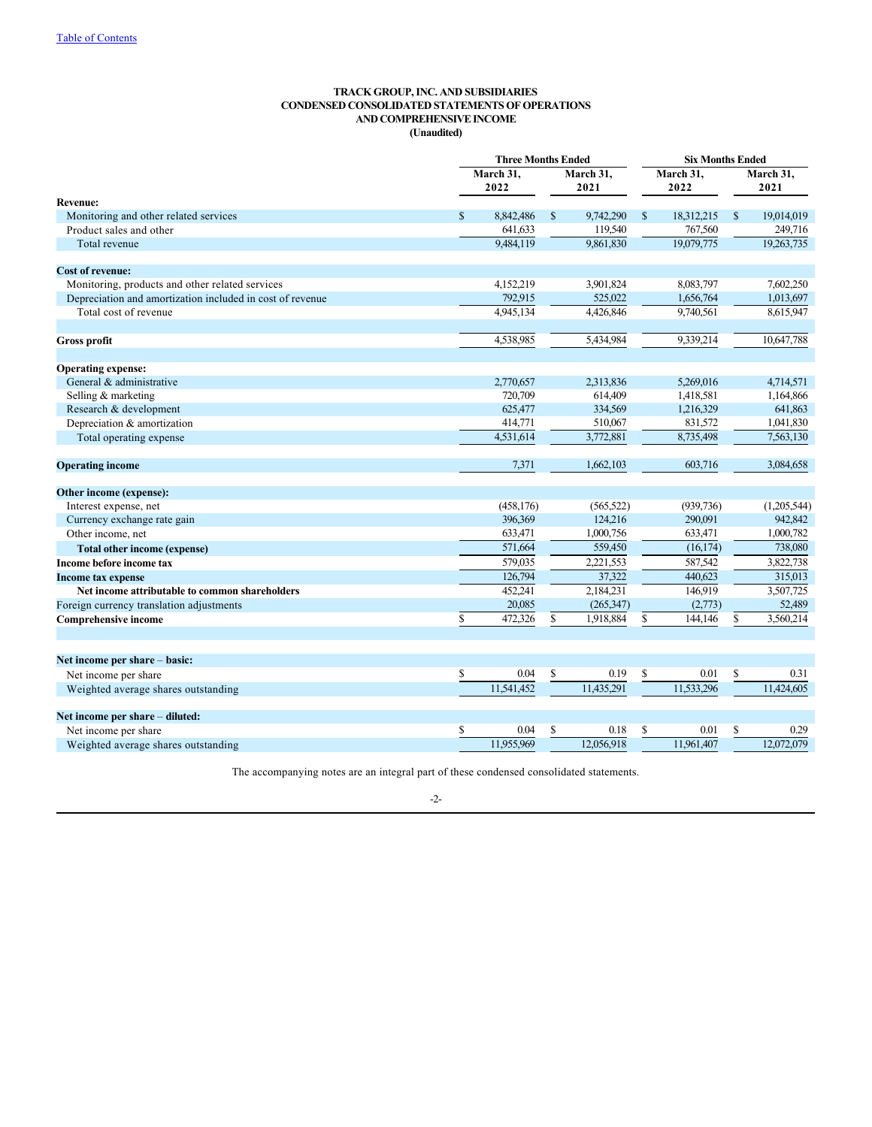# <span id="page-3-0"></span>**TRACK GROUP, INC. AND SUBSIDIARIES CONDENSED CONSOLIDATED STATEMENTS OF OPERATIONS AND COMPREHENSIVE INCOME (Unaudited)**

|                                                           |              | <b>Three Months Ended</b> |               | <b>Six Months Ended</b> |    |            |              |             |  |
|-----------------------------------------------------------|--------------|---------------------------|---------------|-------------------------|----|------------|--------------|-------------|--|
|                                                           |              | March 31,                 |               | March 31.               |    | March 31,  | March 31,    |             |  |
|                                                           |              | 2022                      |               | 2021                    |    | 2022       |              | 2021        |  |
| <b>Revenue:</b>                                           |              |                           |               |                         |    |            |              |             |  |
| Monitoring and other related services                     | $\mathbb{S}$ | 8,842,486                 | <sup>\$</sup> | 9,742,290               | \$ | 18,312,215 | $\mathbb{S}$ | 19,014,019  |  |
| Product sales and other                                   |              | 641,633                   |               | 119,540                 |    | 767,560    |              | 249,716     |  |
| Total revenue                                             |              | 9,484,119                 |               | 9,861,830               |    | 19,079,775 |              | 19,263,735  |  |
| <b>Cost of revenue:</b>                                   |              |                           |               |                         |    |            |              |             |  |
| Monitoring, products and other related services           |              | 4,152,219                 |               | 3,901,824               |    | 8,083,797  |              | 7,602,250   |  |
| Depreciation and amortization included in cost of revenue |              | 792,915                   |               | 525,022                 |    | 1,656,764  |              | 1,013,697   |  |
| Total cost of revenue                                     |              | 4,945,134                 |               | 4,426,846               |    | 9,740,561  |              | 8,615,947   |  |
|                                                           |              |                           |               |                         |    |            |              |             |  |
| <b>Gross profit</b>                                       |              | 4,538,985                 |               | 5,434,984               |    | 9,339,214  |              | 10,647,788  |  |
| <b>Operating expense:</b>                                 |              |                           |               |                         |    |            |              |             |  |
| General & administrative                                  |              | 2,770,657                 |               | 2,313,836               |    | 5,269,016  |              | 4,714,571   |  |
| Selling & marketing                                       |              | 720,709                   |               | 614,409                 |    | 1,418,581  |              | 1,164,866   |  |
| Research & development                                    |              | 625,477                   |               | 334,569                 |    | 1,216,329  |              | 641,863     |  |
| Depreciation & amortization                               |              | 414,771                   |               | 510,067                 |    | 831,572    |              | 1,041,830   |  |
| Total operating expense                                   |              | 4,531,614                 |               | 3,772,881               |    | 8,735,498  |              | 7,563,130   |  |
|                                                           |              |                           |               |                         |    |            |              |             |  |
| <b>Operating income</b>                                   |              | 7,371                     |               | 1,662,103               |    | 603,716    |              | 3,084,658   |  |
| Other income (expense):                                   |              |                           |               |                         |    |            |              |             |  |
| Interest expense, net                                     |              | (458, 176)                |               | (565, 522)              |    | (939, 736) |              | (1,205,544) |  |
| Currency exchange rate gain                               |              | 396,369                   |               | 124,216                 |    | 290,091    |              | 942,842     |  |
| Other income, net                                         |              | 633,471                   |               | 1,000,756               |    | 633.471    |              | 1,000,782   |  |
| <b>Total other income (expense)</b>                       |              | 571,664                   |               | 559,450                 |    | (16, 174)  |              | 738,080     |  |
| Income before income tax                                  |              | 579,035                   |               | 2,221,553               |    | 587,542    |              | 3,822,738   |  |
| <b>Income tax expense</b>                                 |              | 126,794                   |               | 37,322                  |    | 440,623    |              | 315,013     |  |
| Net income attributable to common shareholders            |              | 452,241                   |               | 2,184,231               |    | 146,919    |              | 3,507,725   |  |
| Foreign currency translation adjustments                  |              | 20,085                    |               | (265, 347)              |    | (2,773)    |              | 52,489      |  |
| <b>Comprehensive income</b>                               | \$           | 472,326                   | $\mathbf S$   | 1,918,884               | \$ | 144,146    | \$           | 3,560,214   |  |
|                                                           |              |                           |               |                         |    |            |              |             |  |
| Net income per share - basic:                             |              |                           |               |                         |    |            |              |             |  |
| Net income per share                                      | \$           | 0.04                      | \$            | 0.19                    | \$ | 0.01       | \$           | 0.31        |  |
| Weighted average shares outstanding                       |              | 11.541.452                |               | 11.435.291              |    | 11.533.296 |              | 11.424,605  |  |
| Net income per share - diluted:                           |              |                           |               |                         |    |            |              |             |  |
| Net income per share                                      | \$           | 0.04                      | \$            | 0.18                    | \$ | 0.01       | \$           | 0.29        |  |
| Weighted average shares outstanding                       |              | 11,955,969                |               | 12,056,918              |    | 11.961.407 |              | 12,072,079  |  |

The accompanying notes are an integral part of these condensed consolidated statements.

# -2-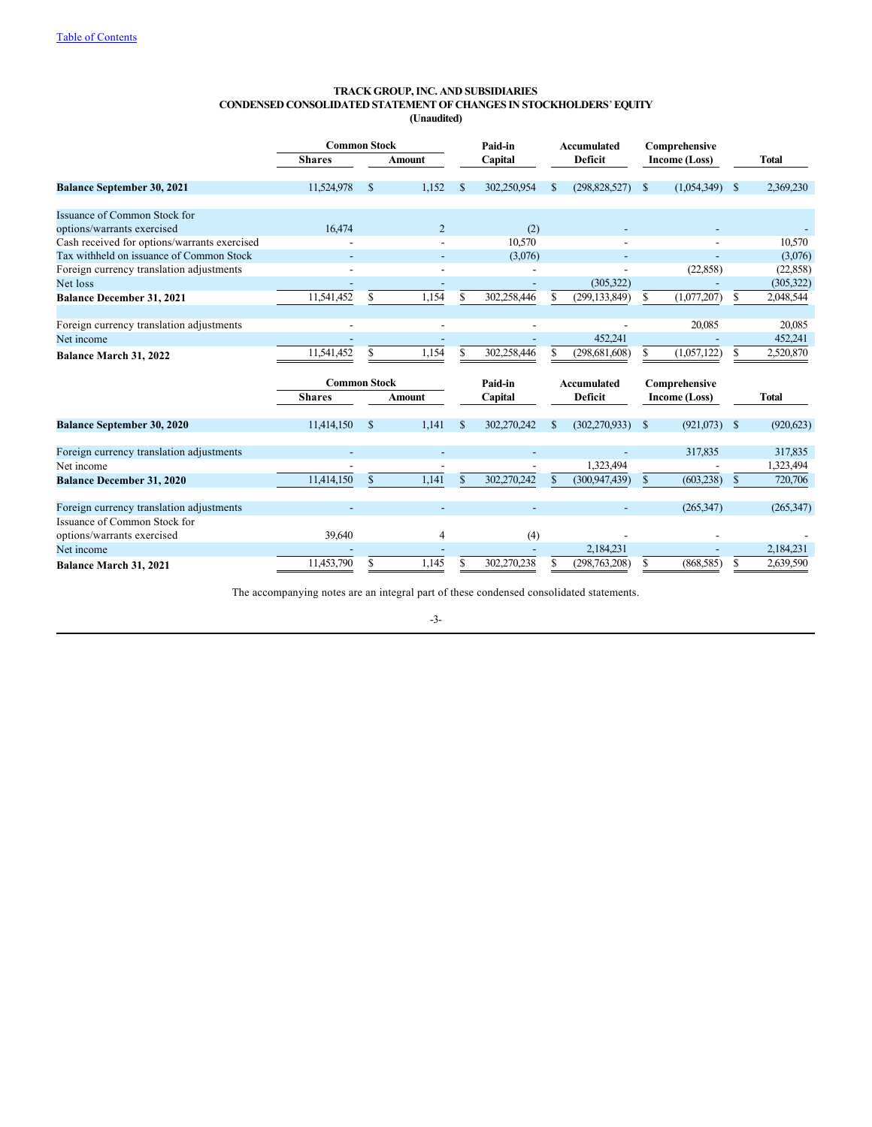#### <span id="page-4-0"></span>**TRACK GROUP, INC. AND SUBSIDIARIES CONDENSED CONSOLIDATED STATEMENT OF CHANGES IN STOCKHOLDERS**' **EQUITY (Unaudited)**

|                                              | <b>Common Stock</b>      |              |                          | Paid-in      |                          | Accumulated   |                    | Comprehensive |               |               |              |
|----------------------------------------------|--------------------------|--------------|--------------------------|--------------|--------------------------|---------------|--------------------|---------------|---------------|---------------|--------------|
|                                              | <b>Shares</b>            |              | <b>Amount</b>            |              | Capital                  |               | <b>Deficit</b>     |               | Income (Loss) |               | Total        |
| <b>Balance September 30, 2021</b>            | 11,524,978               | \$           | 1.152                    | \$           | 302,250,954              | \$            | (298, 828, 527)    | \$            | (1,054,349)   | <sup>\$</sup> | 2,369,230    |
| Issuance of Common Stock for                 |                          |              |                          |              |                          |               |                    |               |               |               |              |
| options/warrants exercised                   | 16.474                   |              | $\overline{2}$           |              | (2)                      |               |                    |               |               |               |              |
| Cash received for options/warrants exercised |                          |              |                          |              | 10,570                   |               |                    |               |               |               | 10,570       |
| Tax withheld on issuance of Common Stock     |                          |              |                          |              | (3,076)                  |               |                    |               |               |               | (3,076)      |
| Foreign currency translation adjustments     |                          |              |                          |              |                          |               |                    |               | (22, 858)     |               | (22, 858)    |
| Net loss                                     |                          |              |                          |              |                          |               | (305, 322)         |               |               |               | (305, 322)   |
| <b>Balance December 31, 2021</b>             | 11,541,452               | \$           | 1,154                    | S            | 302,258,446              | S             | (299, 133, 849)    | \$            | (1,077,207)   | \$            | 2,048,544    |
| Foreign currency translation adjustments     | $\overline{\phantom{a}}$ |              |                          |              |                          |               |                    |               | 20,085        |               | 20,085       |
| Net income                                   |                          |              |                          |              |                          |               | 452,241            |               |               |               | 452,241      |
| Balance March 31, 2022                       | 11,541,452               |              | 1,154                    |              | 302,258,446              |               | (298, 681, 608)    | \$            | (1,057,122)   | S             | 2,520,870    |
|                                              | <b>Common Stock</b>      |              |                          |              | Paid-in                  |               | <b>Accumulated</b> |               | Comprehensive |               |              |
|                                              | <b>Shares</b>            |              | <b>Amount</b>            |              | Capital                  |               | Deficit            |               | Income (Loss) |               | <b>Total</b> |
| <b>Balance September 30, 2020</b>            | 11,414,150               | \$           | 1.141                    | S            | 302,270,242              | \$            | (302, 270, 933)    | \$            | (921,073)     | <sup>\$</sup> | (920, 623)   |
| Foreign currency translation adjustments     | $\blacksquare$           |              | $\overline{\phantom{a}}$ |              | $\overline{\phantom{a}}$ |               |                    |               | 317,835       |               | 317,835      |
| Net income                                   |                          |              |                          |              |                          |               | 1,323,494          |               |               |               | 1,323,494    |
| <b>Balance December 31, 2020</b>             | 11.414.150               | $\mathbf{s}$ | 1.141                    | $\mathbf{s}$ | 302.270.242              | $\mathbf{\$}$ | (300, 947, 439)    | \$            | (603, 238)    | <sup>\$</sup> | 720,706      |
| Foreign currency translation adjustments     |                          |              |                          |              |                          |               |                    |               | (265, 347)    |               | (265, 347)   |
| Issuance of Common Stock for                 |                          |              |                          |              |                          |               |                    |               |               |               |              |
| options/warrants exercised                   | 39,640                   |              | 4                        |              | (4)                      |               |                    |               |               |               |              |
| Net income                                   |                          |              |                          |              |                          |               | 2,184,231          |               |               |               | 2,184,231    |
| <b>Balance March 31, 2021</b>                | 11,453,790               |              | 1.145                    |              | 302,270,238              |               | (298,763,208)      | S             | (868, 585)    | S             | 2,639,590    |

The accompanying notes are an integral part of these condensed consolidated statements.

-3-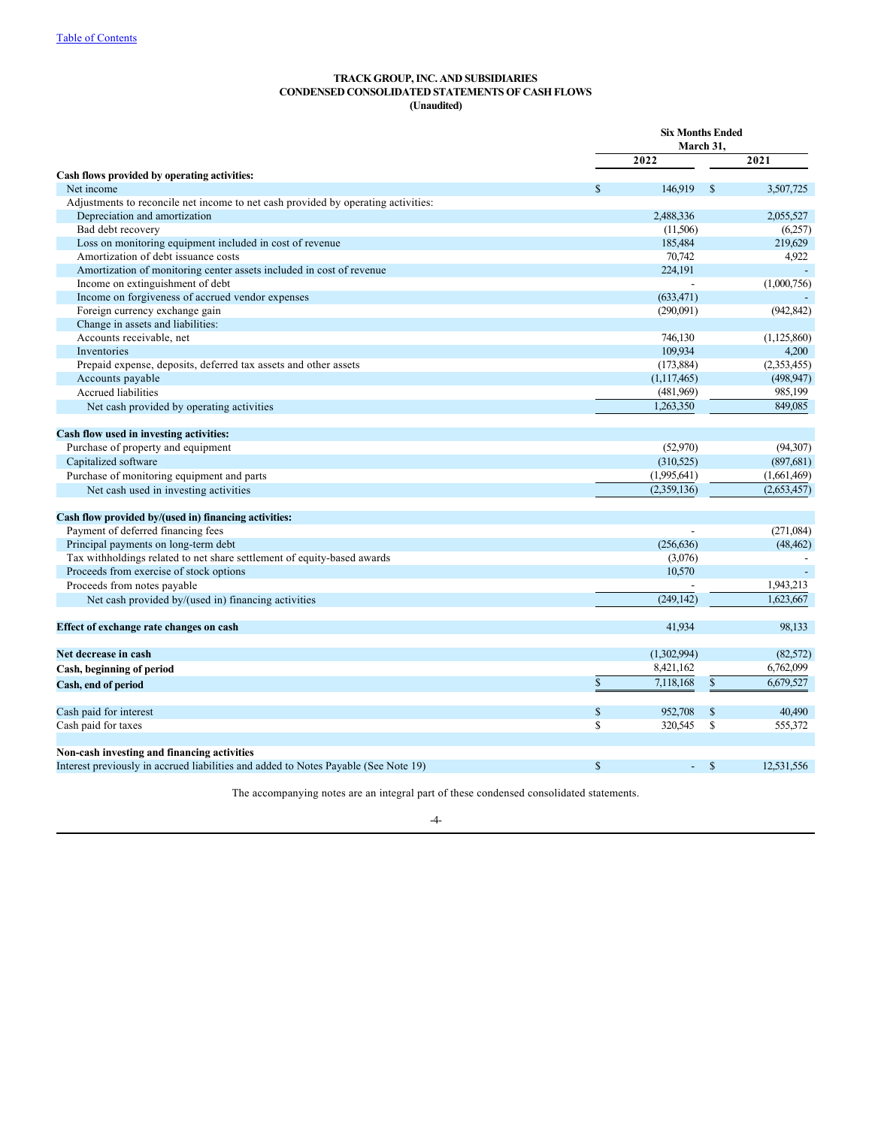# <span id="page-5-0"></span>**TRACK GROUP, INC. AND SUBSIDIARIES CONDENSED CONSOLIDATED STATEMENTS OF CASH FLOWS (Unaudited)**

|                                                                                     | <b>Six Months Ended</b><br>March 31, |             |               |             |  |
|-------------------------------------------------------------------------------------|--------------------------------------|-------------|---------------|-------------|--|
|                                                                                     |                                      | 2022        |               | 2021        |  |
| Cash flows provided by operating activities:                                        |                                      |             |               |             |  |
| Net income                                                                          | \$                                   | 146,919     | <sup>\$</sup> | 3,507,725   |  |
| Adjustments to reconcile net income to net cash provided by operating activities:   |                                      |             |               |             |  |
| Depreciation and amortization                                                       |                                      | 2.488.336   |               | 2.055.527   |  |
| Bad debt recovery                                                                   |                                      | (11,506)    |               | (6,257)     |  |
| Loss on monitoring equipment included in cost of revenue                            |                                      | 185,484     |               | 219,629     |  |
| Amortization of debt issuance costs                                                 |                                      | 70,742      |               | 4,922       |  |
| Amortization of monitoring center assets included in cost of revenue                |                                      | 224.191     |               |             |  |
| Income on extinguishment of debt                                                    |                                      |             |               | (1,000,756) |  |
| Income on forgiveness of accrued vendor expenses                                    |                                      | (633, 471)  |               |             |  |
| Foreign currency exchange gain                                                      |                                      | (290,091)   |               | (942, 842)  |  |
| Change in assets and liabilities:                                                   |                                      |             |               |             |  |
| Accounts receivable, net                                                            |                                      | 746,130     |               | (1,125,860) |  |
| Inventories                                                                         |                                      | 109,934     |               | 4,200       |  |
| Prepaid expense, deposits, deferred tax assets and other assets                     |                                      | (173, 884)  |               | (2,353,455) |  |
| Accounts payable                                                                    |                                      | (1,117,465) |               | (498, 947)  |  |
| Accrued liabilities                                                                 |                                      | (481,969)   |               | 985,199     |  |
| Net cash provided by operating activities                                           |                                      | 1,263,350   |               | 849,085     |  |
| Cash flow used in investing activities:                                             |                                      |             |               |             |  |
| Purchase of property and equipment                                                  |                                      | (52,970)    |               | (94, 307)   |  |
| Capitalized software                                                                |                                      | (310, 525)  |               | (897, 681)  |  |
| Purchase of monitoring equipment and parts                                          |                                      | (1,995,641) |               | (1,661,469) |  |
| Net cash used in investing activities                                               |                                      | (2,359,136) |               | (2,653,457) |  |
| Cash flow provided by/(used in) financing activities:                               |                                      |             |               |             |  |
| Payment of deferred financing fees                                                  |                                      |             |               | (271,084)   |  |
| Principal payments on long-term debt                                                |                                      | (256, 636)  |               | (48, 462)   |  |
| Tax withholdings related to net share settlement of equity-based awards             |                                      | (3,076)     |               |             |  |
| Proceeds from exercise of stock options                                             |                                      | 10,570      |               |             |  |
| Proceeds from notes payable                                                         |                                      |             |               | 1,943,213   |  |
| Net cash provided by/(used in) financing activities                                 |                                      | (249, 142)  |               | 1.623.667   |  |
| Effect of exchange rate changes on cash                                             |                                      | 41.934      |               | 98,133      |  |
|                                                                                     |                                      |             |               |             |  |
| Net decrease in cash                                                                |                                      | (1,302,994) |               | (82, 572)   |  |
| Cash, beginning of period                                                           |                                      | 8,421,162   |               | 6,762,099   |  |
| Cash, end of period                                                                 | $\mathbb{S}$                         | 7,118,168   | \$            | 6,679,527   |  |
| Cash paid for interest                                                              | \$                                   | 952,708     | \$            | 40,490      |  |
| Cash paid for taxes                                                                 | \$                                   | 320,545     | \$            | 555,372     |  |
| Non-cash investing and financing activities                                         |                                      |             |               |             |  |
| Interest previously in accrued liabilities and added to Notes Payable (See Note 19) | $\mathbf S$                          |             | $\mathbf{s}$  | 12.531.556  |  |

The accompanying notes are an integral part of these condensed consolidated statements.

# -4-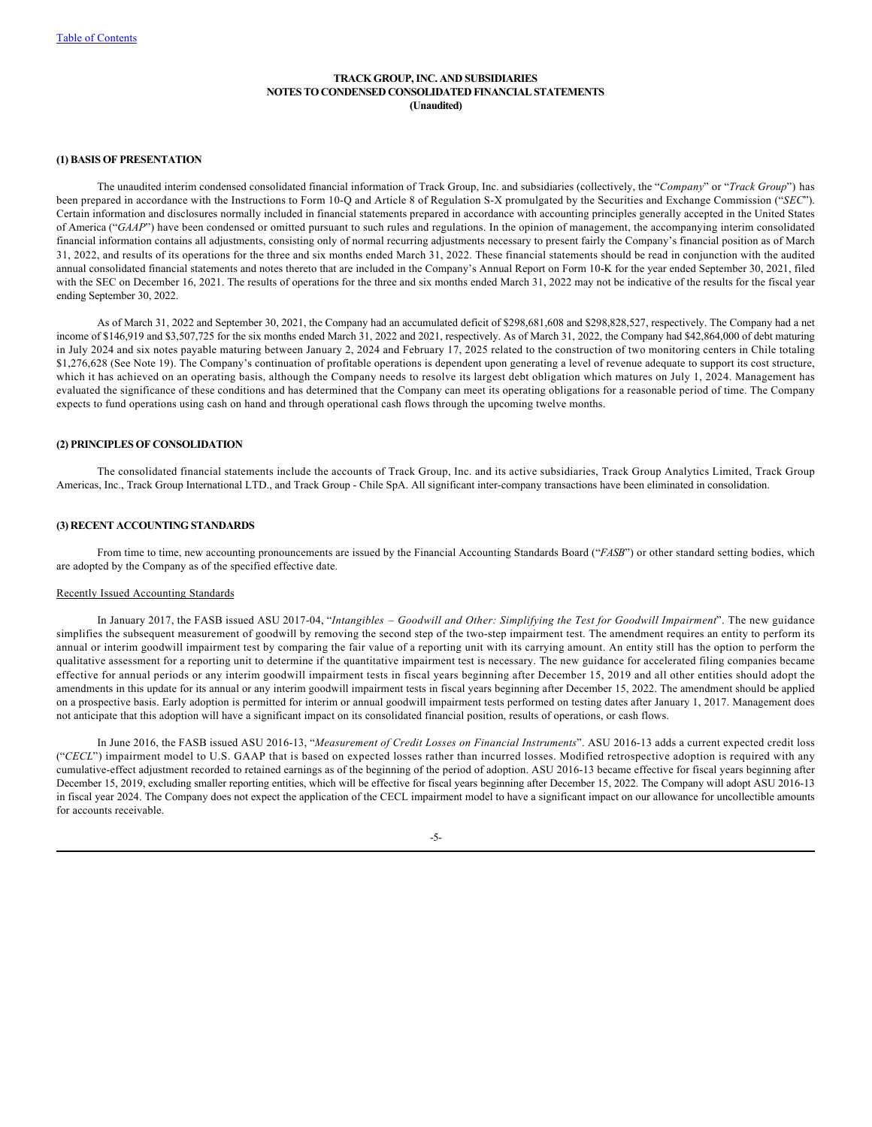## <span id="page-6-0"></span>**TRACK GROUP, INC. AND SUBSIDIARIES NOTES TO CONDENSED CONSOLIDATED FINANCIAL STATEMENTS (Unaudited)**

#### **(1) BASIS OF PRESENTATION**

The unaudited interim condensed consolidated financial information of Track Group, Inc. and subsidiaries (collectively, the "*Company*" or "*Track Group*") has been prepared in accordance with the Instructions to Form 10-Q and Article 8 of Regulation S-X promulgated by the Securities and Exchange Commission ("*SEC*"). Certain information and disclosures normally included in financial statements prepared in accordance with accounting principles generally accepted in the United States of America ("*GAAP*") have been condensed or omitted pursuant to such rules and regulations. In the opinion of management, the accompanying interim consolidated financial information contains all adjustments, consisting only of normal recurring adjustments necessary to present fairly the Company's financial position as of March 31, 2022, and results of its operations for the three and six months ended March 31, 2022. These financial statements should be read in conjunction with the audited annual consolidated financial statements and notes thereto that are included in the Company's Annual Report on Form 10-K for the year ended September 30, 2021, filed with the SEC on December 16, 2021. The results of operations for the three and six months ended March 31, 2022 may not be indicative of the results for the fiscal year ending September 30, 2022.

As of March 31, 2022 and September 30, 2021, the Company had an accumulated deficit of \$298,681,608 and \$298,828,527, respectively. The Company had a net income of \$146,919 and \$3,507,725 for the six months ended March 31, 2022 and 2021, respectively. As of March 31, 2022, the Company had \$42,864,000 of debt maturing in July 2024 and six notes payable maturing between January 2, 2024 and February 17, 2025 related to the construction of two monitoring centers in Chile totaling \$1,276,628 (See Note 19). The Company's continuation of profitable operations is dependent upon generating a level of revenue adequate to support its cost structure, which it has achieved on an operating basis, although the Company needs to resolve its largest debt obligation which matures on July 1, 2024. Management has evaluated the significance of these conditions and has determined that the Company can meet its operating obligations for a reasonable period of time. The Company expects to fund operations using cash on hand and through operational cash flows through the upcoming twelve months.

# **(2) PRINCIPLES OF CONSOLIDATION**

The consolidated financial statements include the accounts of Track Group, Inc. and its active subsidiaries, Track Group Analytics Limited, Track Group Americas, Inc., Track Group International LTD., and Track Group - Chile SpA. All significant inter-company transactions have been eliminated in consolidation.

## **(3) RECENT ACCOUNTING STANDARDS**

From time to time, new accounting pronouncements are issued by the Financial Accounting Standards Board ("*FASB*") or other standard setting bodies, which are adopted by the Company as of the specified effective date.

# Recently Issued Accounting Standards

In January 2017, the FASB issued ASU 2017-04, "*Intangibles*  – *Goodwill and Other: Simplifying the Test for Goodwill Impairment*". The new guidance simplifies the subsequent measurement of goodwill by removing the second step of the two-step impairment test. The amendment requires an entity to perform its annual or interim goodwill impairment test by comparing the fair value of a reporting unit with its carrying amount. An entity still has the option to perform the qualitative assessment for a reporting unit to determine if the quantitative impairment test is necessary. The new guidance for accelerated filing companies became effective for annual periods or any interim goodwill impairment tests in fiscal years beginning after December 15, 2019 and all other entities should adopt the amendments in this update for its annual or any interim goodwill impairment tests in fiscal years beginning after December 15, 2022. The amendment should be applied on a prospective basis. Early adoption is permitted for interim or annual goodwill impairment tests performed on testing dates after January 1, 2017. Management does not anticipate that this adoption will have a significant impact on its consolidated financial position, results of operations, or cash flows.

In June 2016, the FASB issued ASU 2016-13, "*Measurement of Credit Losses on Financial Instruments*". ASU 2016-13 adds a current expected credit loss ("CECL") impairment model to U.S. GAAP that is based on expected losses rather than incurred losses. Modified retrospective adoption is required with any cumulative-effect adjustment recorded to retained earnings as of the beginning of the period of adoption. ASU 2016-13 became effective for fiscal years beginning after December 15, 2019, excluding smaller reporting entities, which will be effective for fiscal years beginning after December 15, 2022. The Company will adopt ASU 2016-13 in fiscal year 2024. The Company does not expect the application of the CECL impairment model to have a significant impact on our allowance for uncollectible amounts for accounts receivable.

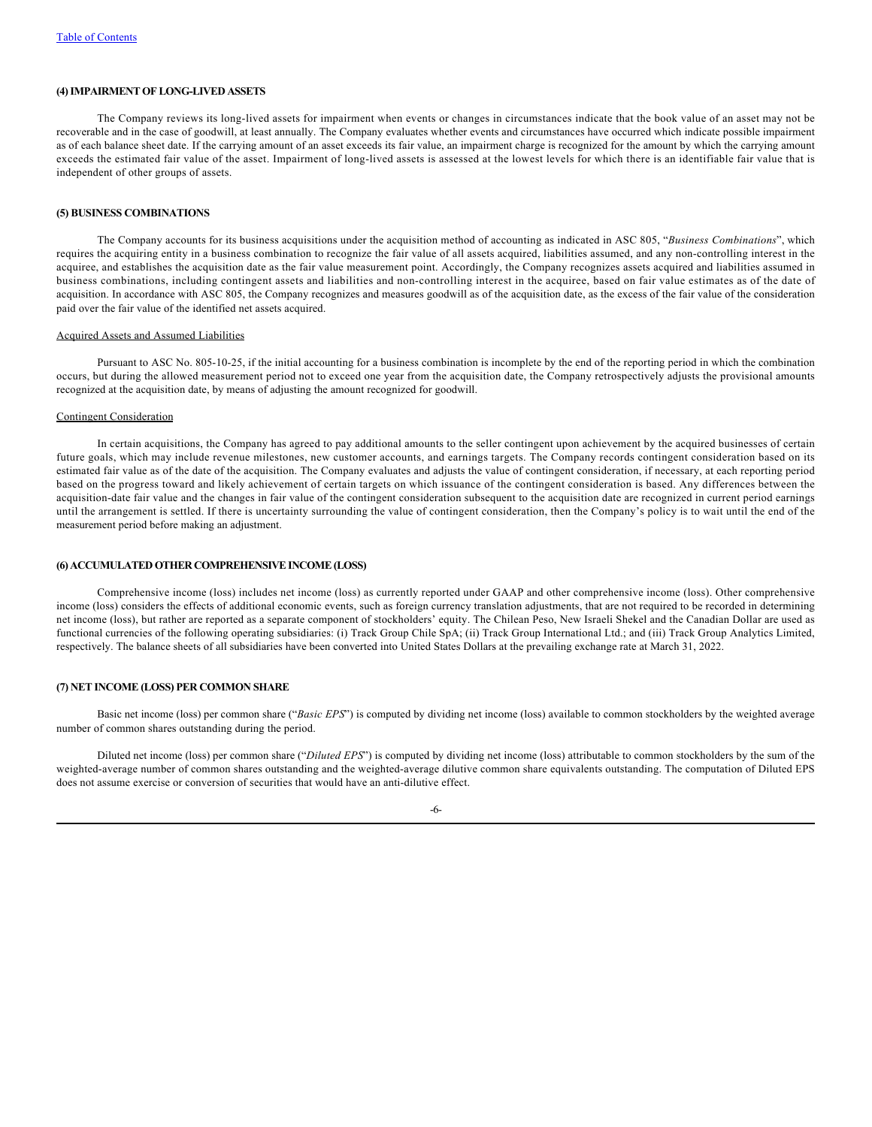## **(4) IMPAIRMENT OF LONG-LIVED ASSETS**

The Company reviews its long-lived assets for impairment when events or changes in circumstances indicate that the book value of an asset may not be recoverable and in the case of goodwill, at least annually. The Company evaluates whether events and circumstances have occurred which indicate possible impairment as of each balance sheet date. If the carrying amount of an asset exceeds its fair value, an impairment charge is recognized for the amount by which the carrying amount exceeds the estimated fair value of the asset. Impairment of long-lived assets is assessed at the lowest levels for which there is an identifiable fair value that is independent of other groups of assets.

#### **(5) BUSINESS COMBINATIONS**

The Company accounts for its business acquisitions under the acquisition method of accounting as indicated in ASC 805, "*Business Combinations*", which requires the acquiring entity in a business combination to recognize the fair value of all assets acquired, liabilities assumed, and any non-controlling interest in the acquiree, and establishes the acquisition date as the fair value measurement point. Accordingly, the Company recognizes assets acquired and liabilities assumed in business combinations, including contingent assets and liabilities and non-controlling interest in the acquiree, based on fair value estimates as of the date of acquisition. In accordance with ASC 805, the Company recognizes and measures goodwill as of the acquisition date, as the excess of the fair value of the consideration paid over the fair value of the identified net assets acquired.

#### Acquired Assets and Assumed Liabilities

Pursuant to ASC No. 805-10-25, if the initial accounting for a business combination is incomplete by the end of the reporting period in which the combination occurs, but during the allowed measurement period not to exceed one year from the acquisition date, the Company retrospectively adjusts the provisional amounts recognized at the acquisition date, by means of adjusting the amount recognized for goodwill.

#### Contingent Consideration

In certain acquisitions, the Company has agreed to pay additional amounts to the seller contingent upon achievement by the acquired businesses of certain future goals, which may include revenue milestones, new customer accounts, and earnings targets. The Company records contingent consideration based on its estimated fair value as of the date of the acquisition. The Company evaluates and adjusts the value of contingent consideration, if necessary, at each reporting period based on the progress toward and likely achievement of certain targets on which issuance of the contingent consideration is based. Any differences between the acquisition-date fair value and the changes in fair value of the contingent consideration subsequent to the acquisition date are recognized in current period earnings until the arrangement is settled. If there is uncertainty surrounding the value of contingent consideration, then the Company's policy is to wait until the end of the measurement period before making an adjustment.

# **(6) ACCUMULATED OTHER COMPREHENSIVE INCOME (LOSS)**

Comprehensive income (loss) includes net income (loss) as currently reported under GAAP and other comprehensive income (loss). Other comprehensive income (loss) considers the effects of additional economic events, such as foreign currency translation adjustments, that are not required to be recorded in determining net income (loss), but rather are reported as a separate component of stockholders' equity. The Chilean Peso, New Israeli Shekel and the Canadian Dollar are used as functional currencies of the following operating subsidiaries: (i) Track Group Chile SpA; (ii) Track Group International Ltd.; and (iii) Track Group Analytics Limited, respectively. The balance sheets of all subsidiaries have been converted into United States Dollars at the prevailing exchange rate at March 31, 2022.

# **(7) NET INCOME (LOSS) PER COMMON SHARE**

Basic net income (loss) per common share ("*Basic EPS*") is computed by dividing net income (loss) available to common stockholders by the weighted average number of common shares outstanding during the period.

Diluted net income (loss) per common share ("*Diluted EPS*") is computed by dividing net income (loss) attributable to common stockholders by the sum of the weighted-average number of common shares outstanding and the weighted-average dilutive common share equivalents outstanding. The computation of Diluted EPS does not assume exercise or conversion of securities that would have an anti-dilutive effect.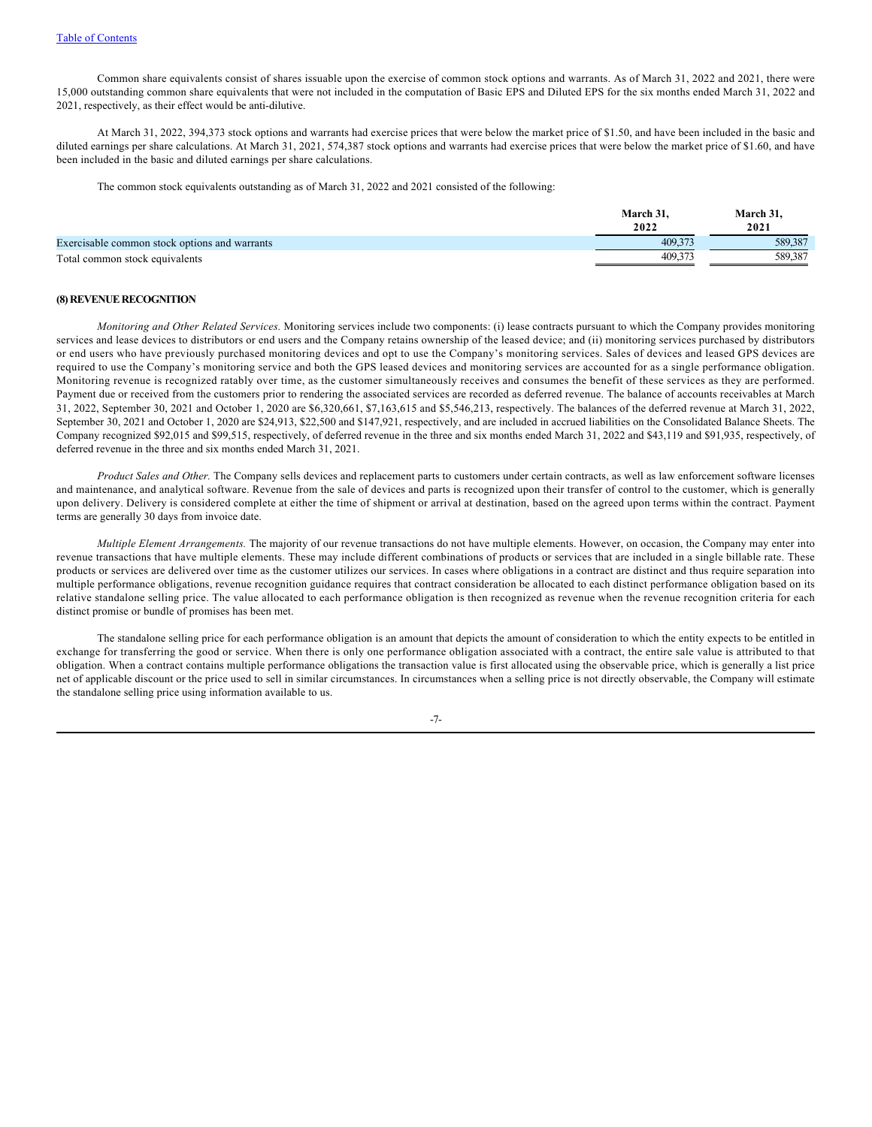Common share equivalents consist of shares issuable upon the exercise of common stock options and warrants. As of March 31, 2022 and 2021, there were 15,000 outstanding common share equivalents that were not included in the computation of Basic EPS and Diluted EPS for the six months ended March 31, 2022 and 2021, respectively, as their effect would be anti-dilutive.

At March 31, 2022, 394,373 stock options and warrants had exercise prices that were below the market price of \$1.50, and have been included in the basic and diluted earnings per share calculations. At March 31, 2021, 574,387 stock options and warrants had exercise prices that were below the market price of \$1.60, and have been included in the basic and diluted earnings per share calculations.

The common stock equivalents outstanding as of March 31, 2022 and 2021 consisted of the following:

|                                               | March 31. | March 31. |
|-----------------------------------------------|-----------|-----------|
|                                               | 2022      | 2021      |
| Exercisable common stock options and warrants | 409.37    | 589.387   |
| Total common stock equivalents                | 409.37    | 589.387   |

### **(8) REVENUE RECOGNITION**

*Monitoring and Other Related Services.* Monitoring services include two components: (i) lease contracts pursuant to which the Company provides monitoring services and lease devices to distributors or end users and the Company retains ownership of the leased device; and (ii) monitoring services purchased by distributors or end users who have previously purchased monitoring devices and opt to use the Company's monitoring services. Sales of devices and leased GPS devices are required to use the Company's monitoring service and both the GPS leased devices and monitoring services are accounted for as a single performance obligation. Monitoring revenue is recognized ratably over time, as the customer simultaneously receives and consumes the benefit of these services as they are performed. Payment due or received from the customers prior to rendering the associated services are recorded as deferred revenue. The balance of accounts receivables at March 31, 2022, September 30, 2021 and October 1, 2020 are \$6,320,661, \$7,163,615 and \$5,546,213, respectively. The balances of the deferred revenue at March 31, 2022, September 30, 2021 and October 1, 2020 are \$24,913, \$22,500 and \$147,921, respectively, and are included in accrued liabilities on the Consolidated Balance Sheets. The Company recognized \$92,015 and \$99,515, respectively, of deferred revenue in the three and six months ended March 31, 2022 and \$43,119 and \$91,935, respectively, of deferred revenue in the three and six months ended March 31, 2021.

*Product Sales and Other.* The Company sells devices and replacement parts to customers under certain contracts, as well as law enforcement software licenses and maintenance, and analytical software. Revenue from the sale of devices and parts is recognized upon their transfer of control to the customer, which is generally upon delivery. Delivery is considered complete at either the time of shipment or arrival at destination, based on the agreed upon terms within the contract. Payment terms are generally 30 days from invoice date.

*Multiple Element Arrangements.* The majority of our revenue transactions do not have multiple elements. However, on occasion, the Company may enter into revenue transactions that have multiple elements. These may include different combinations of products or services that are included in a single billable rate. These products or services are delivered over time as the customer utilizes our services. In cases where obligations in a contract are distinct and thus require separation into multiple performance obligations, revenue recognition guidance requires that contract consideration be allocated to each distinct performance obligation based on its relative standalone selling price. The value allocated to each performance obligation is then recognized as revenue when the revenue recognition criteria for each distinct promise or bundle of promises has been met.

The standalone selling price for each performance obligation is an amount that depicts the amount of consideration to which the entity expects to be entitled in exchange for transferring the good or service. When there is only one performance obligation associated with a contract, the entire sale value is attributed to that obligation. When a contract contains multiple performance obligations the transaction value is first allocated using the observable price, which is generally a list price net of applicable discount or the price used to sell in similar circumstances. In circumstances when a selling price is not directly observable, the Company will estimate the standalone selling price using information available to us.

-7-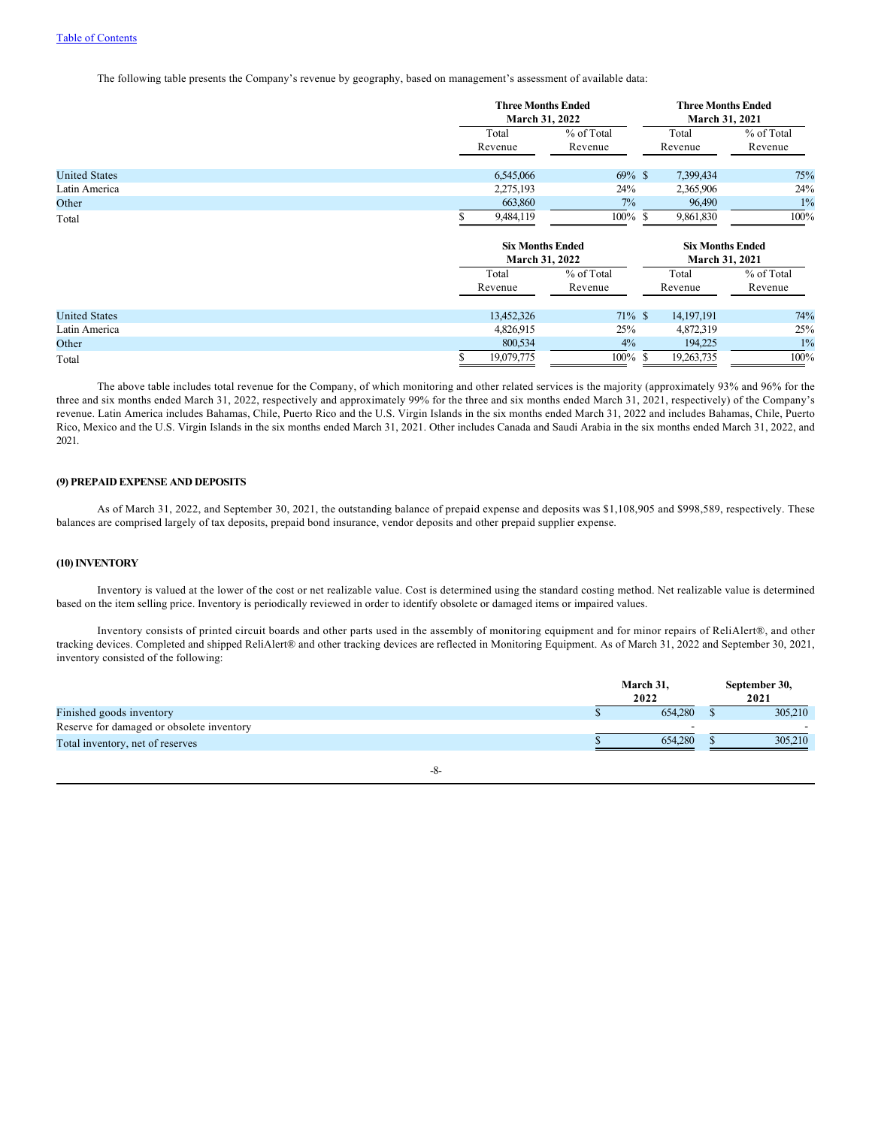The following table presents the Company's revenue by geography, based on management's assessment of available data:

|                      | <b>Three Months Ended</b><br>March 31, 2022 |            | <b>Three Months Ended</b><br>March 31, 2021 |            |  |  |
|----------------------|---------------------------------------------|------------|---------------------------------------------|------------|--|--|
|                      | Total                                       | % of Total | Total                                       | % of Total |  |  |
|                      | Revenue                                     | Revenue    | Revenue                                     | Revenue    |  |  |
| <b>United States</b> | 6,545,066                                   | $69\%$ \$  | 7,399,434                                   | 75%        |  |  |
| Latin America        | 2,275,193                                   | 24%        | 2,365,906                                   | 24%        |  |  |
| Other                | 663,860                                     | 7%         | 96,490                                      | $1\%$      |  |  |
| Total                | 9,484,119                                   | $100\%$ \$ | 9,861,830                                   | $100\%$    |  |  |
|                      | <b>Six Months Ended</b><br>March 31, 2022   |            | <b>Six Months Ended</b><br>March 31, 2021   |            |  |  |
|                      | Total                                       | % of Total | Total                                       | % of Total |  |  |
|                      | Revenue                                     | Revenue    | Revenue                                     | Revenue    |  |  |
| <b>United States</b> | 13,452,326                                  | $71\%$ \$  | 14, 197, 191                                | 74%        |  |  |
| Latin America        | 4,826,915                                   | 25%        | 4,872,319                                   | 25%        |  |  |
| Other                | 800,534                                     | 4%         | 194,225                                     | $1\%$      |  |  |
| Total                | 19,079,775                                  | $100\%$ \$ | 19,263,735                                  | $100\%$    |  |  |

The above table includes total revenue for the Company, of which monitoring and other related services is the majority (approximately 93% and 96% for the three and six months ended March 31, 2022, respectively and approximately 99% for the three and six months ended March 31, 2021, respectively) of the Company's revenue. Latin America includes Bahamas, Chile, Puerto Rico and the U.S. Virgin Islands in the six months ended March 31, 2022 and includes Bahamas, Chile, Puerto Rico, Mexico and the U.S. Virgin Islands in the six months ended March 31, 2021. Other includes Canada and Saudi Arabia in the six months ended March 31, 2022, and 2021.

## **(9) PREPAID EXPENSE AND DEPOSITS**

As of March 31, 2022, and September 30, 2021, the outstanding balance of prepaid expense and deposits was \$1,108,905 and \$998,589, respectively. These balances are comprised largely of tax deposits, prepaid bond insurance, vendor deposits and other prepaid supplier expense.

## **(10) INVENTORY**

Inventory is valued at the lower of the cost or net realizable value. Cost is determined using the standard costing method. Net realizable value is determined based on the item selling price. Inventory is periodically reviewed in order to identify obsolete or damaged items or impaired values.

Inventory consists of printed circuit boards and other parts used in the assembly of monitoring equipment and for minor repairs of ReliAlert®, and other tracking devices. Completed and shipped ReliAlert® and other tracking devices are reflected in Monitoring Equipment. As of March 31, 2022 and September 30, 2021, inventory consisted of the following:

|                                           | March 31,<br>2022 | September 30,<br>2021 |
|-------------------------------------------|-------------------|-----------------------|
| Finished goods inventory                  | 654,280           | 305,210               |
| Reserve for damaged or obsolete inventory |                   |                       |
| Total inventory, net of reserves          | 654,280           | 305,210               |
| -8-                                       |                   |                       |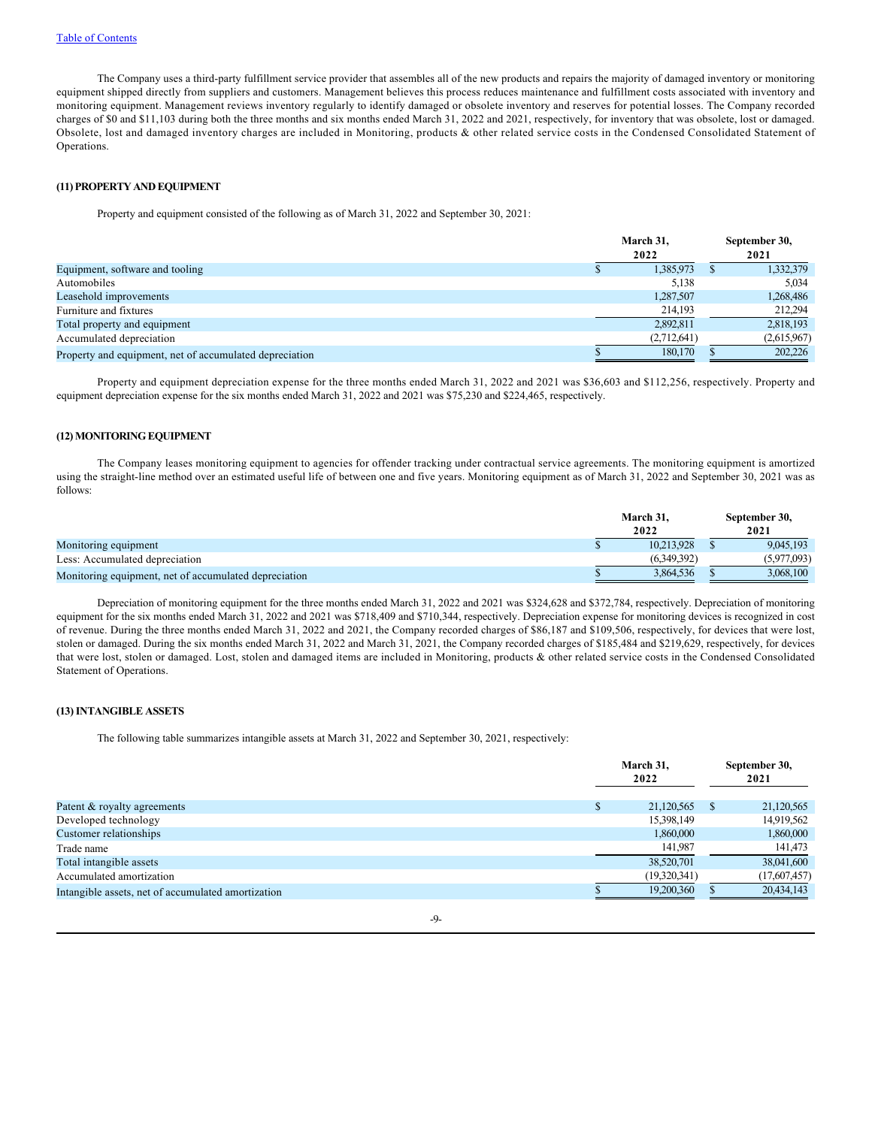The Company uses a third-party fulfillment service provider that assembles all of the new products and repairs the majority of damaged inventory or monitoring equipment shipped directly from suppliers and customers. Management believes this process reduces maintenance and fulfillment costs associated with inventory and monitoring equipment. Management reviews inventory regularly to identify damaged or obsolete inventory and reserves for potential losses. The Company recorded charges of \$0 and \$11,103 during both the three months and six months ended March 31, 2022 and 2021, respectively, for inventory that was obsolete, lost or damaged. Obsolete, lost and damaged inventory charges are included in Monitoring, products & other related service costs in the Condensed Consolidated Statement of Operations.

### **(11) PROPERTY AND EQUIPMENT**

Property and equipment consisted of the following as of March 31, 2022 and September 30, 2021:

|                                                         |  | March 31,<br>2022 | September 30,<br>2021 |
|---------------------------------------------------------|--|-------------------|-----------------------|
| Equipment, software and tooling                         |  | 1,385,973         | 1,332,379             |
| Automobiles                                             |  | 5,138             | 5,034                 |
| Leasehold improvements                                  |  | 1,287,507         | 1,268,486             |
| Furniture and fixtures                                  |  | 214,193           | 212,294               |
| Total property and equipment                            |  | 2,892,811         | 2,818,193             |
| Accumulated depreciation                                |  | (2,712,641)       | (2,615,967)           |
| Property and equipment, net of accumulated depreciation |  | 180,170           | 202,226               |

Property and equipment depreciation expense for the three months ended March 31, 2022 and 2021 was \$36,603 and \$112,256, respectively. Property and equipment depreciation expense for the six months ended March 31, 2022 and 2021 was \$75,230 and \$224,465, respectively.

## **(12) MONITORING EQUIPMENT**

The Company leases monitoring equipment to agencies for offender tracking under contractual service agreements. The monitoring equipment is amortized using the straight-line method over an estimated useful life of between one and five years. Monitoring equipment as of March 31, 2022 and September 30, 2021 was as follows:

|                                                       |  | March 31.<br>2022 | September 30,<br>2021 |
|-------------------------------------------------------|--|-------------------|-----------------------|
| Monitoring equipment                                  |  | 10.213.928        | 9.045.193             |
| Less: Accumulated depreciation                        |  | (6.349.392)       | (5.977.093)           |
| Monitoring equipment, net of accumulated depreciation |  | 3.864.536         | 3,068,100             |

Depreciation of monitoring equipment for the three months ended March 31, 2022 and 2021 was \$324,628 and \$372,784, respectively. Depreciation of monitoring equipment for the six months ended March 31, 2022 and 2021 was \$718,409 and \$710,344, respectively. Depreciation expense for monitoring devices is recognized in cost of revenue. During the three months ended March 31, 2022 and 2021, the Company recorded charges of \$86,187 and \$109,506, respectively, for devices that were lost, stolen or damaged. During the six months ended March 31, 2022 and March 31, 2021, the Company recorded charges of \$185,484 and \$219,629, respectively, for devices that were lost, stolen or damaged. Lost, stolen and damaged items are included in Monitoring, products & other related service costs in the Condensed Consolidated Statement of Operations.

# **(13) INTANGIBLE ASSETS**

The following table summarizes intangible assets at March 31, 2022 and September 30, 2021, respectively:

|                                                    |   | March 31,<br>2022 |              | September 30,<br>2021 |
|----------------------------------------------------|---|-------------------|--------------|-----------------------|
| Patent & royalty agreements                        | Ф | 21,120,565        | $\mathbf{s}$ | 21,120,565            |
| Developed technology                               |   | 15,398,149        |              | 14,919,562            |
| Customer relationships                             |   | 1,860,000         |              | 1,860,000             |
| Trade name                                         |   | 141,987           |              | 141,473               |
| Total intangible assets                            |   | 38,520,701        |              | 38,041,600            |
| Accumulated amortization                           |   | (19,320,341)      |              | (17,607,457)          |
| Intangible assets, net of accumulated amortization |   | 19,200,360        |              | 20,434,143            |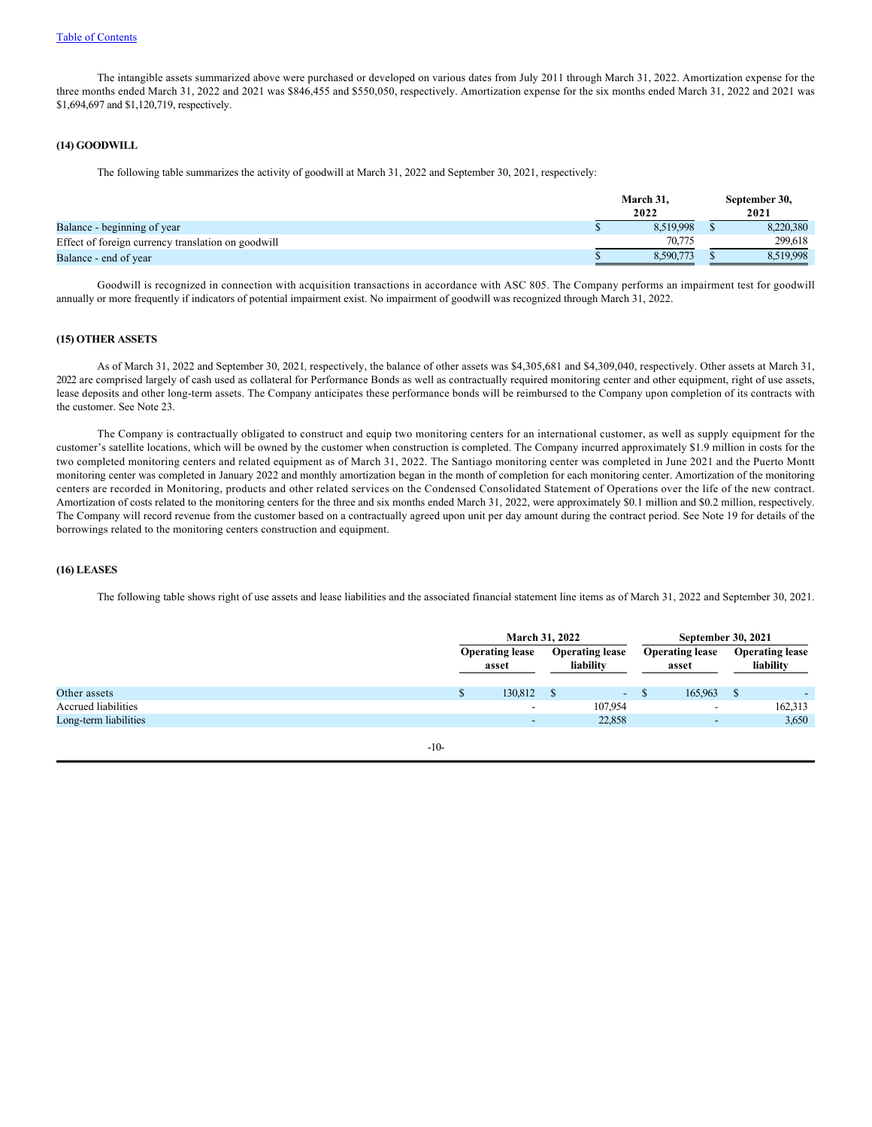The intangible assets summarized above were purchased or developed on various dates from July 2011 through March 31, 2022. Amortization expense for the three months ended March 31, 2022 and 2021 was \$846,455 and \$550,050, respectively. Amortization expense for the six months ended March 31, 2022 and 2021 was \$1,694,697 and \$1,120,719, respectively.

#### **(14) GOODWILL**

The following table summarizes the activity of goodwill at March 31, 2022 and September 30, 2021, respectively:

|                                                    | March 31,<br>2022 | September 30,<br>2021 |
|----------------------------------------------------|-------------------|-----------------------|
| Balance - beginning of year                        | 8.519.998         | 8,220,380             |
| Effect of foreign currency translation on goodwill | 70,775            | 299.618               |
| Balance - end of year                              | 8.590.773         | 8.519.998             |

Goodwill is recognized in connection with acquisition transactions in accordance with ASC 805. The Company performs an impairment test for goodwill annually or more frequently if indicators of potential impairment exist. No impairment of goodwill was recognized through March 31, 2022.

#### **(15) OTHER ASSETS**

As of March 31, 2022 and September 30, 2021*,* respectively, the balance of other assets was \$4,305,681 and \$4,309,040, respectively. Other assets at March 31, 2022 are comprised largely of cash used as collateral for Performance Bonds as well as contractually required monitoring center and other equipment, right of use assets, lease deposits and other long-term assets. The Company anticipates these performance bonds will be reimbursed to the Company upon completion of its contracts with the customer. See Note 23.

The Company is contractually obligated to construct and equip two monitoring centers for an international customer, as well as supply equipment for the customer's satellite locations, which will be owned by the customer when construction is completed. The Company incurred approximately \$1.9 million in costs for the two completed monitoring centers and related equipment as of March 31, 2022. The Santiago monitoring center was completed in June 2021 and the Puerto Montt monitoring center was completed in January 2022 and monthly amortization began in the month of completion for each monitoring center. Amortization of the monitoring centers are recorded in Monitoring, products and other related services on the Condensed Consolidated Statement of Operations over the life of the new contract. Amortization of costs related to the monitoring centers for the three and six months ended March 31, 2022, were approximately \$0.1 million and \$0.2 million, respectively. The Company will record revenue from the customer based on a contractually agreed upon unit per day amount during the contract period. See Note 19 for details of the borrowings related to the monitoring centers construction and equipment.

## **(16) LEASES**

The following table shows right of use assets and lease liabilities and the associated financial statement line items as of March 31, 2022 and September 30, 2021.

|                       |          |                                                                        | March 31, 2022 | <b>September 30, 2021</b>       |                                          |  |  |
|-----------------------|----------|------------------------------------------------------------------------|----------------|---------------------------------|------------------------------------------|--|--|
|                       |          | <b>Operating lease</b><br><b>Operating lease</b><br>liability<br>asset |                | <b>Operating lease</b><br>asset | <b>Operating lease</b><br>liability      |  |  |
| Other assets          | <b>D</b> | 130,812                                                                | $\sim$         | 165,963<br><sup>S</sup>         | <sup>S</sup><br>$\overline{\phantom{0}}$ |  |  |
| Accrued liabilities   |          | $\overline{\phantom{0}}$                                               | 107.954        | $\overline{\phantom{a}}$        | 162,313                                  |  |  |
| Long-term liabilities |          | -                                                                      | 22,858         | $\sim$                          | 3,650                                    |  |  |
|                       | $-10-$   |                                                                        |                |                                 |                                          |  |  |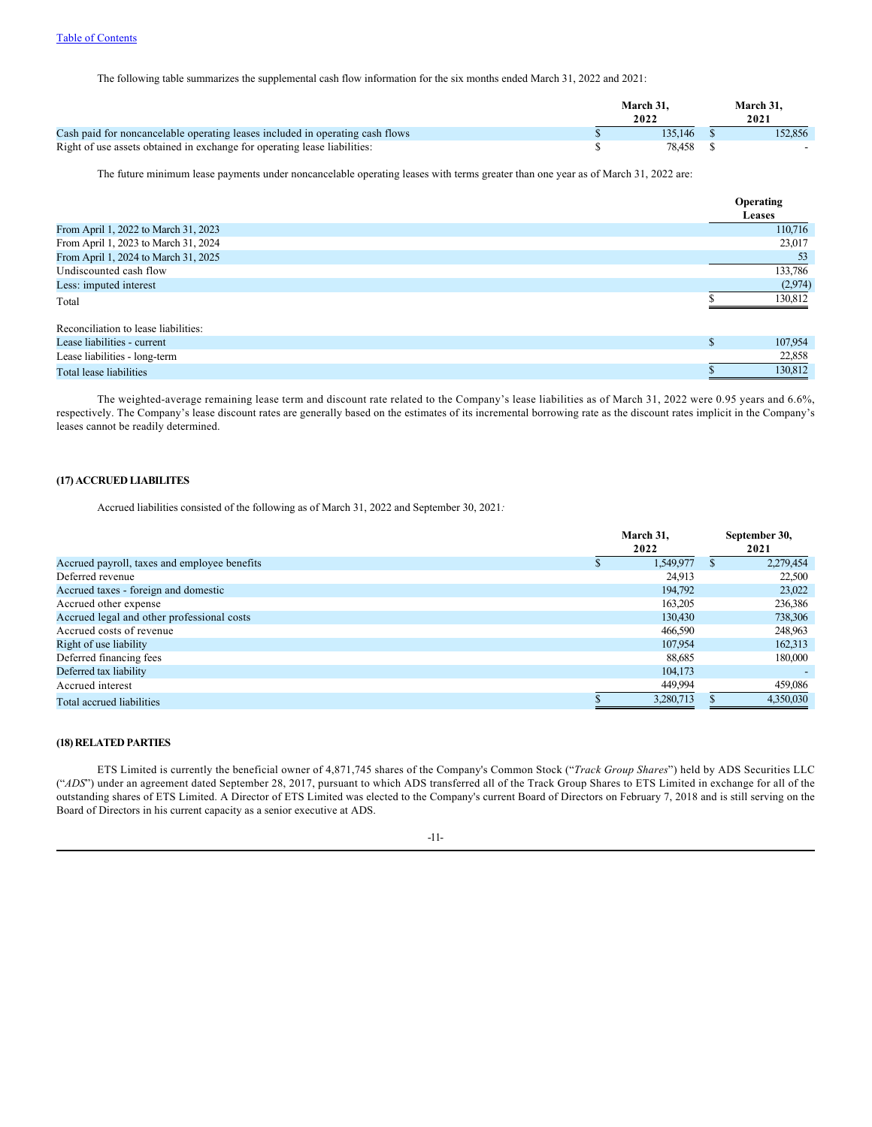The following table summarizes the supplemental cash flow information for the six months ended March 31, 2022 and 2021:

|                                                                               | March 31.<br>2022 | March 31.<br>2021 |
|-------------------------------------------------------------------------------|-------------------|-------------------|
| Cash paid for noncancelable operating leases included in operating cash flows | 135,146           | 152.856           |
| Right of use assets obtained in exchange for operating lease liabilities:     | 78.458            |                   |

The future minimum lease payments under noncancelable operating leases with terms greater than one year as of March 31, 2022 are:

|              | Operating     |
|--------------|---------------|
|              | <b>Leases</b> |
|              | 110,716       |
|              | 23,017        |
|              | 53            |
|              | 133,786       |
|              | (2,974)       |
|              | 130,812       |
|              |               |
|              |               |
| <sup>S</sup> | 107,954       |
|              | 22,858        |
|              | 130,812       |
|              |               |

The weighted-average remaining lease term and discount rate related to the Company's lease liabilities as of March 31, 2022 were 0.95 years and 6.6%, respectively. The Company's lease discount rates are generally based on the estimates of its incremental borrowing rate as the discount rates implicit in the Company's leases cannot be readily determined.

## **(17) ACCRUED LIABILITES**

Accrued liabilities consisted of the following as of March 31, 2022 and September 30, 2021*:*

|                                              | March 31,<br>2022 | September 30,<br>2021 |
|----------------------------------------------|-------------------|-----------------------|
| Accrued payroll, taxes and employee benefits | 1,549,977         | 2,279,454             |
| Deferred revenue                             | 24.913            | 22,500                |
| Accrued taxes - foreign and domestic         | 194,792           | 23,022                |
| Accrued other expense                        | 163,205           | 236,386               |
| Accrued legal and other professional costs   | 130,430           | 738,306               |
| Accrued costs of revenue                     | 466,590           | 248,963               |
| Right of use liability                       | 107,954           | 162,313               |
| Deferred financing fees                      | 88.685            | 180,000               |
| Deferred tax liability                       | 104,173           |                       |
| Accrued interest                             | 449,994           | 459,086               |
| Total accrued liabilities                    | 3.280.713         | 4,350,030             |

# **(18) RELATED PARTIES**

ETS Limited is currently the beneficial owner of 4,871,745 shares of the Company's Common Stock ("*Track Group Shares*") held by ADS Securities LLC ("*ADS*") under an agreement dated September 28, 2017, pursuant to which ADS transferred all of the Track Group Shares to ETS Limited in exchange for all of the outstanding shares of ETS Limited. A Director of ETS Limited was elected to the Company's current Board of Directors on February 7, 2018 and is still serving on the Board of Directors in his current capacity as a senior executive at ADS.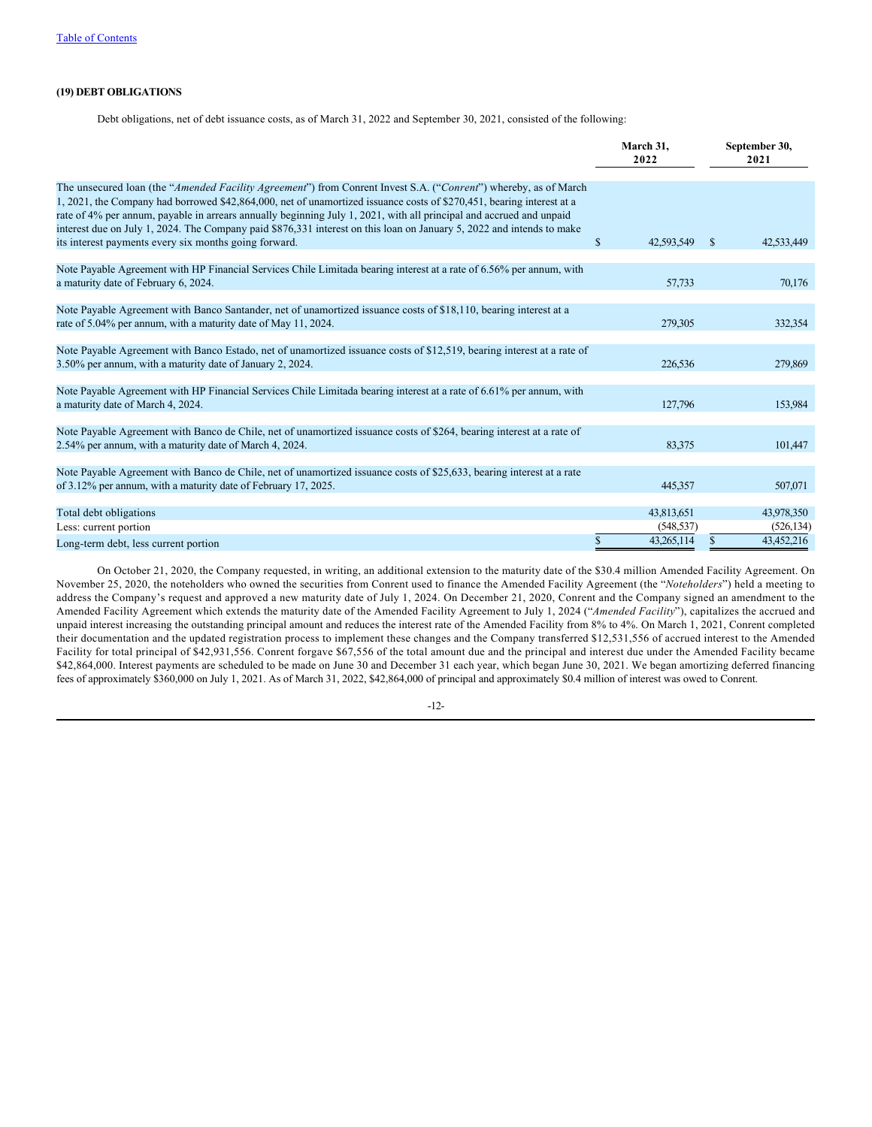# **(19) DEBT OBLIGATIONS**

Debt obligations, net of debt issuance costs, as of March 31, 2022 and September 30, 2021, consisted of the following:

|                                                                                                                                                                                                                                                                                                                                                                                                                                                                                          | March 31,<br>2022                           | September 30,<br>2021                  |
|------------------------------------------------------------------------------------------------------------------------------------------------------------------------------------------------------------------------------------------------------------------------------------------------------------------------------------------------------------------------------------------------------------------------------------------------------------------------------------------|---------------------------------------------|----------------------------------------|
| The unsecured loan (the "Amended Facility Agreement") from Conrent Invest S.A. ("Conrent") whereby, as of March<br>1, 2021, the Company had borrowed \$42,864,000, net of unamortized issuance costs of \$270,451, bearing interest at a<br>rate of 4% per annum, payable in arrears annually beginning July 1, 2021, with all principal and accrued and unpaid<br>interest due on July 1, 2024. The Company paid \$876,331 interest on this loan on January 5, 2022 and intends to make |                                             |                                        |
| its interest payments every six months going forward.                                                                                                                                                                                                                                                                                                                                                                                                                                    | $\mathbb{S}$<br>42,593,549                  | 42,533,449<br><sup>S</sup>             |
| Note Payable Agreement with HP Financial Services Chile Limitada bearing interest at a rate of 6.56% per annum, with<br>a maturity date of February 6, 2024.                                                                                                                                                                                                                                                                                                                             | 57,733                                      | 70.176                                 |
| Note Payable Agreement with Banco Santander, net of unamortized issuance costs of \$18,110, bearing interest at a<br>rate of 5.04% per annum, with a maturity date of May 11, 2024.                                                                                                                                                                                                                                                                                                      | 279,305                                     | 332,354                                |
| Note Payable Agreement with Banco Estado, net of unamortized issuance costs of \$12,519, bearing interest at a rate of<br>3.50% per annum, with a maturity date of January 2, 2024.                                                                                                                                                                                                                                                                                                      | 226,536                                     | 279,869                                |
| Note Payable Agreement with HP Financial Services Chile Limitada bearing interest at a rate of 6.61% per annum, with<br>a maturity date of March 4, 2024.                                                                                                                                                                                                                                                                                                                                | 127,796                                     | 153,984                                |
| Note Payable Agreement with Banco de Chile, net of unamortized issuance costs of \$264, bearing interest at a rate of<br>2.54% per annum, with a maturity date of March 4, 2024.                                                                                                                                                                                                                                                                                                         | 83,375                                      | 101,447                                |
| Note Payable Agreement with Banco de Chile, net of unamortized issuance costs of \$25,633, bearing interest at a rate<br>of 3.12% per annum, with a maturity date of February 17, 2025.                                                                                                                                                                                                                                                                                                  | 445,357                                     | 507,071                                |
| Total debt obligations<br>Less: current portion                                                                                                                                                                                                                                                                                                                                                                                                                                          | 43,813,651<br>(548, 537)<br>S<br>43,265,114 | 43,978,350<br>(526, 134)<br>43,452,216 |
| Long-term debt, less current portion                                                                                                                                                                                                                                                                                                                                                                                                                                                     |                                             |                                        |

On October 21, 2020, the Company requested, in writing, an additional extension to the maturity date of the \$30.4 million Amended Facility Agreement. On November 25, 2020, the noteholders who owned the securities from Conrent used to finance the Amended Facility Agreement (the "*Noteholders*") held a meeting to address the Company's request and approved a new maturity date of July 1, 2024. On December 21, 2020, Conrent and the Company signed an amendment to the Amended Facility Agreement which extends the maturity date of the Amended Facility Agreement to July 1, 2024 ("*Amended Facility*"), capitalizes the accrued and unpaid interest increasing the outstanding principal amount and reduces the interest rate of the Amended Facility from 8% to 4%. On March 1, 2021, Conrent completed their documentation and the updated registration process to implement these changes and the Company transferred \$12,531,556 of accrued interest to the Amended Facility for total principal of \$42,931,556. Conrent forgave \$67,556 of the total amount due and the principal and interest due under the Amended Facility became \$42,864,000. Interest payments are scheduled to be made on June 30 and December 31 each year, which began June 30, 2021. We began amortizing deferred financing fees of approximately \$360,000 on July 1, 2021. As of March 31, 2022, \$42,864,000 of principal and approximately \$0.4 million of interest was owed to Conrent.

-12-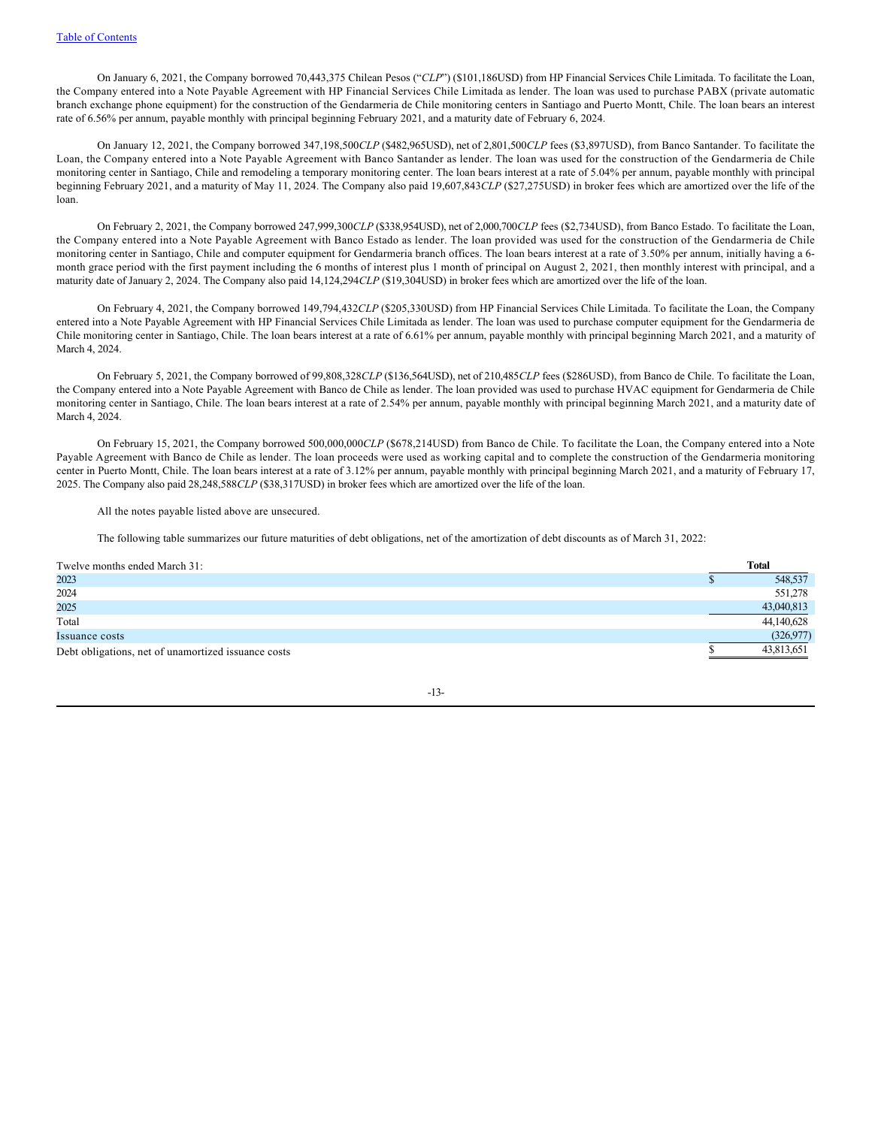On January 6, 2021, the Company borrowed 70,443,375 Chilean Pesos ("*CLP*") (\$101,186USD) from HP Financial Services Chile Limitada. To facilitate the Loan, the Company entered into a Note Payable Agreement with HP Financial Services Chile Limitada as lender. The loan was used to purchase PABX (private automatic branch exchange phone equipment) for the construction of the Gendarmeria de Chile monitoring centers in Santiago and Puerto Montt, Chile. The loan bears an interest rate of 6.56% per annum, payable monthly with principal beginning February 2021, and a maturity date of February 6, 2024.

On January 12, 2021, the Company borrowed 347,198,500*CLP* (\$482,965USD), net of 2,801,500*CLP* fees (\$3,897USD), from Banco Santander. To facilitate the Loan, the Company entered into a Note Payable Agreement with Banco Santander as lender. The loan was used for the construction of the Gendarmeria de Chile monitoring center in Santiago, Chile and remodeling a temporary monitoring center. The loan bears interest at a rate of 5.04% per annum, payable monthly with principal beginning February 2021, and a maturity of May 11, 2024. The Company also paid 19,607,843*CLP* (\$27,275USD) in broker fees which are amortized over the life of the loan.

On February 2, 2021, the Company borrowed 247,999,300*CLP* (\$338,954USD), net of 2,000,700*CLP* fees (\$2,734USD), from Banco Estado. To facilitate the Loan, the Company entered into a Note Payable Agreement with Banco Estado as lender. The loan provided was used for the construction of the Gendarmeria de Chile monitoring center in Santiago, Chile and computer equipment for Gendarmeria branch offices. The loan bears interest at a rate of 3.50% per annum, initially having a 6month grace period with the first payment including the 6 months of interest plus 1 month of principal on August 2, 2021, then monthly interest with principal, and a maturity date of January 2, 2024. The Company also paid 14,124,294*CLP* (\$19,304USD) in broker fees which are amortized over the life of the loan.

On February 4, 2021, the Company borrowed 149,794,432*CLP* (\$205,330USD) from HP Financial Services Chile Limitada. To facilitate the Loan, the Company entered into a Note Payable Agreement with HP Financial Services Chile Limitada as lender. The loan was used to purchase computer equipment for the Gendarmeria de Chile monitoring center in Santiago, Chile. The loan bears interest at a rate of 6.61% per annum, payable monthly with principal beginning March 2021, and a maturity of March 4, 2024.

On February 5, 2021, the Company borrowed of 99,808,328*CLP* (\$136,564USD), net of 210,485*CLP* fees (\$286USD), from Banco de Chile. To facilitate the Loan, the Company entered into a Note Payable Agreement with Banco de Chile as lender. The loan provided was used to purchase HVAC equipment for Gendarmeria de Chile monitoring center in Santiago, Chile. The loan bears interest at a rate of 2.54% per annum, payable monthly with principal beginning March 2021, and a maturity date of March 4, 2024.

On February 15, 2021, the Company borrowed 500,000,000*CLP* (\$678,214USD) from Banco de Chile. To facilitate the Loan, the Company entered into a Note Payable Agreement with Banco de Chile as lender. The loan proceeds were used as working capital and to complete the construction of the Gendarmeria monitoring center in Puerto Montt, Chile. The loan bears interest at a rate of 3.12% per annum, payable monthly with principal beginning March 2021, and a maturity of February 17, 2025. The Company also paid 28,248,588*CLP* (\$38,317USD) in broker fees which are amortized over the life of the loan.

All the notes payable listed above are unsecured.

The following table summarizes our future maturities of debt obligations, net of the amortization of debt discounts as of March 31, 2022:

| Twelve months ended March 31:                       | <b>Total</b> |
|-----------------------------------------------------|--------------|
| 2023                                                | 548,537      |
| 2024                                                | 551,278      |
| 2025                                                | 43,040,813   |
| Total                                               | 44,140,628   |
| Issuance costs                                      | (326,977)    |
| Debt obligations, net of unamortized issuance costs | 43,813,651   |

-13-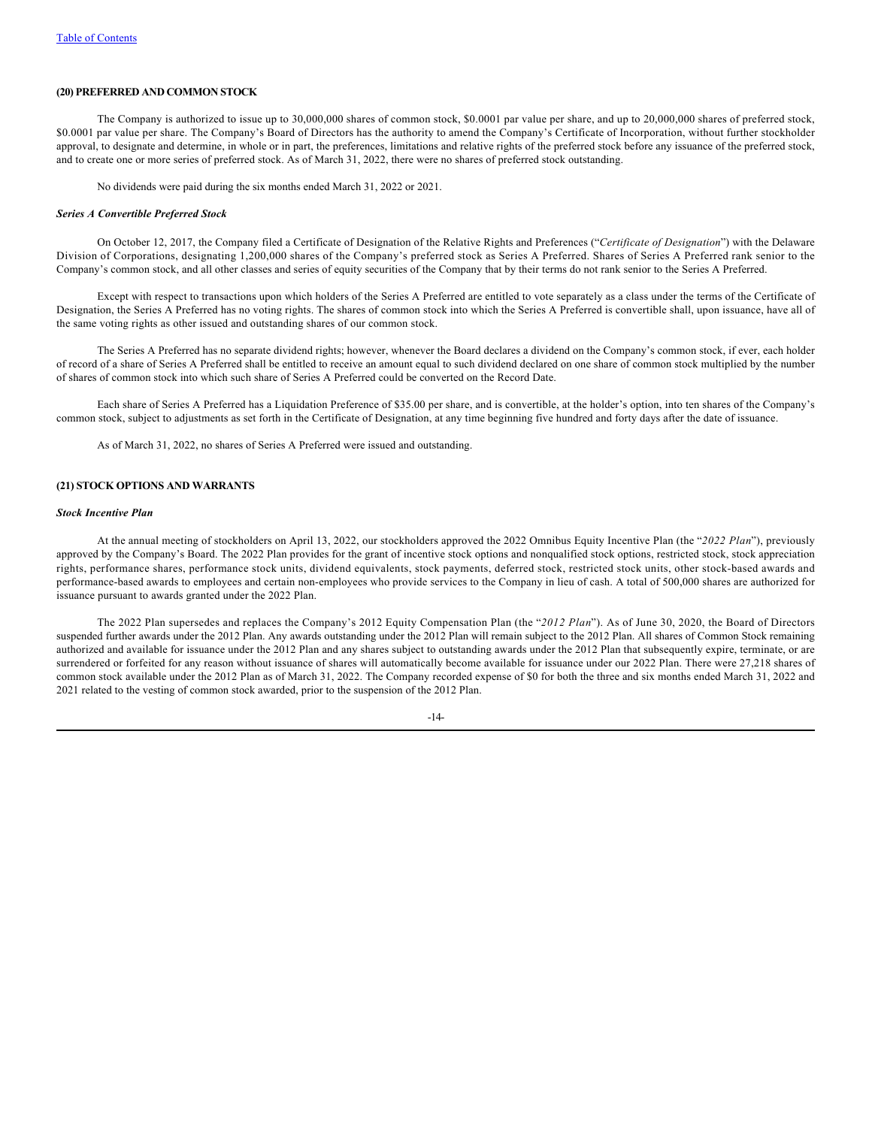# **(20) PREFERRED AND COMMON STOCK**

The Company is authorized to issue up to 30,000,000 shares of common stock, \$0.0001 par value per share, and up to 20,000,000 shares of preferred stock, \$0.0001 par value per share. The Company's Board of Directors has the authority to amend the Company's Certificate of Incorporation, without further stockholder approval, to designate and determine, in whole or in part, the preferences, limitations and relative rights of the preferred stock before any issuance of the preferred stock, and to create one or more series of preferred stock. As of March 31, 2022, there were no shares of preferred stock outstanding.

No dividends were paid during the six months ended March 31, 2022 or 2021.

#### *Series A Convertible Preferred Stock*

On October 12, 2017, the Company filed a Certificate of Designation of the Relative Rights and Preferences ("*Certificate of Designation*") with the Delaware Division of Corporations, designating 1,200,000 shares of the Company's preferred stock as Series A Preferred. Shares of Series A Preferred rank senior to the Company's common stock, and all other classes and series of equity securities of the Company that by their terms do not rank senior to the Series A Preferred.

Except with respect to transactions upon which holders of the Series A Preferred are entitled to vote separately as a class under the terms of the Certificate of Designation, the Series A Preferred has no voting rights. The shares of common stock into which the Series A Preferred is convertible shall, upon issuance, have all of the same voting rights as other issued and outstanding shares of our common stock.

The Series A Preferred has no separate dividend rights; however, whenever the Board declares a dividend on the Company's common stock, if ever, each holder of record of a share of Series A Preferred shall be entitled to receive an amount equal to such dividend declared on one share of common stock multiplied by the number of shares of common stock into which such share of Series A Preferred could be converted on the Record Date.

Each share of Series A Preferred has a Liquidation Preference of \$35.00 per share, and is convertible, at the holder's option, into ten shares of the Company's common stock, subject to adjustments as set forth in the Certificate of Designation, at any time beginning five hundred and forty days after the date of issuance.

As of March 31, 2022, no shares of Series A Preferred were issued and outstanding.

## **(21) STOCK OPTIONS AND WARRANTS**

#### *Stock Incentive Plan*

At the annual meeting of stockholders on April 13, 2022, our stockholders approved the 2022 Omnibus Equity Incentive Plan (the "*2022 Plan*"), previously approved by the Company's Board. The 2022 Plan provides for the grant of incentive stock options and nonqualified stock options, restricted stock, stock appreciation rights, performance shares, performance stock units, dividend equivalents, stock payments, deferred stock, restricted stock units, other stock-based awards and performance-based awards to employees and certain non-employees who provide services to the Company in lieu of cash. A total of 500,000 shares are authorized for issuance pursuant to awards granted under the 2022 Plan.

The 2022 Plan supersedes and replaces the Company's 2012 Equity Compensation Plan (the "*2012 Plan*"). As of June 30, 2020, the Board of Directors suspended further awards under the 2012 Plan. Any awards outstanding under the 2012 Plan will remain subject to the 2012 Plan. All shares of Common Stock remaining authorized and available for issuance under the 2012 Plan and any shares subject to outstanding awards under the 2012 Plan that subsequently expire, terminate, or are surrendered or forfeited for any reason without issuance of shares will automatically become available for issuance under our 2022 Plan. There were 27,218 shares of common stock available under the 2012 Plan as of March 31, 2022. The Company recorded expense of \$0 for both the three and six months ended March 31, 2022 and 2021 related to the vesting of common stock awarded, prior to the suspension of the 2012 Plan.

-14-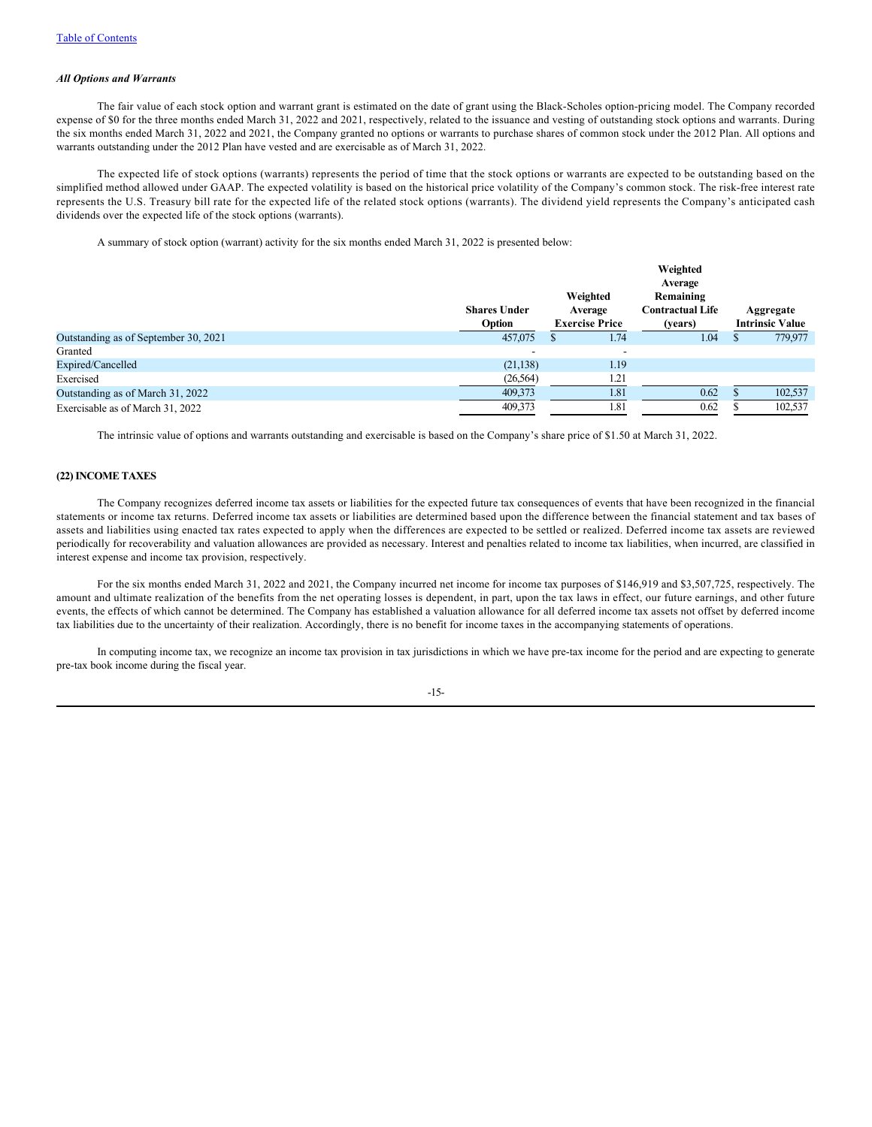## *All Options and Warrants*

The fair value of each stock option and warrant grant is estimated on the date of grant using the Black-Scholes option-pricing model. The Company recorded expense of \$0 for the three months ended March 31, 2022 and 2021, respectively, related to the issuance and vesting of outstanding stock options and warrants. During the six months ended March 31, 2022 and 2021, the Company granted no options or warrants to purchase shares of common stock under the 2012 Plan. All options and warrants outstanding under the 2012 Plan have vested and are exercisable as of March 31, 2022.

The expected life of stock options (warrants) represents the period of time that the stock options or warrants are expected to be outstanding based on the simplified method allowed under GAAP. The expected volatility is based on the historical price volatility of the Company's common stock. The risk-free interest rate represents the U.S. Treasury bill rate for the expected life of the related stock options (warrants). The dividend yield represents the Company's anticipated cash dividends over the expected life of the stock options (warrants).

A summary of stock option (warrant) activity for the six months ended March 31, 2022 is presented below:

|                                      |                     |                       | Weighted                |  |                        |  |
|--------------------------------------|---------------------|-----------------------|-------------------------|--|------------------------|--|
|                                      |                     |                       | Average                 |  |                        |  |
|                                      |                     | Weighted              | Remaining               |  |                        |  |
|                                      | <b>Shares Under</b> | Average               | <b>Contractual Life</b> |  | Aggregate              |  |
|                                      | Option              | <b>Exercise Price</b> | (years)                 |  | <b>Intrinsic Value</b> |  |
| Outstanding as of September 30, 2021 | 457,075             | 1.74                  | 1.04                    |  | 779,977                |  |
| Granted                              |                     | -                     |                         |  |                        |  |
| Expired/Cancelled                    | (21, 138)           | 1.19                  |                         |  |                        |  |
| Exercised                            | (26, 564)           | 1.21                  |                         |  |                        |  |
| Outstanding as of March 31, 2022     | 409,373             | 1.81                  | 0.62                    |  | 102,537                |  |
| Exercisable as of March 31, 2022     | 409,373             | 1.81                  | 0.62                    |  | 102,537                |  |

The intrinsic value of options and warrants outstanding and exercisable is based on the Company's share price of \$1.50 at March 31, 2022.

## **(22) INCOME TAXES**

The Company recognizes deferred income tax assets or liabilities for the expected future tax consequences of events that have been recognized in the financial statements or income tax returns. Deferred income tax assets or liabilities are determined based upon the difference between the financial statement and tax bases of assets and liabilities using enacted tax rates expected to apply when the differences are expected to be settled or realized. Deferred income tax assets are reviewed periodically for recoverability and valuation allowances are provided as necessary. Interest and penalties related to income tax liabilities, when incurred, are classified in interest expense and income tax provision, respectively.

For the six months ended March 31, 2022 and 2021, the Company incurred net income for income tax purposes of \$146,919 and \$3,507,725, respectively. The amount and ultimate realization of the benefits from the net operating losses is dependent, in part, upon the tax laws in effect, our future earnings, and other future events, the effects of which cannot be determined. The Company has established a valuation allowance for all deferred income tax assets not offset by deferred income tax liabilities due to the uncertainty of their realization. Accordingly, there is no benefit for income taxes in the accompanying statements of operations.

In computing income tax, we recognize an income tax provision in tax jurisdictions in which we have pre-tax income for the period and are expecting to generate pre-tax book income during the fiscal year.

## -15-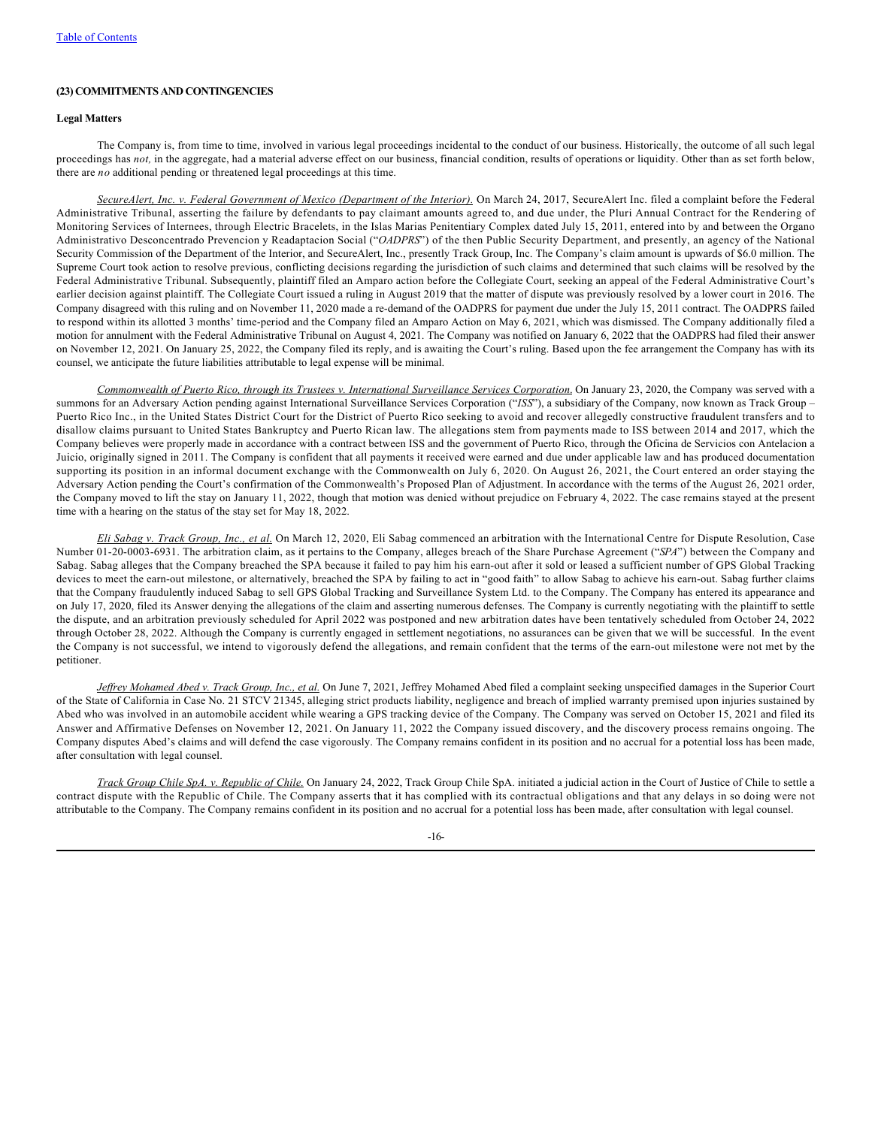## **(23) COMMITMENTS AND CONTINGENCIES**

## **Legal Matters**

The Company is, from time to time, involved in various legal proceedings incidental to the conduct of our business. Historically, the outcome of all such legal proceedings has *not,* in the aggregate, had a material adverse effect on our business, financial condition, results of operations or liquidity. Other than as set forth below, there are *no* additional pending or threatened legal proceedings at this time.

*SecureAlert, Inc. v. Federal Government of Mexico (Department of the Interior).* On March 24, 2017, SecureAlert Inc. filed a complaint before the Federal Administrative Tribunal, asserting the failure by defendants to pay claimant amounts agreed to, and due under, the Pluri Annual Contract for the Rendering of Monitoring Services of Internees, through Electric Bracelets, in the Islas Marias Penitentiary Complex dated July 15, 2011, entered into by and between the Organo Administrativo Desconcentrado Prevencion y Readaptacion Social ("*OADPRS*") of the then Public Security Department, and presently, an agency of the National Security Commission of the Department of the Interior, and SecureAlert, Inc., presently Track Group, Inc. The Company's claim amount is upwards of \$6.0 million. The Supreme Court took action to resolve previous, conflicting decisions regarding the jurisdiction of such claims and determined that such claims will be resolved by the Federal Administrative Tribunal. Subsequently, plaintiff filed an Amparo action before the Collegiate Court, seeking an appeal of the Federal Administrative Court's earlier decision against plaintiff. The Collegiate Court issued a ruling in August 2019 that the matter of dispute was previously resolved by a lower court in 2016. The Company disagreed with this ruling and on November 11, 2020 made a re-demand of the OADPRS for payment due under the July 15, 2011 contract. The OADPRS failed to respond within its allotted 3 months' time-period and the Company filed an Amparo Action on May 6, 2021, which was dismissed. The Company additionally filed a motion for annulment with the Federal Administrative Tribunal on August 4, 2021. The Company was notified on January 6, 2022 that the OADPRS had filed their answer on November 12, 2021. On January 25, 2022, the Company filed its reply, and is awaiting the Court's ruling. Based upon the fee arrangement the Company has with its counsel, we anticipate the future liabilities attributable to legal expense will be minimal.

*Commonwealth of Puerto Rico, through its Trustees v. International Surveillance Services Corporation*. On January 23, 2020, the Company was served with a summons for an Adversary Action pending against International Surveillance Services Corporation ("*ISS*"), a subsidiary of the Company, now known as Track Group – Puerto Rico Inc., in the United States District Court for the District of Puerto Rico seeking to avoid and recover allegedly constructive fraudulent transfers and to disallow claims pursuant to United States Bankruptcy and Puerto Rican law. The allegations stem from payments made to ISS between 2014 and 2017, which the Company believes were properly made in accordance with a contract between ISS and the government of Puerto Rico, through the Oficina de Servicios con Antelacion a Juicio, originally signed in 2011. The Company is confident that all payments it received were earned and due under applicable law and has produced documentation supporting its position in an informal document exchange with the Commonwealth on July 6, 2020. On August 26, 2021, the Court entered an order staying the Adversary Action pending the Court's confirmation of the Commonwealth's Proposed Plan of Adjustment. In accordance with the terms of the August 26, 2021 order, the Company moved to lift the stay on January 11, 2022, though that motion was denied without prejudice on February 4, 2022. The case remains stayed at the present time with a hearing on the status of the stay set for May 18, 2022.

*Eli Sabag v. Track Group, Inc., et al.* On March 12, 2020, Eli Sabag commenced an arbitration with the International Centre for Dispute Resolution, Case Number 01-20-0003-6931. The arbitration claim, as it pertains to the Company, alleges breach of the Share Purchase Agreement ("*SPA*") between the Company and Sabag. Sabag alleges that the Company breached the SPA because it failed to pay him his earn-out after it sold or leased a sufficient number of GPS Global Tracking devices to meet the earn-out milestone, or alternatively, breached the SPA by failing to act in "good faith" to allow Sabag to achieve his earn-out. Sabag further claims that the Company fraudulently induced Sabag to sell GPS Global Tracking and Surveillance System Ltd. to the Company. The Company has entered its appearance and on July 17, 2020, filed its Answer denying the allegations of the claim and asserting numerous defenses. The Company is currently negotiating with the plaintiff to settle the dispute, and an arbitration previously scheduled for April 2022 was postponed and new arbitration dates have been tentatively scheduled from October 24, 2022 through October 28, 2022. Although the Company is currently engaged in settlement negotiations, no assurances can be given that we will be successful. In the event the Company is not successful, we intend to vigorously defend the allegations, and remain confident that the terms of the earn-out milestone were not met by the petitioner.

*Jeffrey Mohamed Abed v. Track Group, Inc., et al.* On June 7, 2021, Jeffrey Mohamed Abed filed a complaint seeking unspecified damages in the Superior Court of the State of California in Case No. 21 STCV 21345, alleging strict products liability, negligence and breach of implied warranty premised upon injuries sustained by Abed who was involved in an automobile accident while wearing a GPS tracking device of the Company. The Company was served on October 15, 2021 and filed its Answer and Affirmative Defenses on November 12, 2021. On January 11, 2022 the Company issued discovery, and the discovery process remains ongoing. The Company disputes Abed's claims and will defend the case vigorously. The Company remains confident in its position and no accrual for a potential loss has been made, after consultation with legal counsel.

*Track Group Chile SpA. v. Republic of Chile.* On January 24, 2022, Track Group Chile SpA. initiated a judicial action in the Court of Justice of Chile to settle a contract dispute with the Republic of Chile. The Company asserts that it has complied with its contractual obligations and that any delays in so doing were not attributable to the Company. The Company remains confident in its position and no accrual for a potential loss has been made, after consultation with legal counsel.

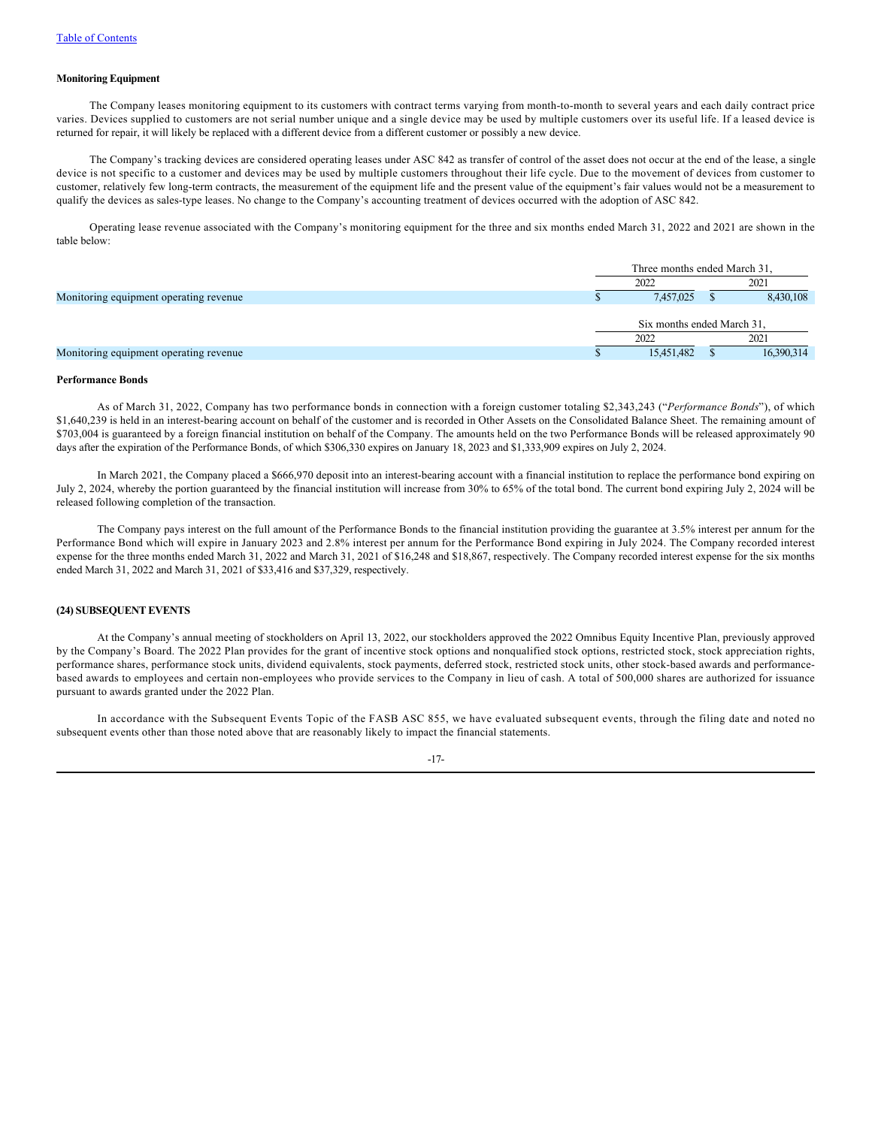## **Monitoring Equipment**

The Company leases monitoring equipment to its customers with contract terms varying from month-to-month to several years and each daily contract price varies. Devices supplied to customers are not serial number unique and a single device may be used by multiple customers over its useful life. If a leased device is returned for repair, it will likely be replaced with a different device from a different customer or possibly a new device.

The Company's tracking devices are considered operating leases under ASC 842 as transfer of control of the asset does not occur at the end of the lease, a single device is not specific to a customer and devices may be used by multiple customers throughout their life cycle. Due to the movement of devices from customer to customer, relatively few long-term contracts, the measurement of the equipment life and the present value of the equipment's fair values would not be a measurement to qualify the devices as sales-type leases. No change to the Company's accounting treatment of devices occurred with the adoption of ASC 842.

Operating lease revenue associated with the Company's monitoring equipment for the three and six months ended March 31, 2022 and 2021 are shown in the table below:

|                                        | Three months ended March 31. |  |            |  |
|----------------------------------------|------------------------------|--|------------|--|
|                                        | 2022                         |  | 2021       |  |
| Monitoring equipment operating revenue | 7,457,025                    |  | 8.430,108  |  |
|                                        | Six months ended March 31,   |  |            |  |
|                                        | 2022                         |  | 2021       |  |
| Monitoring equipment operating revenue | 15,451,482                   |  | 16,390,314 |  |

## **Performance Bonds**

As of March 31, 2022, Company has two performance bonds in connection with a foreign customer totaling \$2,343,243 ("*Performance Bonds*"), of which \$1,640,239 is held in an interest-bearing account on behalf of the customer and is recorded in Other Assets on the Consolidated Balance Sheet. The remaining amount of \$703,004 is guaranteed by a foreign financial institution on behalf of the Company. The amounts held on the two Performance Bonds will be released approximately 90 days after the expiration of the Performance Bonds, of which \$306,330 expires on January 18, 2023 and \$1,333,909 expires on July 2, 2024.

In March 2021, the Company placed a \$666,970 deposit into an interest-bearing account with a financial institution to replace the performance bond expiring on July 2, 2024, whereby the portion guaranteed by the financial institution will increase from 30% to 65% of the total bond. The current bond expiring July 2, 2024 will be released following completion of the transaction.

The Company pays interest on the full amount of the Performance Bonds to the financial institution providing the guarantee at 3.5% interest per annum for the Performance Bond which will expire in January 2023 and 2.8% interest per annum for the Performance Bond expiring in July 2024. The Company recorded interest expense for the three months ended March 31, 2022 and March 31, 2021 of \$16,248 and \$18,867, respectively. The Company recorded interest expense for the six months ended March 31, 2022 and March 31, 2021 of \$33,416 and \$37,329, respectively.

# **(24) SUBSEQUENT EVENTS**

At the Company's annual meeting of stockholders on April 13, 2022, our stockholders approved the 2022 Omnibus Equity Incentive Plan, previously approved by the Company's Board. The 2022 Plan provides for the grant of incentive stock options and nonqualified stock options, restricted stock, stock appreciation rights, performance shares, performance stock units, dividend equivalents, stock payments, deferred stock, restricted stock units, other stock-based awards and performancebased awards to employees and certain non-employees who provide services to the Company in lieu of cash. A total of 500,000 shares are authorized for issuance pursuant to awards granted under the 2022 Plan.

In accordance with the Subsequent Events Topic of the FASB ASC 855, we have evaluated subsequent events, through the filing date and noted no subsequent events other than those noted above that are reasonably likely to impact the financial statements.

-17-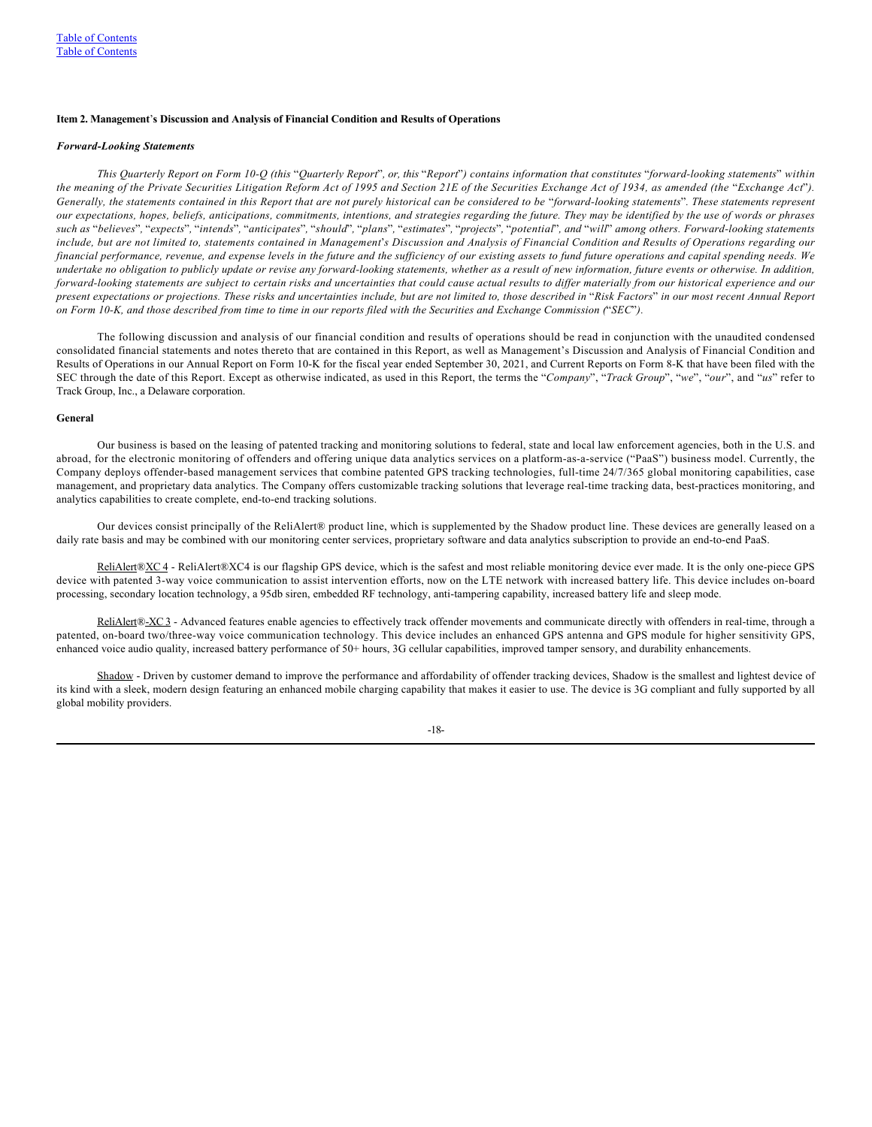#### <span id="page-19-0"></span>**Item 2. Management**'**s Discussion and Analysis of Financial Condition and Results of Operations**

#### *Forward-Looking Statements*

*This Quarterly Report on Form 10-Q (this* "*Quarterly Report*"*, or, this* "*Report*"*) contains information that constitutes* "*forward-looking statements*" *within the meaning of the Private Securities Litigation Reform Act of 1995 and Section 21E of the Securities Exchange Act of 1934, as amended (the "Exchange Act"). Generally, the statements contained in this Report that are not purely historical can be considered to be* "*forward-looking statements*"*. These statements represent our expectations, hopes, beliefs, anticipations, commitments, intentions, and strategies regarding the future. They may be identified by the use of words or phrases* such as "believes", "expects", "intends", "anticipates", "should", "plans", "estimates", "projects", "potential", and "will" among others. Forward-looking statements *include, but are not limited to, statements contained in Management*'*s Discussion and Analysis of Financial Condition and Results of Operations regarding our financial performance, revenue, and expense levels in the future and the sufficiency of our existing assets to fund future operations and capital spending needs. We undertake no obligation to publicly update or revise any forward-looking statements, whether as a result of new information, future events or otherwise. In addition, forward-looking statements are subject to certain risks and uncertainties that could cause actual results to differ materially from our historical experience and our present expectations or projections. These risks and uncertainties include, but are not limited to, those described in* "*Risk Factors*" *in our most recent Annual Report on Form 10-K, and those described from time to time in our reports filed with the Securities and Exchange Commission (*"*SEC*"*).*

The following discussion and analysis of our financial condition and results of operations should be read in conjunction with the unaudited condensed consolidated financial statements and notes thereto that are contained in this Report, as well as Management's Discussion and Analysis of Financial Condition and Results of Operations in our Annual Report on Form 10-K for the fiscal year ended September 30, 2021, and Current Reports on Form 8-K that have been filed with the SEC through the date of this Report. Except as otherwise indicated, as used in this Report, the terms the "*Company*", "*Track Group*", "*we*", "*our*", and "*us*" refer to Track Group, Inc., a Delaware corporation.

#### **General**

Our business is based on the leasing of patented tracking and monitoring solutions to federal, state and local law enforcement agencies, both in the U.S. and abroad, for the electronic monitoring of offenders and offering unique data analytics services on a platform-as-a-service ("PaaS") business model. Currently, the Company deploys offender-based management services that combine patented GPS tracking technologies, full-time 24/7/365 global monitoring capabilities, case management, and proprietary data analytics. The Company offers customizable tracking solutions that leverage real-time tracking data, best-practices monitoring, and analytics capabilities to create complete, end-to-end tracking solutions.

Our devices consist principally of the ReliAlert® product line, which is supplemented by the Shadow product line. These devices are generally leased on a daily rate basis and may be combined with our monitoring center services, proprietary software and data analytics subscription to provide an end-to-end PaaS.

ReliAlert®XC 4 - ReliAlert®XC4 is our flagship GPS device, which is the safest and most reliable monitoring device ever made. It is the only one-piece GPS device with patented 3-way voice communication to assist intervention efforts, now on the LTE network with increased battery life. This device includes on-board processing, secondary location technology, a 95db siren, embedded RF technology, anti-tampering capability, increased battery life and sleep mode.

ReliAlert®-XC3 - Advanced features enable agencies to effectively track offender movements and communicate directly with offenders in real-time, through a patented, on-board two/three-way voice communication technology. This device includes an enhanced GPS antenna and GPS module for higher sensitivity GPS, enhanced voice audio quality, increased battery performance of 50+ hours, 3G cellular capabilities, improved tamper sensory, and durability enhancements.

Shadow - Driven by customer demand to improve the performance and affordability of offender tracking devices, Shadow is the smallest and lightest device of its kind with a sleek, modern design featuring an enhanced mobile charging capability that makes it easier to use. The device is 3G compliant and fully supported by all global mobility providers.

-18-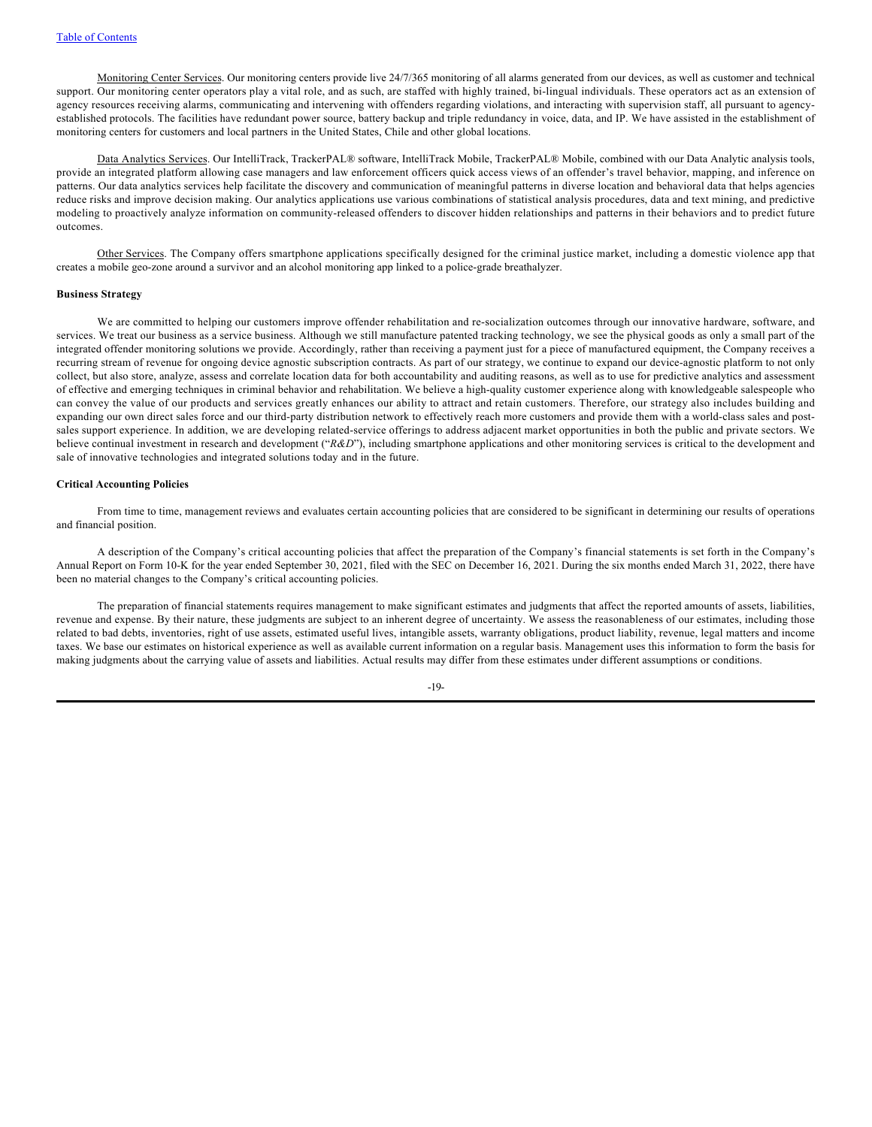Monitoring Center Services. Our monitoring centers provide live 24/7/365 monitoring of all alarms generated from our devices, as well as customer and technical support. Our monitoring center operators play a vital role, and as such, are staffed with highly trained, bi-lingual individuals. These operators act as an extension of agency resources receiving alarms, communicating and intervening with offenders regarding violations, and interacting with supervision staff, all pursuant to agencyestablished protocols. The facilities have redundant power source, battery backup and triple redundancy in voice, data, and IP. We have assisted in the establishment of monitoring centers for customers and local partners in the United States, Chile and other global locations.

Data Analytics Services. Our IntelliTrack, TrackerPAL® software, IntelliTrack Mobile, TrackerPAL® Mobile, combined with our Data Analytic analysis tools, provide an integrated platform allowing case managers and law enforcement officers quick access views of an offender's travel behavior, mapping, and inference on patterns. Our data analytics services help facilitate the discovery and communication of meaningful patterns in diverse location and behavioral data that helps agencies reduce risks and improve decision making. Our analytics applications use various combinations of statistical analysis procedures, data and text mining, and predictive modeling to proactively analyze information on community-released offenders to discover hidden relationships and patterns in their behaviors and to predict future outcomes.

Other Services. The Company offers smartphone applications specifically designed for the criminal justice market, including a domestic violence app that creates a mobile geo-zone around a survivor and an alcohol monitoring app linked to a police-grade breathalyzer.

#### **Business Strategy**

We are committed to helping our customers improve offender rehabilitation and re-socialization outcomes through our innovative hardware, software, and services. We treat our business as a service business. Although we still manufacture patented tracking technology, we see the physical goods as only a small part of the integrated offender monitoring solutions we provide. Accordingly, rather than receiving a payment just for a piece of manufactured equipment, the Company receives a recurring stream of revenue for ongoing device agnostic subscription contracts. As part of our strategy, we continue to expand our device-agnostic platform to not only collect, but also store, analyze, assess and correlate location data for both accountability and auditing reasons, as well as to use for predictive analytics and assessment of effective and emerging techniques in criminal behavior and rehabilitation. We believe a high-quality customer experience along with knowledgeable salespeople who can convey the value of our products and services greatly enhances our ability to attract and retain customers. Therefore, our strategy also includes building and expanding our own direct sales force and our third-party distribution network to effectively reach more customers and provide them with a world-class sales and postsales support experience. In addition, we are developing related-service offerings to address adjacent market opportunities in both the public and private sectors. We believe continual investment in research and development ("*R&D*"), including smartphone applications and other monitoring services is critical to the development and sale of innovative technologies and integrated solutions today and in the future.

### **Critical Accounting Policies**

From time to time, management reviews and evaluates certain accounting policies that are considered to be significant in determining our results of operations and financial position.

A description of the Company's critical accounting policies that affect the preparation of the Company's financial statements is set forth in the Company's Annual Report on Form 10-K for the year ended September 30, 2021, filed with the SEC on December 16, 2021. During the six months ended March 31, 2022, there have been no material changes to the Company's critical accounting policies.

The preparation of financial statements requires management to make significant estimates and judgments that affect the reported amounts of assets, liabilities, revenue and expense. By their nature, these judgments are subject to an inherent degree of uncertainty. We assess the reasonableness of our estimates, including those related to bad debts, inventories, right of use assets, estimated useful lives, intangible assets, warranty obligations, product liability, revenue, legal matters and income taxes. We base our estimates on historical experience as well as available current information on a regular basis. Management uses this information to form the basis for making judgments about the carrying value of assets and liabilities. Actual results may differ from these estimates under different assumptions or conditions.

-19-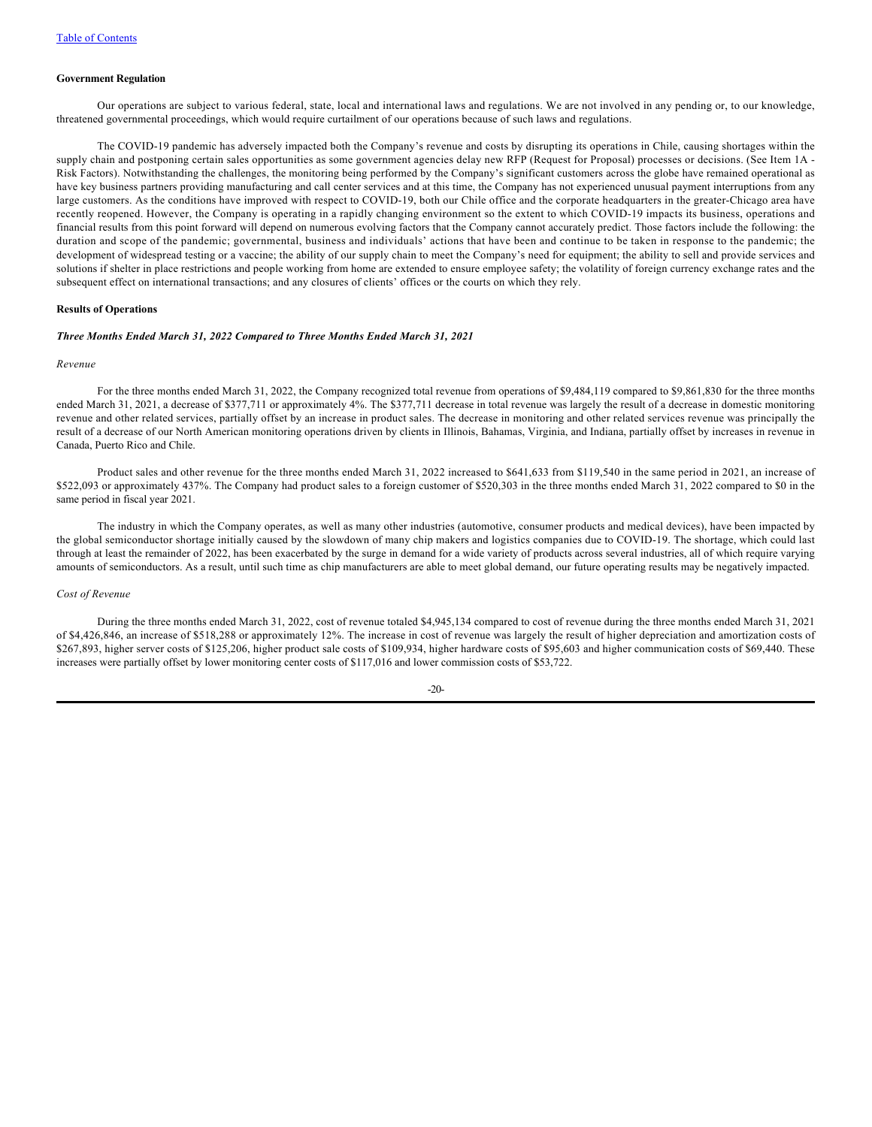#### **Government Regulation**

Our operations are subject to various federal, state, local and international laws and regulations. We are not involved in any pending or, to our knowledge, threatened governmental proceedings, which would require curtailment of our operations because of such laws and regulations.

The COVID-19 pandemic has adversely impacted both the Company's revenue and costs by disrupting its operations in Chile, causing shortages within the supply chain and postponing certain sales opportunities as some government agencies delay new RFP (Request for Proposal) processes or decisions. (See Item 1A -Risk Factors). Notwithstanding the challenges, the monitoring being performed by the Company's significant customers across the globe have remained operational as have key business partners providing manufacturing and call center services and at this time, the Company has not experienced unusual payment interruptions from any large customers. As the conditions have improved with respect to COVID-19, both our Chile office and the corporate headquarters in the greater-Chicago area have recently reopened. However, the Company is operating in a rapidly changing environment so the extent to which COVID-19 impacts its business, operations and financial results from this point forward will depend on numerous evolving factors that the Company cannot accurately predict. Those factors include the following: the duration and scope of the pandemic; governmental, business and individuals' actions that have been and continue to be taken in response to the pandemic; the development of widespread testing or a vaccine; the ability of our supply chain to meet the Company's need for equipment; the ability to sell and provide services and solutions if shelter in place restrictions and people working from home are extended to ensure employee safety; the volatility of foreign currency exchange rates and the subsequent effect on international transactions; and any closures of clients' offices or the courts on which they rely.

### **Results of Operations**

### *Three Months Ended March 31, 2022 Compared to Three Months Ended March 31, 2021*

#### *Revenue*

For the three months ended March 31, 2022, the Company recognized total revenue from operations of \$9,484,119 compared to \$9,861,830 for the three months ended March 31, 2021, a decrease of \$377,711 or approximately 4%. The \$377,711 decrease in total revenue was largely the result of a decrease in domestic monitoring revenue and other related services, partially offset by an increase in product sales. The decrease in monitoring and other related services revenue was principally the result of a decrease of our North American monitoring operations driven by clients in Illinois, Bahamas, Virginia, and Indiana, partially offset by increases in revenue in Canada, Puerto Rico and Chile.

Product sales and other revenue for the three months ended March 31, 2022 increased to \$641,633 from \$119,540 in the same period in 2021, an increase of \$522,093 or approximately 437%. The Company had product sales to a foreign customer of \$520,303 in the three months ended March 31, 2022 compared to \$0 in the same period in fiscal year 2021.

The industry in which the Company operates, as well as many other industries (automotive, consumer products and medical devices), have been impacted by the global semiconductor shortage initially caused by the slowdown of many chip makers and logistics companies due to COVID-19. The shortage, which could last through at least the remainder of 2022, has been exacerbated by the surge in demand for a wide variety of products across several industries, all of which require varying amounts of semiconductors. As a result, until such time as chip manufacturers are able to meet global demand, our future operating results may be negatively impacted.

## *Cost of Revenue*

During the three months ended March 31, 2022, cost of revenue totaled \$4,945,134 compared to cost of revenue during the three months ended March 31, 2021 of \$4,426,846, an increase of \$518,288 or approximately 12%. The increase in cost of revenue was largely the result of higher depreciation and amortization costs of \$267,893, higher server costs of \$125,206, higher product sale costs of \$109,934, higher hardware costs of \$95,603 and higher communication costs of \$69,440. These increases were partially offset by lower monitoring center costs of \$117,016 and lower commission costs of \$53,722.

## -20-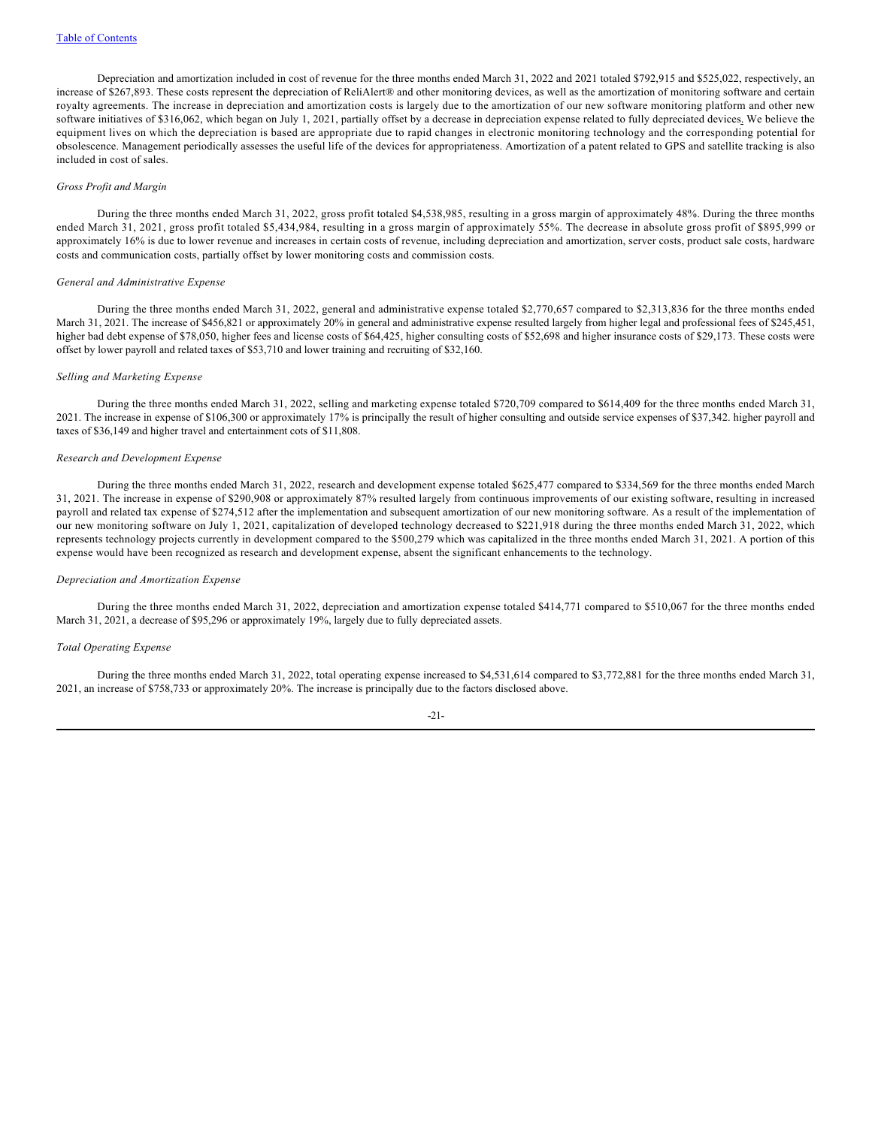Depreciation and amortization included in cost of revenue for the three months ended March 31, 2022 and 2021 totaled \$792,915 and \$525,022, respectively, an increase of \$267,893. These costs represent the depreciation of ReliAlert® and other monitoring devices, as well as the amortization of monitoring software and certain royalty agreements. The increase in depreciation and amortization costs is largely due to the amortization of our new software monitoring platform and other new software initiatives of \$316,062, which began on July 1, 2021, partially offset by a decrease in depreciation expense related to fully depreciated devices. We believe the equipment lives on which the depreciation is based are appropriate due to rapid changes in electronic monitoring technology and the corresponding potential for obsolescence. Management periodically assesses the useful life of the devices for appropriateness. Amortization of a patent related to GPS and satellite tracking is also included in cost of sales.

## *Gross Profit and Margin*

During the three months ended March 31, 2022, gross profit totaled \$4,538,985, resulting in a gross margin of approximately 48%. During the three months ended March 31, 2021, gross profit totaled \$5,434,984, resulting in a gross margin of approximately 55%. The decrease in absolute gross profit of \$895,999 or approximately 16% is due to lower revenue and increases in certain costs of revenue, including depreciation and amortization, server costs, product sale costs, hardware costs and communication costs, partially offset by lower monitoring costs and commission costs.

### *General and Administrative Expense*

During the three months ended March 31, 2022, general and administrative expense totaled \$2,770,657 compared to \$2,313,836 for the three months ended March 31, 2021. The increase of \$456,821 or approximately 20% in general and administrative expense resulted largely from higher legal and professional fees of \$245,451, higher bad debt expense of \$78,050, higher fees and license costs of \$64,425, higher consulting costs of \$52,698 and higher insurance costs of \$29,173. These costs were offset by lower payroll and related taxes of \$53,710 and lower training and recruiting of \$32,160.

## *Selling and Marketing Expense*

During the three months ended March 31, 2022, selling and marketing expense totaled \$720,709 compared to \$614,409 for the three months ended March 31, 2021. The increase in expense of \$106,300 or approximately 17% is principally the result of higher consulting and outside service expenses of \$37,342. higher payroll and taxes of \$36,149 and higher travel and entertainment cots of \$11,808.

#### *Research and Development Expense*

During the three months ended March 31, 2022, research and development expense totaled \$625,477 compared to \$334,569 for the three months ended March 31, 2021. The increase in expense of \$290,908 or approximately 87% resulted largely from continuous improvements of our existing software, resulting in increased payroll and related tax expense of \$274,512 after the implementation and subsequent amortization of our new monitoring software. As a result of the implementation of our new monitoring software on July 1, 2021, capitalization of developed technology decreased to \$221,918 during the three months ended March 31, 2022, which represents technology projects currently in development compared to the \$500,279 which was capitalized in the three months ended March 31, 2021. A portion of this expense would have been recognized as research and development expense, absent the significant enhancements to the technology.

#### *Depreciation and Amortization Expense*

During the three months ended March 31, 2022, depreciation and amortization expense totaled \$414,771 compared to \$510,067 for the three months ended March 31, 2021, a decrease of \$95,296 or approximately 19%, largely due to fully depreciated assets.

#### *Total Operating Expense*

During the three months ended March 31, 2022, total operating expense increased to \$4,531,614 compared to \$3,772,881 for the three months ended March 31, 2021, an increase of \$758,733 or approximately 20%. The increase is principally due to the factors disclosed above.

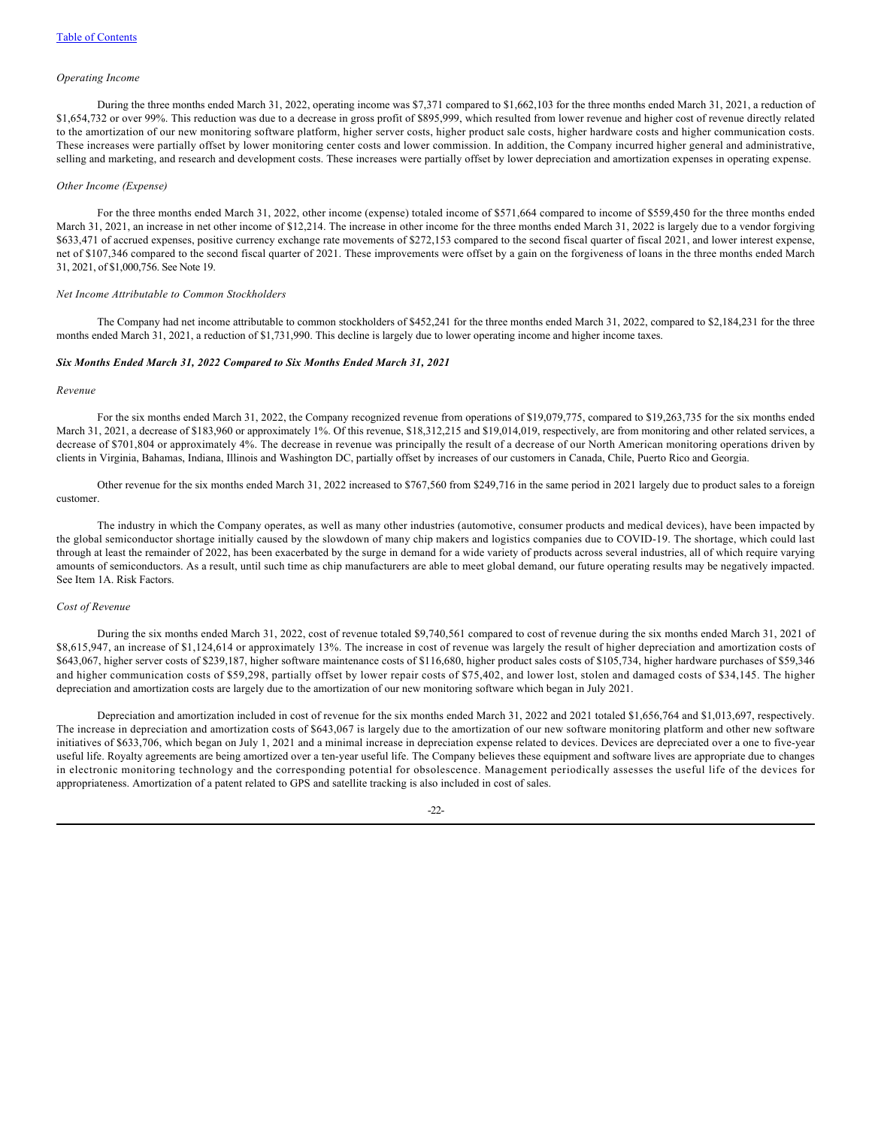#### *Operating Income*

During the three months ended March 31, 2022, operating income was \$7,371 compared to \$1,662,103 for the three months ended March 31, 2021, a reduction of \$1,654,732 or over 99%. This reduction was due to a decrease in gross profit of \$895,999, which resulted from lower revenue and higher cost of revenue directly related to the amortization of our new monitoring software platform, higher server costs, higher product sale costs, higher hardware costs and higher communication costs. These increases were partially offset by lower monitoring center costs and lower commission. In addition, the Company incurred higher general and administrative, selling and marketing, and research and development costs. These increases were partially offset by lower depreciation and amortization expenses in operating expense.

#### *Other Income (Expense)*

For the three months ended March 31, 2022, other income (expense) totaled income of \$571,664 compared to income of \$559,450 for the three months ended March 31, 2021, an increase in net other income of \$12,214. The increase in other income for the three months ended March 31, 2022 is largely due to a vendor forgiving \$633,471 of accrued expenses, positive currency exchange rate movements of \$272,153 compared to the second fiscal quarter of fiscal 2021, and lower interest expense, net of \$107,346 compared to the second fiscal quarter of 2021. These improvements were offset by a gain on the forgiveness of loans in the three months ended March 31, 2021, of \$1,000,756. See Note 19.

## *Net Income Attributable to Common Stockholders*

The Company had net income attributable to common stockholders of \$452,241 for the three months ended March 31, 2022, compared to \$2,184,231 for the three months ended March 31, 2021, a reduction of \$1,731,990. This decline is largely due to lower operating income and higher income taxes.

#### *Six Months Ended March 31, 2022 Compared to Six Months Ended March 31, 2021*

#### *Revenue*

For the six months ended March 31, 2022, the Company recognized revenue from operations of \$19,079,775, compared to \$19,263,735 for the six months ended March 31, 2021, a decrease of \$183,960 or approximately 1%. Of this revenue, \$18,312,215 and \$19,014,019, respectively, are from monitoring and other related services, a decrease of \$701,804 or approximately 4%. The decrease in revenue was principally the result of a decrease of our North American monitoring operations driven by clients in Virginia, Bahamas, Indiana, Illinois and Washington DC, partially offset by increases of our customers in Canada, Chile, Puerto Rico and Georgia.

Other revenue for the six months ended March 31, 2022 increased to \$767,560 from \$249,716 in the same period in 2021 largely due to product sales to a foreign customer.

The industry in which the Company operates, as well as many other industries (automotive, consumer products and medical devices), have been impacted by the global semiconductor shortage initially caused by the slowdown of many chip makers and logistics companies due to COVID-19. The shortage, which could last through at least the remainder of 2022, has been exacerbated by the surge in demand for a wide variety of products across several industries, all of which require varying amounts of semiconductors. As a result, until such time as chip manufacturers are able to meet global demand, our future operating results may be negatively impacted. See Item 1A. Risk Factors.

#### *Cost of Revenue*

During the six months ended March 31, 2022, cost of revenue totaled \$9,740,561 compared to cost of revenue during the six months ended March 31, 2021 of \$8,615,947, an increase of \$1,124,614 or approximately 13%. The increase in cost of revenue was largely the result of higher depreciation and amortization costs of \$643,067, higher server costs of \$239,187, higher software maintenance costs of \$116,680, higher product sales costs of \$105,734, higher hardware purchases of \$59,346 and higher communication costs of \$59,298, partially offset by lower repair costs of \$75,402, and lower lost, stolen and damaged costs of \$34,145. The higher depreciation and amortization costs are largely due to the amortization of our new monitoring software which began in July 2021.

Depreciation and amortization included in cost of revenue for the six months ended March 31, 2022 and 2021 totaled \$1,656,764 and \$1,013,697, respectively. The increase in depreciation and amortization costs of \$643,067 is largely due to the amortization of our new software monitoring platform and other new software initiatives of \$633,706, which began on July 1, 2021 and a minimal increase in depreciation expense related to devices. Devices are depreciated over a one to five-year useful life. Royalty agreements are being amortized over a ten-year useful life. The Company believes these equipment and software lives are appropriate due to changes in electronic monitoring technology and the corresponding potential for obsolescence. Management periodically assesses the useful life of the devices for appropriateness. Amortization of a patent related to GPS and satellite tracking is also included in cost of sales.

#### -22-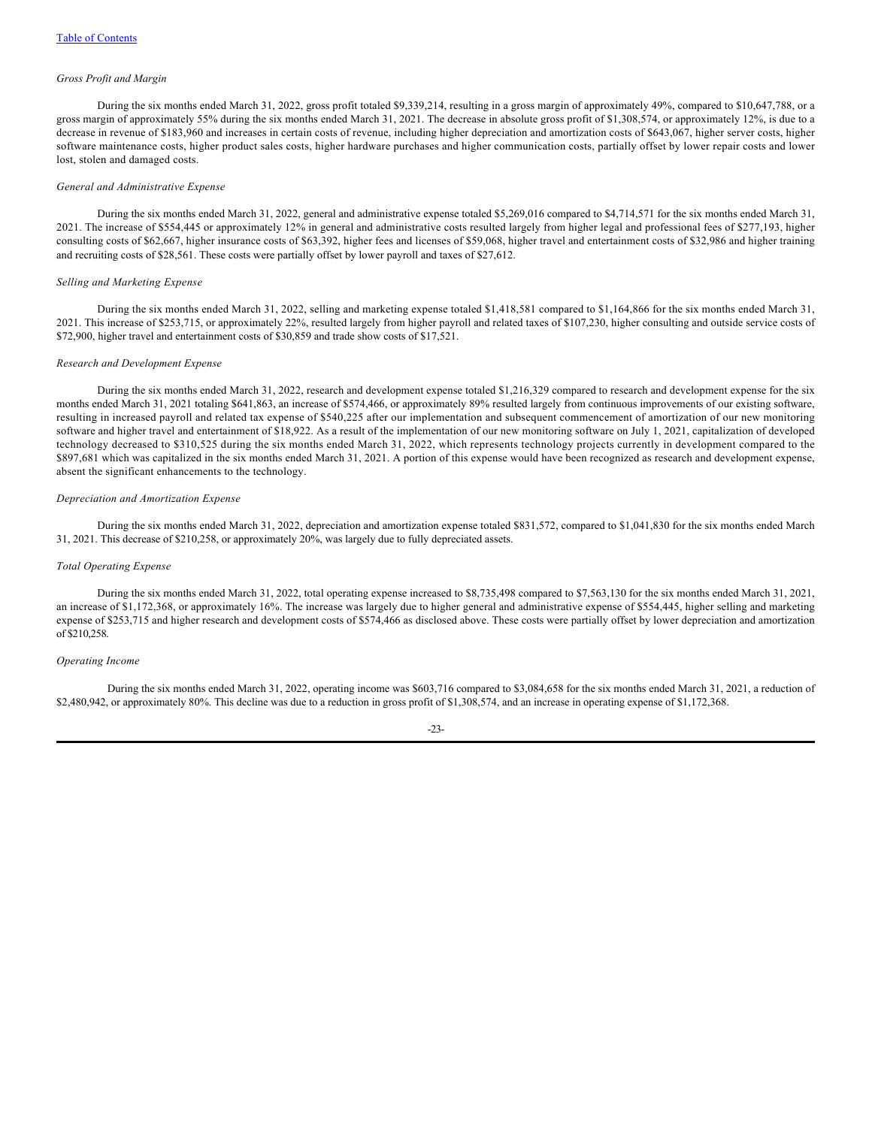## *Gross Profit and Margin*

During the six months ended March 31, 2022, gross profit totaled \$9,339,214, resulting in a gross margin of approximately 49%, compared to \$10,647,788, or a gross margin of approximately 55% during the six months ended March 31, 2021. The decrease in absolute gross profit of \$1,308,574, or approximately 12%, is due to a decrease in revenue of \$183,960 and increases in certain costs of revenue, including higher depreciation and amortization costs of \$643,067, higher server costs, higher software maintenance costs, higher product sales costs, higher hardware purchases and higher communication costs, partially offset by lower repair costs and lower lost, stolen and damaged costs.

#### *General and Administrative Expense*

During the six months ended March 31, 2022, general and administrative expense totaled \$5,269,016 compared to \$4,714,571 for the six months ended March 31, 2021. The increase of \$554,445 or approximately 12% in general and administrative costs resulted largely from higher legal and professional fees of \$277,193, higher consulting costs of \$62,667, higher insurance costs of \$63,392, higher fees and licenses of \$59,068, higher travel and entertainment costs of \$32,986 and higher training and recruiting costs of \$28,561. These costs were partially offset by lower payroll and taxes of \$27,612.

#### *Selling and Marketing Expense*

During the six months ended March 31, 2022, selling and marketing expense totaled \$1,418,581 compared to \$1,164,866 for the six months ended March 31, 2021. This increase of \$253,715, or approximately 22%, resulted largely from higher payroll and related taxes of \$107,230, higher consulting and outside service costs of \$72,900, higher travel and entertainment costs of \$30,859 and trade show costs of \$17,521.

#### *Research and Development Expense*

During the six months ended March 31, 2022, research and development expense totaled \$1,216,329 compared to research and development expense for the six months ended March 31, 2021 totaling \$641,863, an increase of \$574,466, or approximately 89% resulted largely from continuous improvements of our existing software, resulting in increased payroll and related tax expense of \$540,225 after our implementation and subsequent commencement of amortization of our new monitoring software and higher travel and entertainment of \$18,922. As a result of the implementation of our new monitoring software on July 1, 2021, capitalization of developed technology decreased to \$310,525 during the six months ended March 31, 2022, which represents technology projects currently in development compared to the \$897,681 which was capitalized in the six months ended March 31, 2021. A portion of this expense would have been recognized as research and development expense, absent the significant enhancements to the technology.

## *Depreciation and Amortization Expense*

During the six months ended March 31, 2022, depreciation and amortization expense totaled \$831,572, compared to \$1,041,830 for the six months ended March 31, 2021. This decrease of \$210,258, or approximately 20%, was largely due to fully depreciated assets.

#### *Total Operating Expense*

During the six months ended March 31, 2022, total operating expense increased to \$8,735,498 compared to \$7,563,130 for the six months ended March 31, 2021, an increase of \$1,172,368, or approximately 16%. The increase was largely due to higher general and administrative expense of \$554,445, higher selling and marketing expense of \$253,715 and higher research and development costs of \$574,466 as disclosed above. These costs were partially offset by lower depreciation and amortization of \$210,258.

#### *Operating Income*

During the six months ended March 31, 2022, operating income was \$603,716 compared to \$3,084,658 for the six months ended March 31, 2021, a reduction of \$2,480,942, or approximately 80%. This decline was due to a reduction in gross profit of \$1,308,574, and an increase in operating expense of \$1,172,368.

#### -23-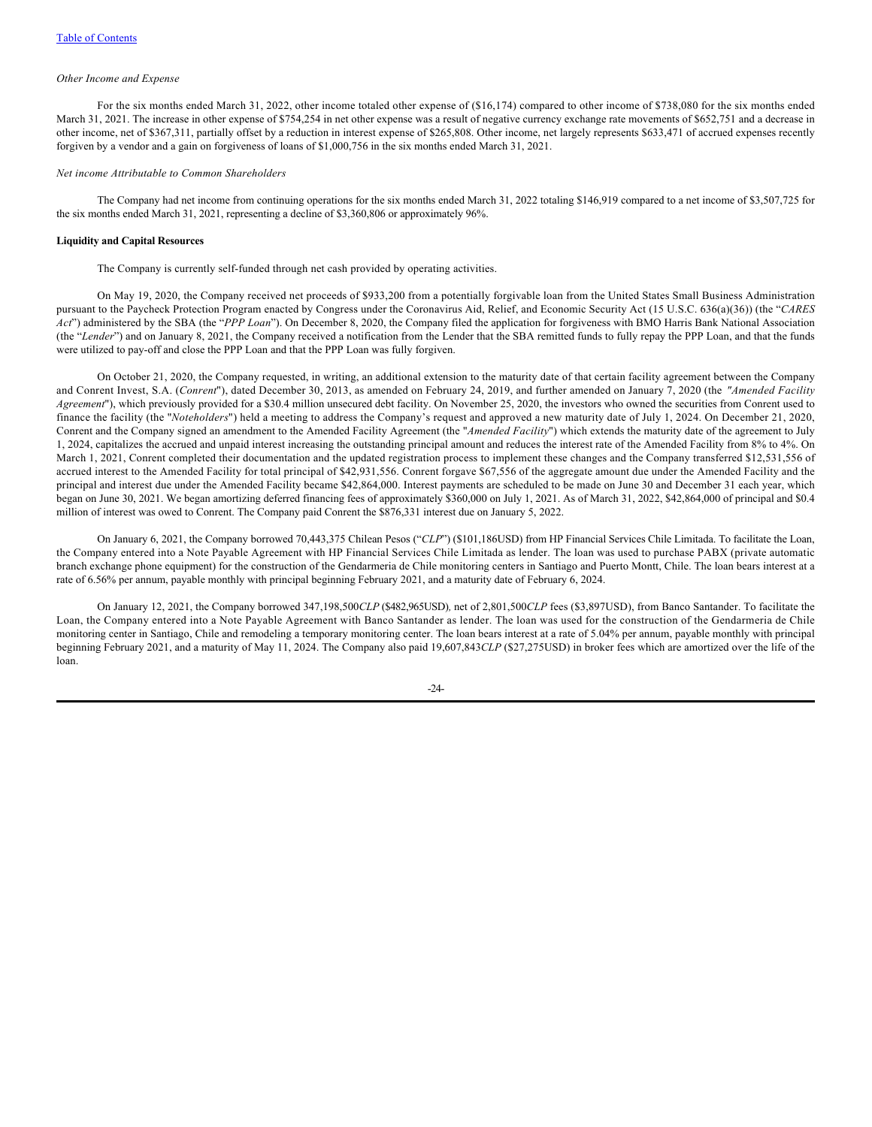### *Other Income and Expense*

For the six months ended March 31, 2022, other income totaled other expense of (\$16,174) compared to other income of \$738,080 for the six months ended March 31, 2021. The increase in other expense of \$754,254 in net other expense was a result of negative currency exchange rate movements of \$652,751 and a decrease in other income, net of \$367,311, partially offset by a reduction in interest expense of \$265,808. Other income, net largely represents \$633,471 of accrued expenses recently forgiven by a vendor and a gain on forgiveness of loans of \$1,000,756 in the six months ended March 31, 2021.

## *Net income Attributable to Common Shareholders*

The Company had net income from continuing operations for the six months ended March 31, 2022 totaling \$146,919 compared to a net income of \$3,507,725 for the six months ended March 31, 2021, representing a decline of \$3,360,806 or approximately 96%.

## **Liquidity and Capital Resources**

The Company is currently self-funded through net cash provided by operating activities.

On May 19, 2020, the Company received net proceeds of \$933,200 from a potentially forgivable loan from the United States Small Business Administration pursuant to the Paycheck Protection Program enacted by Congress under the Coronavirus Aid, Relief, and Economic Security Act (15 U.S.C. 636(a)(36)) (the "*CARES Act*") administered by the SBA (the "*PPP Loan*"). On December 8, 2020, the Company filed the application for forgiveness with BMO Harris Bank National Association (the "Lender") and on January 8, 2021, the Company received a notification from the Lender that the SBA remitted funds to fully repay the PPP Loan, and that the funds were utilized to pay-off and close the PPP Loan and that the PPP Loan was fully forgiven.

On October 21, 2020, the Company requested, in writing, an additional extension to the maturity date of that certain facility agreement between the Company and Conrent Invest, S.A. (*Conrent*"), dated December 30, 2013, as amended on February 24, 2019, and further amended on January 7, 2020 (the *"Amended Facility Agreement*"), which previously provided for a \$30.4 million unsecured debt facility. On November 25, 2020, the investors who owned the securities from Conrent used to finance the facility (the "*Noteholders*") held a meeting to address the Company's request and approved a new maturity date of July 1, 2024. On December 21, 2020, Conrent and the Company signed an amendment to the Amended Facility Agreement (the "*Amended Facility*") which extends the maturity date of the agreement to July 1, 2024, capitalizes the accrued and unpaid interest increasing the outstanding principal amount and reduces the interest rate of the Amended Facility from 8% to 4%. On March 1, 2021, Conrent completed their documentation and the updated registration process to implement these changes and the Company transferred \$12,531,556 of accrued interest to the Amended Facility for total principal of \$42,931,556. Conrent forgave \$67,556 of the aggregate amount due under the Amended Facility and the principal and interest due under the Amended Facility became \$42,864,000. Interest payments are scheduled to be made on June 30 and December 31 each year, which began on June 30, 2021. We began amortizing deferred financing fees of approximately \$360,000 on July 1, 2021. As of March 31, 2022, \$42,864,000 of principal and \$0.4 million of interest was owed to Conrent. The Company paid Conrent the \$876,331 interest due on January 5, 2022.

On January 6, 2021, the Company borrowed 70,443,375 Chilean Pesos ("*CLP*") (\$101,186USD) from HP Financial Services Chile Limitada. To facilitate the Loan, the Company entered into a Note Payable Agreement with HP Financial Services Chile Limitada as lender. The loan was used to purchase PABX (private automatic branch exchange phone equipment) for the construction of the Gendarmeria de Chile monitoring centers in Santiago and Puerto Montt, Chile. The loan bears interest at a rate of 6.56% per annum, payable monthly with principal beginning February 2021, and a maturity date of February 6, 2024.

On January 12, 2021, the Company borrowed 347,198,500*CLP* (\$482,965USD)*,* net of 2,801,500*CLP* fees (\$3,897USD), from Banco Santander. To facilitate the Loan, the Company entered into a Note Payable Agreement with Banco Santander as lender. The loan was used for the construction of the Gendarmeria de Chile monitoring center in Santiago, Chile and remodeling a temporary monitoring center. The loan bears interest at a rate of 5.04% per annum, payable monthly with principal beginning February 2021, and a maturity of May 11, 2024. The Company also paid 19,607,843*CLP* (\$27,275USD) in broker fees which are amortized over the life of the loan.

 $-24-$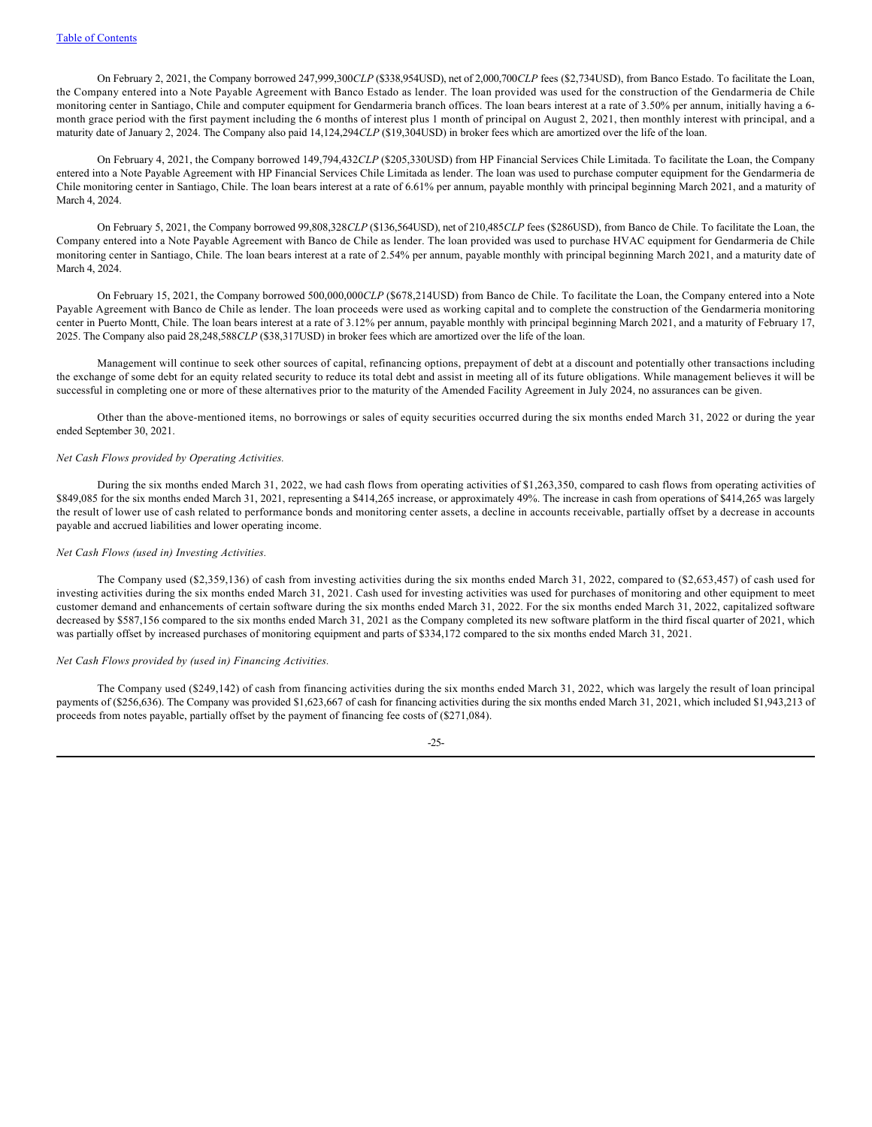On February 2, 2021, the Company borrowed 247,999,300*CLP* (\$338,954USD), net of 2,000,700*CLP* fees (\$2,734USD), from Banco Estado. To facilitate the Loan, the Company entered into a Note Payable Agreement with Banco Estado as lender. The loan provided was used for the construction of the Gendarmeria de Chile monitoring center in Santiago, Chile and computer equipment for Gendarmeria branch offices. The loan bears interest at a rate of 3.50% per annum, initially having a 6month grace period with the first payment including the 6 months of interest plus 1 month of principal on August 2, 2021, then monthly interest with principal, and a maturity date of January 2, 2024. The Company also paid 14,124,294*CLP* (\$19,304USD) in broker fees which are amortized over the life of the loan.

On February 4, 2021, the Company borrowed 149,794,432*CLP* (\$205,330USD) from HP Financial Services Chile Limitada. To facilitate the Loan, the Company entered into a Note Payable Agreement with HP Financial Services Chile Limitada as lender. The loan was used to purchase computer equipment for the Gendarmeria de Chile monitoring center in Santiago, Chile. The loan bears interest at a rate of 6.61% per annum, payable monthly with principal beginning March 2021, and a maturity of March 4, 2024

On February 5, 2021, the Company borrowed 99,808,328*CLP* (\$136,564USD), net of 210,485*CLP* fees (\$286USD), from Banco de Chile. To facilitate the Loan, the Company entered into a Note Payable Agreement with Banco de Chile as lender. The loan provided was used to purchase HVAC equipment for Gendarmeria de Chile monitoring center in Santiago, Chile. The loan bears interest at a rate of 2.54% per annum, payable monthly with principal beginning March 2021, and a maturity date of March 4, 2024.

On February 15, 2021, the Company borrowed 500,000,000*CLP* (\$678,214USD) from Banco de Chile. To facilitate the Loan, the Company entered into a Note Payable Agreement with Banco de Chile as lender. The loan proceeds were used as working capital and to complete the construction of the Gendarmeria monitoring center in Puerto Montt, Chile. The loan bears interest at a rate of 3.12% per annum, payable monthly with principal beginning March 2021, and a maturity of February 17, 2025. The Company also paid 28,248,588*CLP* (\$38,317USD) in broker fees which are amortized over the life of the loan.

Management will continue to seek other sources of capital, refinancing options, prepayment of debt at a discount and potentially other transactions including the exchange of some debt for an equity related security to reduce its total debt and assist in meeting all of its future obligations. While management believes it will be successful in completing one or more of these alternatives prior to the maturity of the Amended Facility Agreement in July 2024, no assurances can be given.

Other than the above-mentioned items, no borrowings or sales of equity securities occurred during the six months ended March 31, 2022 or during the year ended September 30, 2021.

#### *Net Cash Flows provided by Operating Activities.*

During the six months ended March 31, 2022, we had cash flows from operating activities of \$1,263,350, compared to cash flows from operating activities of \$849,085 for the six months ended March 31, 2021, representing a \$414,265 increase, or approximately 49%. The increase in cash from operations of \$414,265 was largely the result of lower use of cash related to performance bonds and monitoring center assets, a decline in accounts receivable, partially offset by a decrease in accounts payable and accrued liabilities and lower operating income.

#### *Net Cash Flows (used in) Investing Activities.*

The Company used (\$2,359,136) of cash from investing activities during the six months ended March 31, 2022, compared to (\$2,653,457) of cash used for investing activities during the six months ended March 31, 2021. Cash used for investing activities was used for purchases of monitoring and other equipment to meet customer demand and enhancements of certain software during the six months ended March 31, 2022. For the six months ended March 31, 2022, capitalized software decreased by \$587,156 compared to the six months ended March 31, 2021 as the Company completed its new software platform in the third fiscal quarter of 2021, which was partially offset by increased purchases of monitoring equipment and parts of \$334,172 compared to the six months ended March 31, 2021.

#### *Net Cash Flows provided by (used in) Financing Activities.*

The Company used (\$249,142) of cash from financing activities during the six months ended March 31, 2022, which was largely the result of loan principal payments of (\$256,636). The Company was provided \$1,623,667 of cash for financing activities during the six months ended March 31, 2021, which included \$1,943,213 of proceeds from notes payable, partially offset by the payment of financing fee costs of (\$271,084).

-25-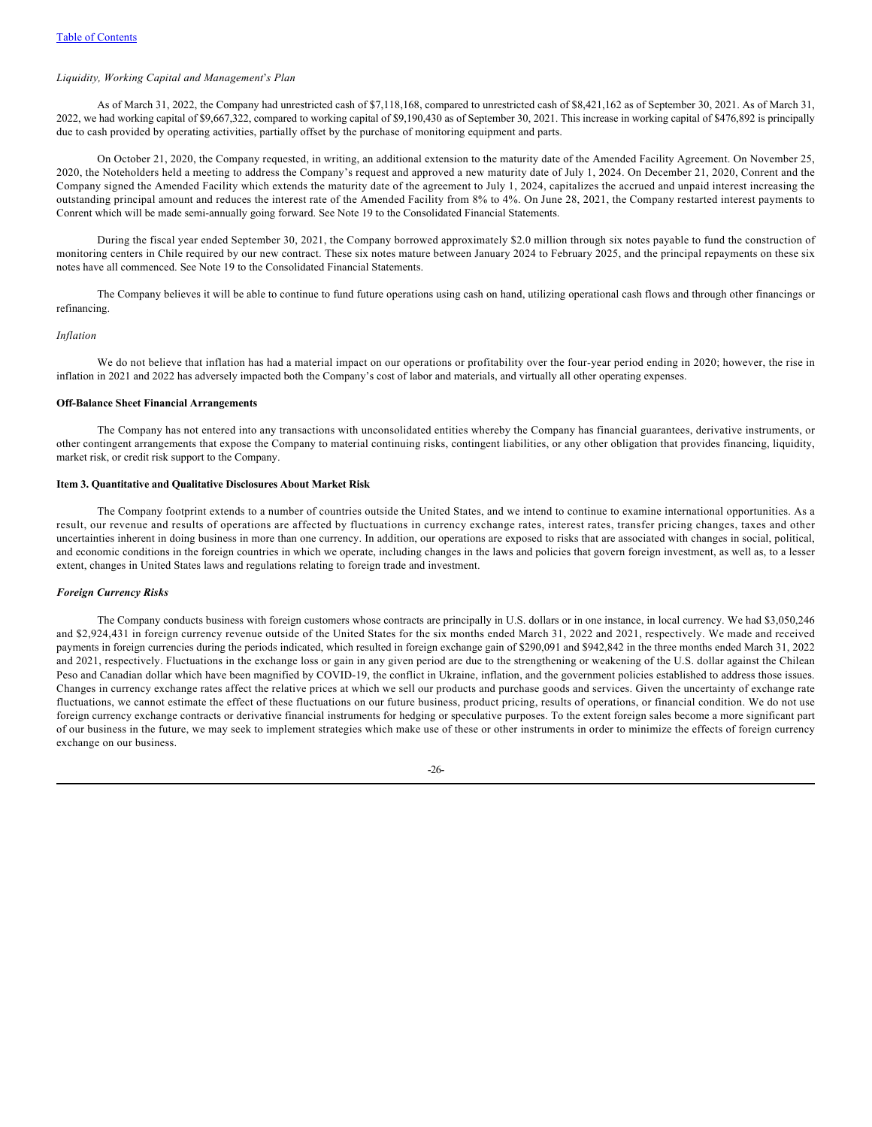#### *Liquidity, Working Capital and Management*'*s Plan*

As of March 31, 2022, the Company had unrestricted cash of \$7,118,168, compared to unrestricted cash of \$8,421,162 as of September 30, 2021. As of March 31, 2022, we had working capital of \$9,667,322, compared to working capital of \$9,190,430 as of September 30, 2021. This increase in working capital of \$476,892 is principally due to cash provided by operating activities, partially offset by the purchase of monitoring equipment and parts.

On October 21, 2020, the Company requested, in writing, an additional extension to the maturity date of the Amended Facility Agreement. On November 25, 2020, the Noteholders held a meeting to address the Company's request and approved a new maturity date of July 1, 2024. On December 21, 2020, Conrent and the Company signed the Amended Facility which extends the maturity date of the agreement to July 1, 2024, capitalizes the accrued and unpaid interest increasing the outstanding principal amount and reduces the interest rate of the Amended Facility from 8% to 4%. On June 28, 2021, the Company restarted interest payments to Conrent which will be made semi-annually going forward. See Note 19 to the Consolidated Financial Statements.

During the fiscal year ended September 30, 2021, the Company borrowed approximately \$2.0 million through six notes payable to fund the construction of monitoring centers in Chile required by our new contract. These six notes mature between January 2024 to February 2025, and the principal repayments on these six notes have all commenced. See Note 19 to the Consolidated Financial Statements.

The Company believes it will be able to continue to fund future operations using cash on hand, utilizing operational cash flows and through other financings or refinancing.

#### *Inflation*

We do not believe that inflation has had a material impact on our operations or profitability over the four-year period ending in 2020; however, the rise in inflation in 2021 and 2022 has adversely impacted both the Company's cost of labor and materials, and virtually all other operating expenses.

## **Off-Balance Sheet Financial Arrangements**

The Company has not entered into any transactions with unconsolidated entities whereby the Company has financial guarantees, derivative instruments, or other contingent arrangements that expose the Company to material continuing risks, contingent liabilities, or any other obligation that provides financing, liquidity, market risk, or credit risk support to the Company.

### <span id="page-27-0"></span>**Item 3. Quantitative and Qualitative Disclosures About Market Risk**

The Company footprint extends to a number of countries outside the United States, and we intend to continue to examine international opportunities. As a result, our revenue and results of operations are affected by fluctuations in currency exchange rates, interest rates, transfer pricing changes, taxes and other uncertainties inherent in doing business in more than one currency. In addition, our operations are exposed to risks that are associated with changes in social, political, and economic conditions in the foreign countries in which we operate, including changes in the laws and policies that govern foreign investment, as well as, to a lesser extent, changes in United States laws and regulations relating to foreign trade and investment.

## *Foreign Currency Risks*

The Company conducts business with foreign customers whose contracts are principally in U.S. dollars or in one instance, in local currency. We had \$3,050,246 and \$2,924,431 in foreign currency revenue outside of the United States for the six months ended March 31, 2022 and 2021, respectively. We made and received payments in foreign currencies during the periods indicated, which resulted in foreign exchange gain of \$290,091 and \$942,842 in the three months ended March 31, 2022 and 2021, respectively. Fluctuations in the exchange loss or gain in any given period are due to the strengthening or weakening of the U.S. dollar against the Chilean Peso and Canadian dollar which have been magnified by COVID-19, the conflict in Ukraine, inflation, and the government policies established to address those issues. Changes in currency exchange rates affect the relative prices at which we sell our products and purchase goods and services. Given the uncertainty of exchange rate fluctuations, we cannot estimate the effect of these fluctuations on our future business, product pricing, results of operations, or financial condition. We do not use foreign currency exchange contracts or derivative financial instruments for hedging or speculative purposes. To the extent foreign sales become a more significant part of our business in the future, we may seek to implement strategies which make use of these or other instruments in order to minimize the effects of foreign currency exchange on our business.

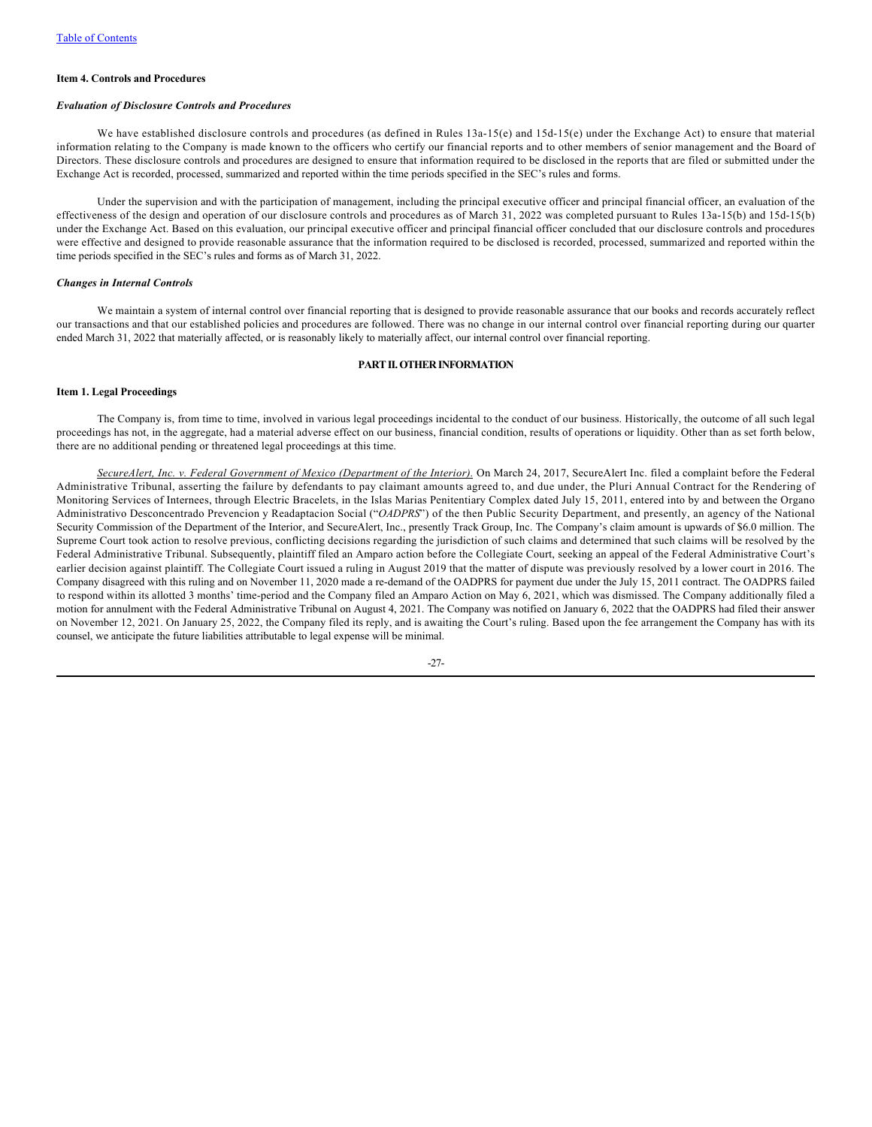#### <span id="page-28-0"></span>**Item 4. Controls and Procedures**

#### *Evaluation of Disclosure Controls and Procedures*

We have established disclosure controls and procedures (as defined in Rules 13a-15(e) and 15d-15(e) under the Exchange Act) to ensure that material information relating to the Company is made known to the officers who certify our financial reports and to other members of senior management and the Board of Directors. These disclosure controls and procedures are designed to ensure that information required to be disclosed in the reports that are filed or submitted under the Exchange Act is recorded, processed, summarized and reported within the time periods specified in the SEC's rules and forms.

Under the supervision and with the participation of management, including the principal executive officer and principal financial officer, an evaluation of the effectiveness of the design and operation of our disclosure controls and procedures as of March 31, 2022 was completed pursuant to Rules 13a-15(b) and 15d-15(b) under the Exchange Act. Based on this evaluation, our principal executive officer and principal financial officer concluded that our disclosure controls and procedures were effective and designed to provide reasonable assurance that the information required to be disclosed is recorded, processed, summarized and reported within the time periods specified in the SEC's rules and forms as of March 31, 2022.

#### *Changes in Internal Controls*

We maintain a system of internal control over financial reporting that is designed to provide reasonable assurance that our books and records accurately reflect our transactions and that our established policies and procedures are followed. There was no change in our internal control over financial reporting during our quarter ended March 31, 2022 that materially affected, or is reasonably likely to materially affect, our internal control over financial reporting.

## <span id="page-28-1"></span>**PART II. OTHER INFORMATION**

#### **Item 1. Legal Proceedings**

The Company is, from time to time, involved in various legal proceedings incidental to the conduct of our business. Historically, the outcome of all such legal proceedings has not, in the aggregate, had a material adverse effect on our business, financial condition, results of operations or liquidity. Other than as set forth below, there are no additional pending or threatened legal proceedings at this time.

*SecureAlert, Inc. v. Federal Government of Mexico (Department of the Interior).* On March 24, 2017, SecureAlert Inc. filed a complaint before the Federal Administrative Tribunal, asserting the failure by defendants to pay claimant amounts agreed to, and due under, the Pluri Annual Contract for the Rendering of Monitoring Services of Internees, through Electric Bracelets, in the Islas Marias Penitentiary Complex dated July 15, 2011, entered into by and between the Organo Administrativo Desconcentrado Prevencion y Readaptacion Social ("*OADPRS*") of the then Public Security Department, and presently, an agency of the National Security Commission of the Department of the Interior, and SecureAlert, Inc., presently Track Group, Inc. The Company's claim amount is upwards of \$6.0 million. The Supreme Court took action to resolve previous, conflicting decisions regarding the jurisdiction of such claims and determined that such claims will be resolved by the Federal Administrative Tribunal. Subsequently, plaintiff filed an Amparo action before the Collegiate Court, seeking an appeal of the Federal Administrative Court's earlier decision against plaintiff. The Collegiate Court issued a ruling in August 2019 that the matter of dispute was previously resolved by a lower court in 2016. The Company disagreed with this ruling and on November 11, 2020 made a re-demand of the OADPRS for payment due under the July 15, 2011 contract. The OADPRS failed to respond within its allotted 3 months' time-period and the Company filed an Amparo Action on May 6, 2021, which was dismissed. The Company additionally filed a motion for annulment with the Federal Administrative Tribunal on August 4, 2021. The Company was notified on January 6, 2022 that the OADPRS had filed their answer on November 12, 2021. On January 25, 2022, the Company filed its reply, and is awaiting the Court's ruling. Based upon the fee arrangement the Company has with its counsel, we anticipate the future liabilities attributable to legal expense will be minimal.

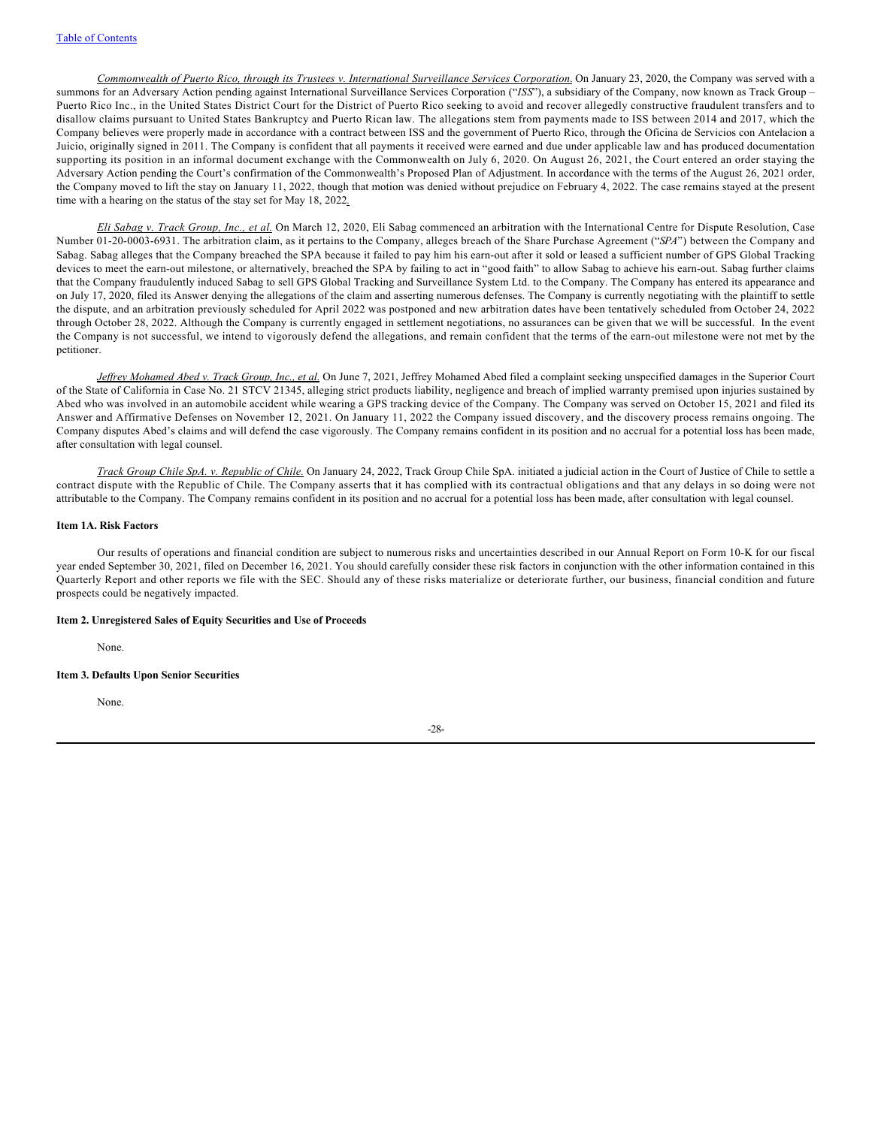*Commonwealth of Puerto Rico, through its Trustees v. International Surveillance Services Corporation*. On January 23, 2020, the Company was served with a summons for an Adversary Action pending against International Surveillance Services Corporation ("*ISS*"), a subsidiary of the Company, now known as Track Group – Puerto Rico Inc., in the United States District Court for the District of Puerto Rico seeking to avoid and recover allegedly constructive fraudulent transfers and to disallow claims pursuant to United States Bankruptcy and Puerto Rican law. The allegations stem from payments made to ISS between 2014 and 2017, which the Company believes were properly made in accordance with a contract between ISS and the government of Puerto Rico, through the Oficina de Servicios con Antelacion a Juicio, originally signed in 2011. The Company is confident that all payments it received were earned and due under applicable law and has produced documentation supporting its position in an informal document exchange with the Commonwealth on July 6, 2020. On August 26, 2021, the Court entered an order staying the Adversary Action pending the Court's confirmation of the Commonwealth's Proposed Plan of Adjustment. In accordance with the terms of the August 26, 2021 order, the Company moved to lift the stay on January 11, 2022, though that motion was denied without prejudice on February 4, 2022. The case remains stayed at the present time with a hearing on the status of the stay set for May 18, 2022*.*

*Eli Sabag v. Track Group, Inc., et al.* On March 12, 2020, Eli Sabag commenced an arbitration with the International Centre for Dispute Resolution, Case Number 01-20-0003-6931. The arbitration claim, as it pertains to the Company, alleges breach of the Share Purchase Agreement ("*SPA*") between the Company and Sabag. Sabag alleges that the Company breached the SPA because it failed to pay him his earn-out after it sold or leased a sufficient number of GPS Global Tracking devices to meet the earn-out milestone, or alternatively, breached the SPA by failing to act in "good faith" to allow Sabag to achieve his earn-out. Sabag further claims that the Company fraudulently induced Sabag to sell GPS Global Tracking and Surveillance System Ltd. to the Company. The Company has entered its appearance and on July 17, 2020, filed its Answer denying the allegations of the claim and asserting numerous defenses. The Company is currently negotiating with the plaintiff to settle the dispute, and an arbitration previously scheduled for April 2022 was postponed and new arbitration dates have been tentatively scheduled from October 24, 2022 through October 28, 2022. Although the Company is currently engaged in settlement negotiations, no assurances can be given that we will be successful. In the event the Company is not successful, we intend to vigorously defend the allegations, and remain confident that the terms of the earn-out milestone were not met by the petitioner.

*Jeffrey Mohamed Abed v. Track Group, Inc., et al.* On June 7, 2021, Jeffrey Mohamed Abed filed a complaint seeking unspecified damages in the Superior Court of the State of California in Case No. 21 STCV 21345, alleging strict products liability, negligence and breach of implied warranty premised upon injuries sustained by Abed who was involved in an automobile accident while wearing a GPS tracking device of the Company. The Company was served on October 15, 2021 and filed its Answer and Affirmative Defenses on November 12, 2021. On January 11, 2022 the Company issued discovery, and the discovery process remains ongoing. The Company disputes Abed's claims and will defend the case vigorously. The Company remains confident in its position and no accrual for a potential loss has been made, after consultation with legal counsel.

*Track Group Chile SpA. v. Republic of Chile.* On January 24, 2022, Track Group Chile SpA. initiated a judicial action in the Court of Justice of Chile to settle a contract dispute with the Republic of Chile. The Company asserts that it has complied with its contractual obligations and that any delays in so doing were not attributable to the Company. The Company remains confident in its position and no accrual for a potential loss has been made, after consultation with legal counsel.

## <span id="page-29-0"></span>**Item 1A. Risk Factors**

Our results of operations and financial condition are subject to numerous risks and uncertainties described in our Annual Report on Form 10-K for our fiscal year ended September 30, 2021, filed on December 16, 2021. You should carefully consider these risk factors in conjunction with the other information contained in this Quarterly Report and other reports we file with the SEC. Should any of these risks materialize or deteriorate further, our business, financial condition and future prospects could be negatively impacted.

## **Item 2. Unregistered Sales of Equity Securities and Use of Proceeds**

None.

#### **Item 3. Defaults Upon Senior Securities**

None.

-28-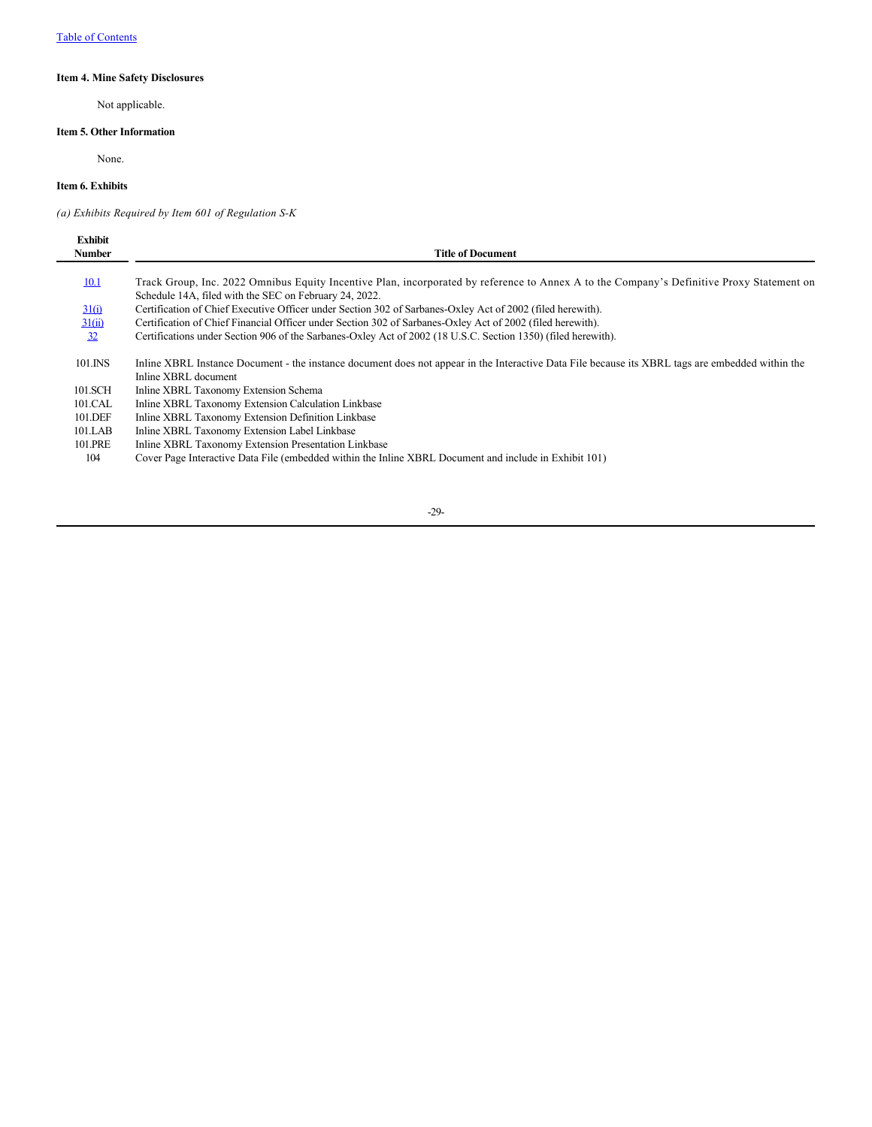# <span id="page-30-0"></span>**Item 4. Mine Safety Disclosures**

Not applicable.

# **Item 5. Other Information**

None.

# **Item 6. Exhibits**

*(a) Exhibits Required by Item 601 of Regulation S-K*

| <b>Exhibit</b> |                                                                                                                                                                                                     |
|----------------|-----------------------------------------------------------------------------------------------------------------------------------------------------------------------------------------------------|
| <b>Number</b>  | Title of Document                                                                                                                                                                                   |
| 10.1           | Track Group, Inc. 2022 Omnibus Equity Incentive Plan, incorporated by reference to Annex A to the Company's Definitive Proxy Statement on<br>Schedule 14A, filed with the SEC on February 24, 2022. |
| 31(i)          | Certification of Chief Executive Officer under Section 302 of Sarbanes-Oxley Act of 2002 (filed herewith).                                                                                          |
| 31(ii)         | Certification of Chief Financial Officer under Section 302 of Sarbanes-Oxley Act of 2002 (filed herewith).                                                                                          |
| 32             | Certifications under Section 906 of the Sarbanes-Oxley Act of 2002 (18 U.S.C. Section 1350) (filed herewith).                                                                                       |
| 101.INS        | Inline XBRL Instance Document - the instance document does not appear in the Interactive Data File because its XBRL tags are embedded within the<br>Inline XBRL document                            |
| 101.SCH        | Inline XBRL Taxonomy Extension Schema                                                                                                                                                               |
| 101.CAL        | Inline XBRL Taxonomy Extension Calculation Linkbase                                                                                                                                                 |
| 101.DEF        | Inline XBRL Taxonomy Extension Definition Linkbase                                                                                                                                                  |
| 101.LAB        | Inline XBRL Taxonomy Extension Label Linkbase                                                                                                                                                       |
| 101.PRE        | Inline XBRL Taxonomy Extension Presentation Linkbase                                                                                                                                                |
| 104            | Cover Page Interactive Data File (embedded within the Inline XBRL Document and include in Exhibit 101)                                                                                              |
|                |                                                                                                                                                                                                     |

-29-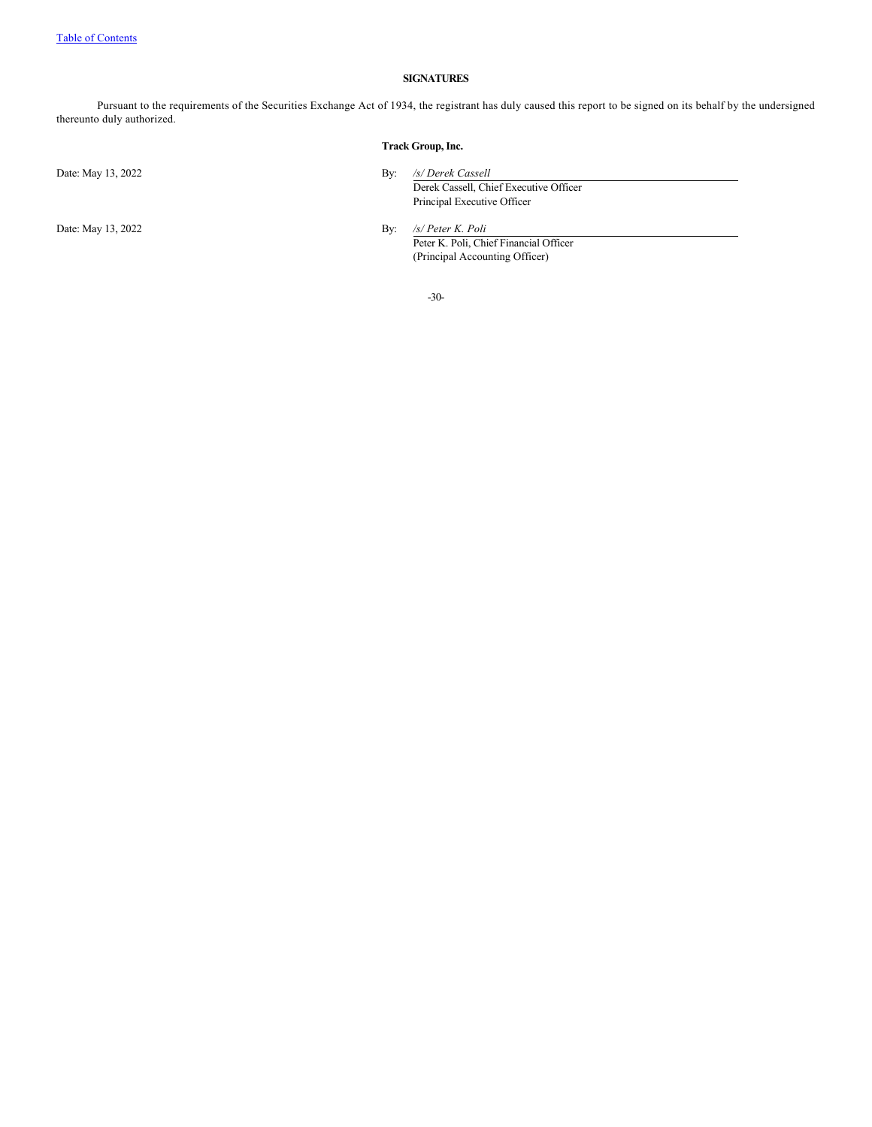# <span id="page-31-0"></span>**SIGNATURES**

Pursuant to the requirements of the Securities Exchange Act of 1934, the registrant has duly caused this report to be signed on its behalf by the undersigned thereunto duly authorized.

|                    | Track Group, Inc.                                                                                 |  |
|--------------------|---------------------------------------------------------------------------------------------------|--|
| Date: May 13, 2022 | /s/ Derek Cassell<br>Bv:<br>Derek Cassell, Chief Executive Officer<br>Principal Executive Officer |  |
| Date: May 13, 2022 | /s/ Peter K. Poli<br>By:                                                                          |  |

Peter K. Poli, Chief Financial Officer (Principal Accounting Officer)

-30-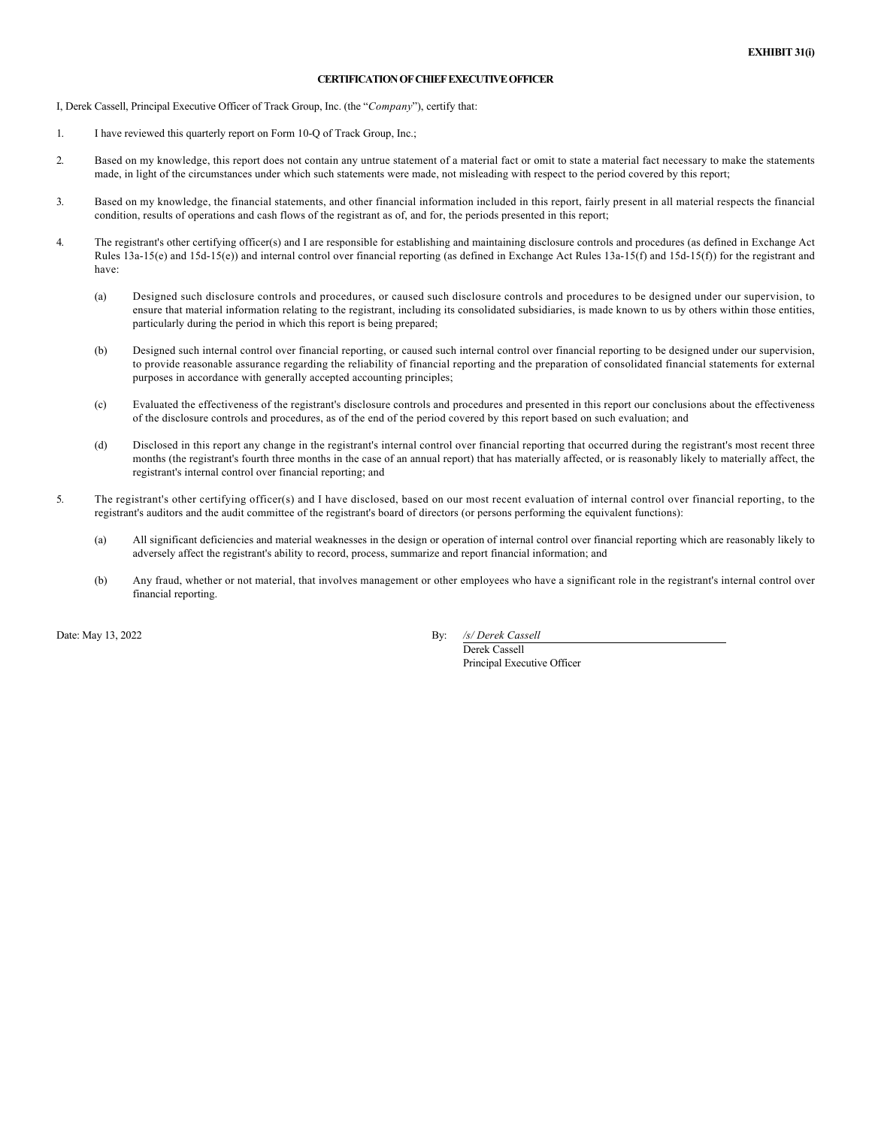# **CERTIFICATION OF CHIEF EXECUTIVE OFFICER**

I, Derek Cassell, Principal Executive Officer of Track Group, Inc. (the "*Company*"), certify that:

- 1. I have reviewed this quarterly report on Form 10-Q of Track Group, Inc.;
- 2. Based on my knowledge, this report does not contain any untrue statement of a material fact or omit to state a material fact necessary to make the statements made, in light of the circumstances under which such statements were made, not misleading with respect to the period covered by this report;
- 3. Based on my knowledge, the financial statements, and other financial information included in this report, fairly present in all material respects the financial condition, results of operations and cash flows of the registrant as of, and for, the periods presented in this report;
- 4. The registrant's other certifying officer(s) and I are responsible for establishing and maintaining disclosure controls and procedures (as defined in Exchange Act Rules  $13a-15(e)$  and  $15d-15(e)$ ) and internal control over financial reporting (as defined in Exchange Act Rules  $13a-15(f)$  and  $15d-15(f)$ ) for the registrant and have:
	- (a) Designed such disclosure controls and procedures, or caused such disclosure controls and procedures to be designed under our supervision, to ensure that material information relating to the registrant, including its consolidated subsidiaries, is made known to us by others within those entities, particularly during the period in which this report is being prepared;
	- (b) Designed such internal control over financial reporting, or caused such internal control over financial reporting to be designed under our supervision, to provide reasonable assurance regarding the reliability of financial reporting and the preparation of consolidated financial statements for external purposes in accordance with generally accepted accounting principles;
	- (c) Evaluated the effectiveness of the registrant's disclosure controls and procedures and presented in this report our conclusions about the effectiveness of the disclosure controls and procedures, as of the end of the period covered by this report based on such evaluation; and
	- (d) Disclosed in this report any change in the registrant's internal control over financial reporting that occurred during the registrant's most recent three months (the registrant's fourth three months in the case of an annual report) that has materially affected, or is reasonably likely to materially affect, the registrant's internal control over financial reporting; and
- 5. The registrant's other certifying officer(s) and I have disclosed, based on our most recent evaluation of internal control over financial reporting, to the registrant's auditors and the audit committee of the registrant's board of directors (or persons performing the equivalent functions):
	- (a) All significant deficiencies and material weaknesses in the design or operation of internal control over financial reporting which are reasonably likely to adversely affect the registrant's ability to record, process, summarize and report financial information; and
	- (b) Any fraud, whether or not material, that involves management or other employees who have a significant role in the registrant's internal control over financial reporting.

Date: May 13, 2022 By: */s/ Derek Cassell*

Derek Cassell Principal Executive Officer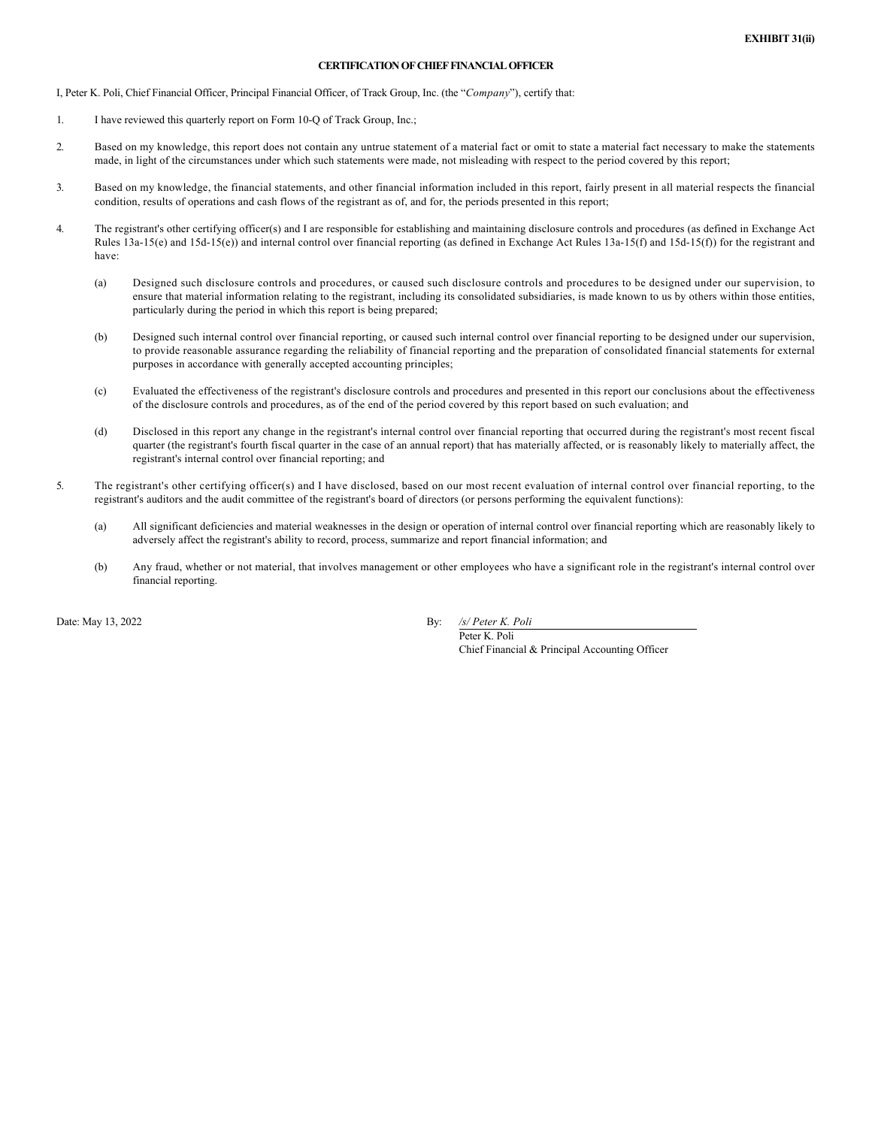# **CERTIFICATION OF CHIEF FINANCIAL OFFICER**

I, Peter K. Poli, Chief Financial Officer, Principal Financial Officer, of Track Group, Inc. (the "*Company*"), certify that:

- 1. I have reviewed this quarterly report on Form 10-Q of Track Group, Inc.;
- 2. Based on my knowledge, this report does not contain any untrue statement of a material fact or omit to state a material fact necessary to make the statements made, in light of the circumstances under which such statements were made, not misleading with respect to the period covered by this report;
- 3. Based on my knowledge, the financial statements, and other financial information included in this report, fairly present in all material respects the financial condition, results of operations and cash flows of the registrant as of, and for, the periods presented in this report;
- 4. The registrant's other certifying officer(s) and I are responsible for establishing and maintaining disclosure controls and procedures (as defined in Exchange Act Rules 13a-15(e) and 15d-15(e)) and internal control over financial reporting (as defined in Exchange Act Rules 13a-15(f) and 15d-15(f)) for the registrant and have:
	- (a) Designed such disclosure controls and procedures, or caused such disclosure controls and procedures to be designed under our supervision, to ensure that material information relating to the registrant, including its consolidated subsidiaries, is made known to us by others within those entities, particularly during the period in which this report is being prepared;
	- (b) Designed such internal control over financial reporting, or caused such internal control over financial reporting to be designed under our supervision, to provide reasonable assurance regarding the reliability of financial reporting and the preparation of consolidated financial statements for external purposes in accordance with generally accepted accounting principles;
	- (c) Evaluated the effectiveness of the registrant's disclosure controls and procedures and presented in this report our conclusions about the effectiveness of the disclosure controls and procedures, as of the end of the period covered by this report based on such evaluation; and
	- (d) Disclosed in this report any change in the registrant's internal control over financial reporting that occurred during the registrant's most recent fiscal quarter (the registrant's fourth fiscal quarter in the case of an annual report) that has materially affected, or is reasonably likely to materially affect, the registrant's internal control over financial reporting; and
- 5. The registrant's other certifying officer(s) and I have disclosed, based on our most recent evaluation of internal control over financial reporting, to the registrant's auditors and the audit committee of the registrant's board of directors (or persons performing the equivalent functions):
	- (a) All significant deficiencies and material weaknesses in the design or operation of internal control over financial reporting which are reasonably likely to adversely affect the registrant's ability to record, process, summarize and report financial information; and
	- (b) Any fraud, whether or not material, that involves management or other employees who have a significant role in the registrant's internal control over financial reporting.

Date: May 13, 2022 By: */s/ Peter K. Poli*

Peter K. Poli Chief Financial & Principal Accounting Officer